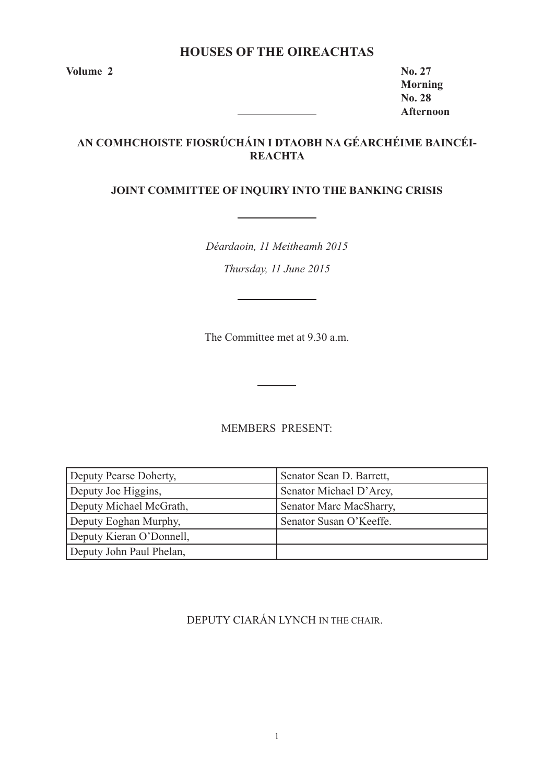# **HOUSES OF THE OIREACHTAS**

**Volume 2 No. 27** 

**Morning No. 28 Afternoon**

# **AN COMHCHOISTE FIOSRÚCHÁIN I DTAOBH NA GÉARCHÉIME BAINCÉI-REACHTA**

# **JOINT COMMITTEE OF INQUIRY INTO THE BANKING CRISIS**

*Déardaoin, 11 Meitheamh 2015 Thursday, 11 June 2015*

The Committee met at 9.30 a.m.

MEMBERS PRESENT:

| Deputy Pearse Doherty,   | Senator Sean D. Barrett, |
|--------------------------|--------------------------|
| Deputy Joe Higgins,      | Senator Michael D'Arcy,  |
| Deputy Michael McGrath,  | Senator Marc MacSharry,  |
| Deputy Eoghan Murphy,    | Senator Susan O'Keeffe.  |
| Deputy Kieran O'Donnell, |                          |
| Deputy John Paul Phelan, |                          |

DEPUTY CIARÁN LYNCH IN THE CHAIR.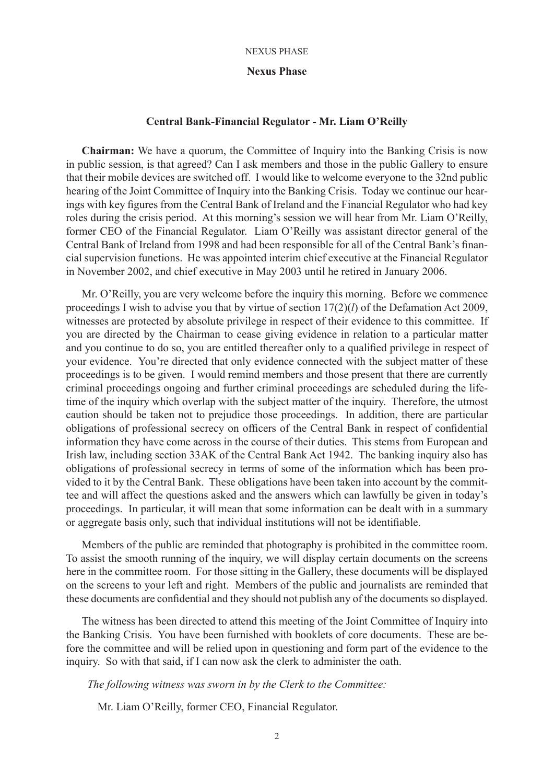### **Nexus Phase**

# **Central Bank-Financial Regulator - Mr. Liam O'Reilly**

**Chairman:** We have a quorum, the Committee of Inquiry into the Banking Crisis is now in public session, is that agreed? Can I ask members and those in the public Gallery to ensure that their mobile devices are switched off. I would like to welcome everyone to the 32nd public hearing of the Joint Committee of Inquiry into the Banking Crisis. Today we continue our hearings with key figures from the Central Bank of Ireland and the Financial Regulator who had key roles during the crisis period. At this morning's session we will hear from Mr. Liam O'Reilly, former CEO of the Financial Regulator. Liam O'Reilly was assistant director general of the Central Bank of Ireland from 1998 and had been responsible for all of the Central Bank's financial supervision functions. He was appointed interim chief executive at the Financial Regulator in November 2002, and chief executive in May 2003 until he retired in January 2006.

Mr. O'Reilly, you are very welcome before the inquiry this morning. Before we commence proceedings I wish to advise you that by virtue of section 17(2)(*l*) of the Defamation Act 2009, witnesses are protected by absolute privilege in respect of their evidence to this committee. If you are directed by the Chairman to cease giving evidence in relation to a particular matter and you continue to do so, you are entitled thereafter only to a qualified privilege in respect of your evidence. You're directed that only evidence connected with the subject matter of these proceedings is to be given. I would remind members and those present that there are currently criminal proceedings ongoing and further criminal proceedings are scheduled during the lifetime of the inquiry which overlap with the subject matter of the inquiry. Therefore, the utmost caution should be taken not to prejudice those proceedings. In addition, there are particular obligations of professional secrecy on officers of the Central Bank in respect of confidential information they have come across in the course of their duties. This stems from European and Irish law, including section 33AK of the Central Bank Act 1942. The banking inquiry also has obligations of professional secrecy in terms of some of the information which has been provided to it by the Central Bank. These obligations have been taken into account by the committee and will affect the questions asked and the answers which can lawfully be given in today's proceedings. In particular, it will mean that some information can be dealt with in a summary or aggregate basis only, such that individual institutions will not be identifiable.

Members of the public are reminded that photography is prohibited in the committee room. To assist the smooth running of the inquiry, we will display certain documents on the screens here in the committee room. For those sitting in the Gallery, these documents will be displayed on the screens to your left and right. Members of the public and journalists are reminded that these documents are confidential and they should not publish any of the documents so displayed.

The witness has been directed to attend this meeting of the Joint Committee of Inquiry into the Banking Crisis. You have been furnished with booklets of core documents. These are before the committee and will be relied upon in questioning and form part of the evidence to the inquiry. So with that said, if I can now ask the clerk to administer the oath.

## *The following witness was sworn in by the Clerk to the Committee:*

Mr. Liam O'Reilly, former CEO, Financial Regulator.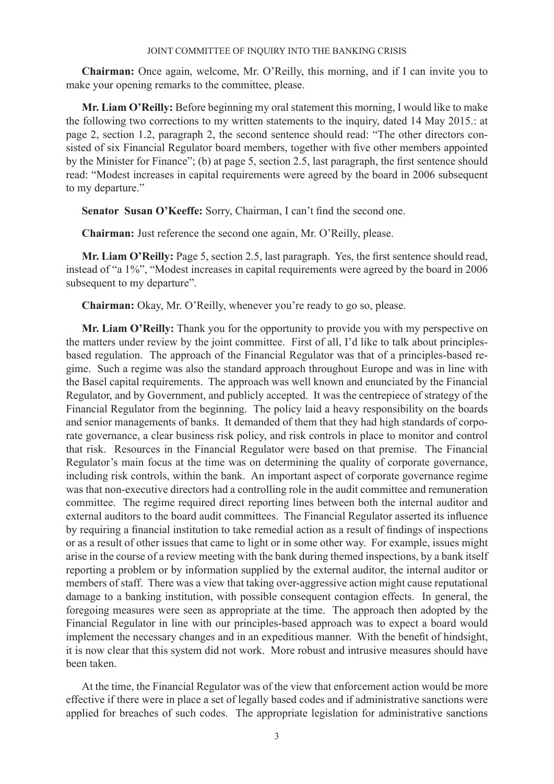**Chairman:** Once again, welcome, Mr. O'Reilly, this morning, and if I can invite you to make your opening remarks to the committee, please.

**Mr. Liam O'Reilly:** Before beginning my oral statement this morning, I would like to make the following two corrections to my written statements to the inquiry, dated 14 May 2015.: at page 2, section 1.2, paragraph 2, the second sentence should read: "The other directors consisted of six Financial Regulator board members, together with five other members appointed by the Minister for Finance"; (b) at page 5, section 2.5, last paragraph, the first sentence should read: "Modest increases in capital requirements were agreed by the board in 2006 subsequent to my departure."

**Senator Susan O'Keeffe:** Sorry, Chairman, I can't find the second one.

**Chairman:** Just reference the second one again, Mr. O'Reilly, please.

**Mr. Liam O'Reilly:** Page 5, section 2.5, last paragraph. Yes, the first sentence should read, instead of "a 1%", "Modest increases in capital requirements were agreed by the board in 2006 subsequent to my departure".

**Chairman:** Okay, Mr. O'Reilly, whenever you're ready to go so, please.

**Mr. Liam O'Reilly:** Thank you for the opportunity to provide you with my perspective on the matters under review by the joint committee. First of all, I'd like to talk about principlesbased regulation. The approach of the Financial Regulator was that of a principles-based regime. Such a regime was also the standard approach throughout Europe and was in line with the Basel capital requirements. The approach was well known and enunciated by the Financial Regulator, and by Government, and publicly accepted. It was the centrepiece of strategy of the Financial Regulator from the beginning. The policy laid a heavy responsibility on the boards and senior managements of banks. It demanded of them that they had high standards of corporate governance, a clear business risk policy, and risk controls in place to monitor and control that risk. Resources in the Financial Regulator were based on that premise. The Financial Regulator's main focus at the time was on determining the quality of corporate governance, including risk controls, within the bank. An important aspect of corporate governance regime was that non-executive directors had a controlling role in the audit committee and remuneration committee. The regime required direct reporting lines between both the internal auditor and external auditors to the board audit committees. The Financial Regulator asserted its influence by requiring a financial institution to take remedial action as a result of findings of inspections or as a result of other issues that came to light or in some other way. For example, issues might arise in the course of a review meeting with the bank during themed inspections, by a bank itself reporting a problem or by information supplied by the external auditor, the internal auditor or members of staff. There was a view that taking over-aggressive action might cause reputational damage to a banking institution, with possible consequent contagion effects. In general, the foregoing measures were seen as appropriate at the time. The approach then adopted by the Financial Regulator in line with our principles-based approach was to expect a board would implement the necessary changes and in an expeditious manner. With the benefit of hindsight, it is now clear that this system did not work. More robust and intrusive measures should have been taken.

At the time, the Financial Regulator was of the view that enforcement action would be more effective if there were in place a set of legally based codes and if administrative sanctions were applied for breaches of such codes. The appropriate legislation for administrative sanctions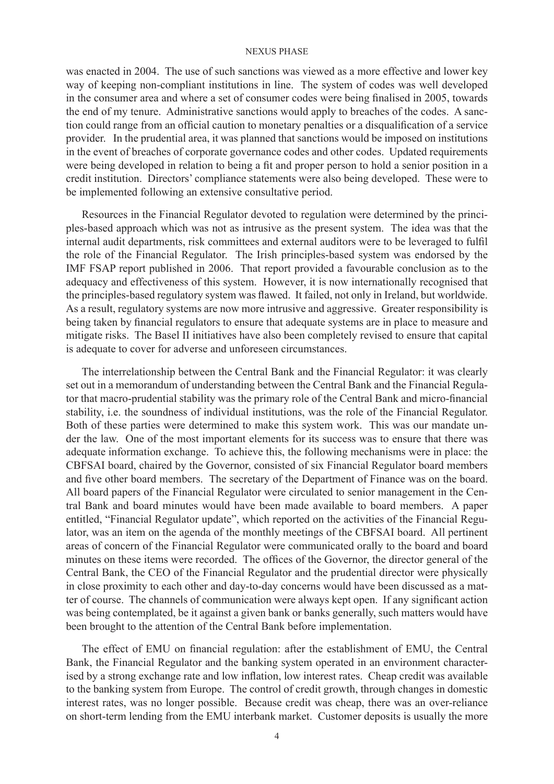was enacted in 2004. The use of such sanctions was viewed as a more effective and lower key way of keeping non-compliant institutions in line. The system of codes was well developed in the consumer area and where a set of consumer codes were being finalised in 2005, towards the end of my tenure. Administrative sanctions would apply to breaches of the codes. A sanction could range from an official caution to monetary penalties or a disqualification of a service provider. In the prudential area, it was planned that sanctions would be imposed on institutions in the event of breaches of corporate governance codes and other codes. Updated requirements were being developed in relation to being a fit and proper person to hold a senior position in a credit institution. Directors' compliance statements were also being developed. These were to be implemented following an extensive consultative period.

Resources in the Financial Regulator devoted to regulation were determined by the principles-based approach which was not as intrusive as the present system. The idea was that the internal audit departments, risk committees and external auditors were to be leveraged to fulfil the role of the Financial Regulator. The Irish principles-based system was endorsed by the IMF FSAP report published in 2006. That report provided a favourable conclusion as to the adequacy and effectiveness of this system. However, it is now internationally recognised that the principles-based regulatory system was flawed. It failed, not only in Ireland, but worldwide. As a result, regulatory systems are now more intrusive and aggressive. Greater responsibility is being taken by financial regulators to ensure that adequate systems are in place to measure and mitigate risks. The Basel II initiatives have also been completely revised to ensure that capital is adequate to cover for adverse and unforeseen circumstances.

The interrelationship between the Central Bank and the Financial Regulator: it was clearly set out in a memorandum of understanding between the Central Bank and the Financial Regulator that macro-prudential stability was the primary role of the Central Bank and micro-financial stability, i.e. the soundness of individual institutions, was the role of the Financial Regulator. Both of these parties were determined to make this system work. This was our mandate under the law. One of the most important elements for its success was to ensure that there was adequate information exchange. To achieve this, the following mechanisms were in place: the CBFSAI board, chaired by the Governor, consisted of six Financial Regulator board members and five other board members. The secretary of the Department of Finance was on the board. All board papers of the Financial Regulator were circulated to senior management in the Central Bank and board minutes would have been made available to board members. A paper entitled, "Financial Regulator update", which reported on the activities of the Financial Regulator, was an item on the agenda of the monthly meetings of the CBFSAI board. All pertinent areas of concern of the Financial Regulator were communicated orally to the board and board minutes on these items were recorded. The offices of the Governor, the director general of the Central Bank, the CEO of the Financial Regulator and the prudential director were physically in close proximity to each other and day-to-day concerns would have been discussed as a matter of course. The channels of communication were always kept open. If any significant action was being contemplated, be it against a given bank or banks generally, such matters would have been brought to the attention of the Central Bank before implementation.

The effect of EMU on financial regulation: after the establishment of EMU, the Central Bank, the Financial Regulator and the banking system operated in an environment characterised by a strong exchange rate and low inflation, low interest rates. Cheap credit was available to the banking system from Europe. The control of credit growth, through changes in domestic interest rates, was no longer possible. Because credit was cheap, there was an over-reliance on short-term lending from the EMU interbank market. Customer deposits is usually the more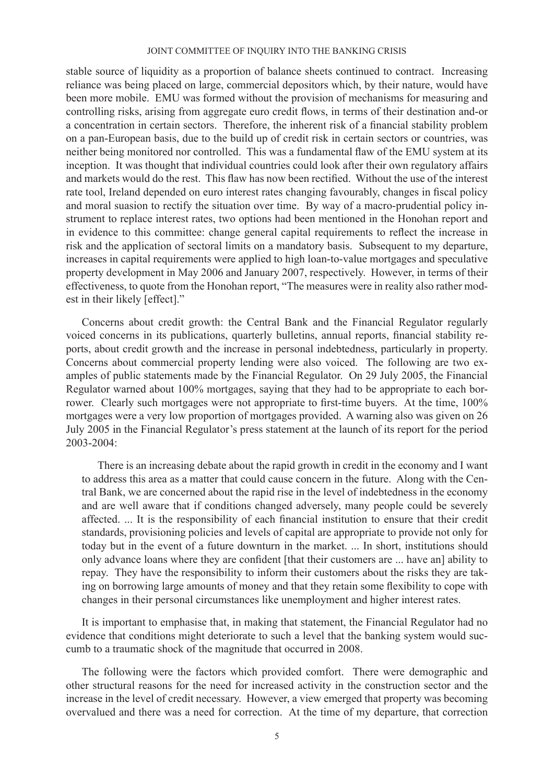stable source of liquidity as a proportion of balance sheets continued to contract. Increasing reliance was being placed on large, commercial depositors which, by their nature, would have been more mobile. EMU was formed without the provision of mechanisms for measuring and controlling risks, arising from aggregate euro credit flows, in terms of their destination and-or a concentration in certain sectors. Therefore, the inherent risk of a financial stability problem on a pan-European basis, due to the build up of credit risk in certain sectors or countries, was neither being monitored nor controlled. This was a fundamental flaw of the EMU system at its inception. It was thought that individual countries could look after their own regulatory affairs and markets would do the rest. This flaw has now been rectified. Without the use of the interest rate tool, Ireland depended on euro interest rates changing favourably, changes in fiscal policy and moral suasion to rectify the situation over time. By way of a macro-prudential policy instrument to replace interest rates, two options had been mentioned in the Honohan report and in evidence to this committee: change general capital requirements to reflect the increase in risk and the application of sectoral limits on a mandatory basis. Subsequent to my departure, increases in capital requirements were applied to high loan-to-value mortgages and speculative property development in May 2006 and January 2007, respectively. However, in terms of their effectiveness, to quote from the Honohan report, "The measures were in reality also rather modest in their likely [effect]."

Concerns about credit growth: the Central Bank and the Financial Regulator regularly voiced concerns in its publications, quarterly bulletins, annual reports, financial stability reports, about credit growth and the increase in personal indebtedness, particularly in property. Concerns about commercial property lending were also voiced. The following are two examples of public statements made by the Financial Regulator. On 29 July 2005, the Financial Regulator warned about 100% mortgages, saying that they had to be appropriate to each borrower. Clearly such mortgages were not appropriate to first-time buyers. At the time, 100% mortgages were a very low proportion of mortgages provided. A warning also was given on 26 July 2005 in the Financial Regulator's press statement at the launch of its report for the period 2003-2004:

There is an increasing debate about the rapid growth in credit in the economy and I want to address this area as a matter that could cause concern in the future. Along with the Central Bank, we are concerned about the rapid rise in the level of indebtedness in the economy and are well aware that if conditions changed adversely, many people could be severely affected. ... It is the responsibility of each financial institution to ensure that their credit standards, provisioning policies and levels of capital are appropriate to provide not only for today but in the event of a future downturn in the market. ... In short, institutions should only advance loans where they are confident [that their customers are ... have an] ability to repay. They have the responsibility to inform their customers about the risks they are taking on borrowing large amounts of money and that they retain some flexibility to cope with changes in their personal circumstances like unemployment and higher interest rates.

It is important to emphasise that, in making that statement, the Financial Regulator had no evidence that conditions might deteriorate to such a level that the banking system would succumb to a traumatic shock of the magnitude that occurred in 2008.

The following were the factors which provided comfort. There were demographic and other structural reasons for the need for increased activity in the construction sector and the increase in the level of credit necessary. However, a view emerged that property was becoming overvalued and there was a need for correction. At the time of my departure, that correction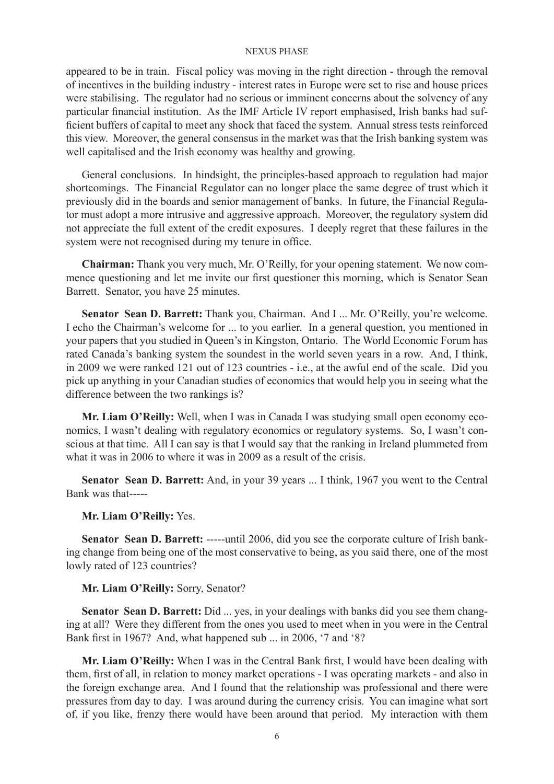appeared to be in train. Fiscal policy was moving in the right direction - through the removal of incentives in the building industry - interest rates in Europe were set to rise and house prices were stabilising. The regulator had no serious or imminent concerns about the solvency of any particular financial institution. As the IMF Article IV report emphasised, Irish banks had sufficient buffers of capital to meet any shock that faced the system. Annual stress tests reinforced this view. Moreover, the general consensus in the market was that the Irish banking system was well capitalised and the Irish economy was healthy and growing.

General conclusions. In hindsight, the principles-based approach to regulation had major shortcomings. The Financial Regulator can no longer place the same degree of trust which it previously did in the boards and senior management of banks. In future, the Financial Regulator must adopt a more intrusive and aggressive approach. Moreover, the regulatory system did not appreciate the full extent of the credit exposures. I deeply regret that these failures in the system were not recognised during my tenure in office.

**Chairman:** Thank you very much, Mr. O'Reilly, for your opening statement. We now commence questioning and let me invite our first questioner this morning, which is Senator Sean Barrett. Senator, you have 25 minutes.

**Senator Sean D. Barrett:** Thank you, Chairman. And I ... Mr. O'Reilly, you're welcome. I echo the Chairman's welcome for ... to you earlier. In a general question, you mentioned in your papers that you studied in Queen's in Kingston, Ontario. The World Economic Forum has rated Canada's banking system the soundest in the world seven years in a row. And, I think, in 2009 we were ranked 121 out of 123 countries - i.e., at the awful end of the scale. Did you pick up anything in your Canadian studies of economics that would help you in seeing what the difference between the two rankings is?

**Mr. Liam O'Reilly:** Well, when I was in Canada I was studying small open economy economics, I wasn't dealing with regulatory economics or regulatory systems. So, I wasn't conscious at that time. All I can say is that I would say that the ranking in Ireland plummeted from what it was in 2006 to where it was in 2009 as a result of the crisis.

**Senator Sean D. Barrett:** And, in your 39 years ... I think, 1967 you went to the Central Bank was that-----

### **Mr. Liam O'Reilly:** Yes.

Senator Sean D. Barrett: -----until 2006, did you see the corporate culture of Irish banking change from being one of the most conservative to being, as you said there, one of the most lowly rated of 123 countries?

# **Mr. Liam O'Reilly:** Sorry, Senator?

**Senator Sean D. Barrett:** Did ... yes, in your dealings with banks did you see them changing at all? Were they different from the ones you used to meet when in you were in the Central Bank first in 1967? And, what happened sub ... in 2006, '7 and '8?

**Mr. Liam O'Reilly:** When I was in the Central Bank first, I would have been dealing with them, first of all, in relation to money market operations - I was operating markets - and also in the foreign exchange area. And I found that the relationship was professional and there were pressures from day to day. I was around during the currency crisis. You can imagine what sort of, if you like, frenzy there would have been around that period. My interaction with them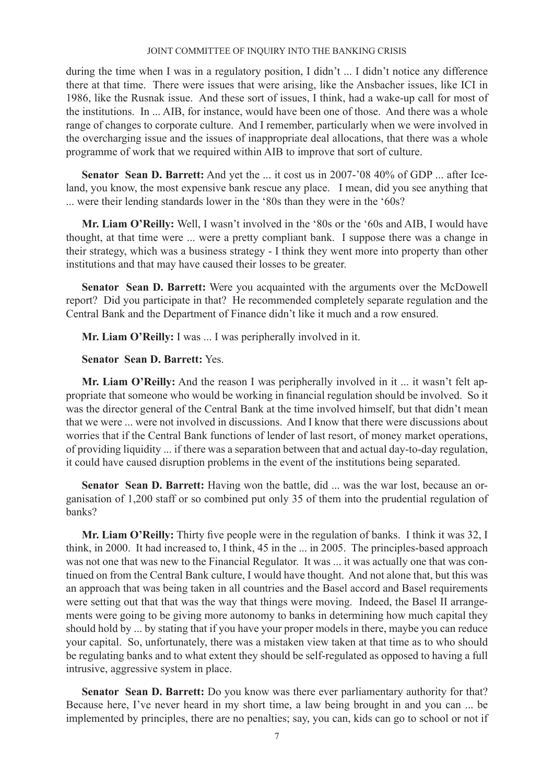during the time when I was in a regulatory position, I didn't ... I didn't notice any difference there at that time. There were issues that were arising, like the Ansbacher issues, like ICI in 1986, like the Rusnak issue. And these sort of issues, I think, had a wake-up call for most of the institutions. In ... AIB, for instance, would have been one of those. And there was a whole range of changes to corporate culture. And I remember, particularly when we were involved in the overcharging issue and the issues of inappropriate deal allocations, that there was a whole programme of work that we required within AIB to improve that sort of culture.

**Senator Sean D. Barrett:** And yet the ... it cost us in 2007-'08 40% of GDP ... after Iceland, you know, the most expensive bank rescue any place. I mean, did you see anything that ... were their lending standards lower in the '80s than they were in the '60s?

**Mr. Liam O'Reilly:** Well, I wasn't involved in the '80s or the '60s and AIB, I would have thought, at that time were ... were a pretty compliant bank. I suppose there was a change in their strategy, which was a business strategy - I think they went more into property than other institutions and that may have caused their losses to be greater.

**Senator Sean D. Barrett:** Were you acquainted with the arguments over the McDowell report? Did you participate in that? He recommended completely separate regulation and the Central Bank and the Department of Finance didn't like it much and a row ensured.

**Mr. Liam O'Reilly:** I was ... I was peripherally involved in it.

# **Senator Sean D. Barrett:** Yes.

**Mr. Liam O'Reilly:** And the reason I was peripherally involved in it ... it wasn't felt appropriate that someone who would be working in financial regulation should be involved. So it was the director general of the Central Bank at the time involved himself, but that didn't mean that we were ... were not involved in discussions. And I know that there were discussions about worries that if the Central Bank functions of lender of last resort, of money market operations, of providing liquidity ... if there was a separation between that and actual day-to-day regulation, it could have caused disruption problems in the event of the institutions being separated.

**Senator Sean D. Barrett:** Having won the battle, did ... was the war lost, because an organisation of 1,200 staff or so combined put only 35 of them into the prudential regulation of banks?

**Mr. Liam O'Reilly:** Thirty five people were in the regulation of banks. I think it was 32, I think, in 2000. It had increased to, I think, 45 in the ... in 2005. The principles-based approach was not one that was new to the Financial Regulator. It was ... it was actually one that was continued on from the Central Bank culture, I would have thought. And not alone that, but this was an approach that was being taken in all countries and the Basel accord and Basel requirements were setting out that that was the way that things were moving. Indeed, the Basel II arrangements were going to be giving more autonomy to banks in determining how much capital they should hold by ... by stating that if you have your proper models in there, maybe you can reduce your capital. So, unfortunately, there was a mistaken view taken at that time as to who should be regulating banks and to what extent they should be self-regulated as opposed to having a full intrusive, aggressive system in place.

**Senator Sean D. Barrett:** Do you know was there ever parliamentary authority for that? Because here, I've never heard in my short time, a law being brought in and you can ... be implemented by principles, there are no penalties; say, you can, kids can go to school or not if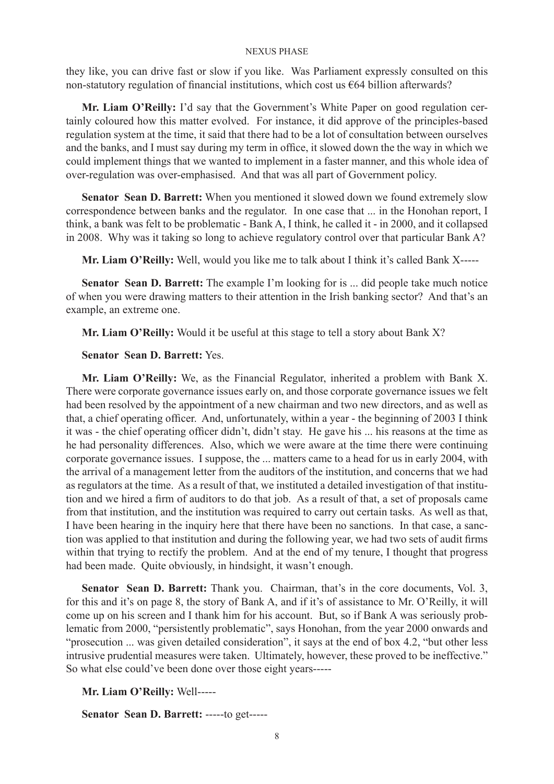they like, you can drive fast or slow if you like. Was Parliament expressly consulted on this non-statutory regulation of financial institutions, which cost us €64 billion afterwards?

**Mr. Liam O'Reilly:** I'd say that the Government's White Paper on good regulation certainly coloured how this matter evolved. For instance, it did approve of the principles-based regulation system at the time, it said that there had to be a lot of consultation between ourselves and the banks, and I must say during my term in office, it slowed down the the way in which we could implement things that we wanted to implement in a faster manner, and this whole idea of over-regulation was over-emphasised. And that was all part of Government policy.

**Senator Sean D. Barrett:** When you mentioned it slowed down we found extremely slow correspondence between banks and the regulator. In one case that ... in the Honohan report, I think, a bank was felt to be problematic - Bank A, I think, he called it - in 2000, and it collapsed in 2008. Why was it taking so long to achieve regulatory control over that particular Bank A?

**Mr. Liam O'Reilly:** Well, would you like me to talk about I think it's called Bank X-----

**Senator Sean D. Barrett:** The example I'm looking for is ... did people take much notice of when you were drawing matters to their attention in the Irish banking sector? And that's an example, an extreme one.

**Mr. Liam O'Reilly:** Would it be useful at this stage to tell a story about Bank X?

# **Senator Sean D. Barrett:** Yes.

**Mr. Liam O'Reilly:** We, as the Financial Regulator, inherited a problem with Bank X. There were corporate governance issues early on, and those corporate governance issues we felt had been resolved by the appointment of a new chairman and two new directors, and as well as that, a chief operating officer. And, unfortunately, within a year - the beginning of 2003 I think it was - the chief operating officer didn't, didn't stay. He gave his ... his reasons at the time as he had personality differences. Also, which we were aware at the time there were continuing corporate governance issues. I suppose, the ... matters came to a head for us in early 2004, with the arrival of a management letter from the auditors of the institution, and concerns that we had as regulators at the time. As a result of that, we instituted a detailed investigation of that institution and we hired a firm of auditors to do that job. As a result of that, a set of proposals came from that institution, and the institution was required to carry out certain tasks. As well as that, I have been hearing in the inquiry here that there have been no sanctions. In that case, a sanction was applied to that institution and during the following year, we had two sets of audit firms within that trying to rectify the problem. And at the end of my tenure, I thought that progress had been made. Quite obviously, in hindsight, it wasn't enough.

**Senator Sean D. Barrett:** Thank you. Chairman, that's in the core documents, Vol. 3, for this and it's on page 8, the story of Bank A, and if it's of assistance to Mr. O'Reilly, it will come up on his screen and I thank him for his account. But, so if Bank A was seriously problematic from 2000, "persistently problematic", says Honohan, from the year 2000 onwards and "prosecution ... was given detailed consideration", it says at the end of box 4.2, "but other less intrusive prudential measures were taken. Ultimately, however, these proved to be ineffective." So what else could've been done over those eight years-----

**Mr. Liam O'Reilly:** Well-----

**Senator Sean D. Barrett:** -----to get-----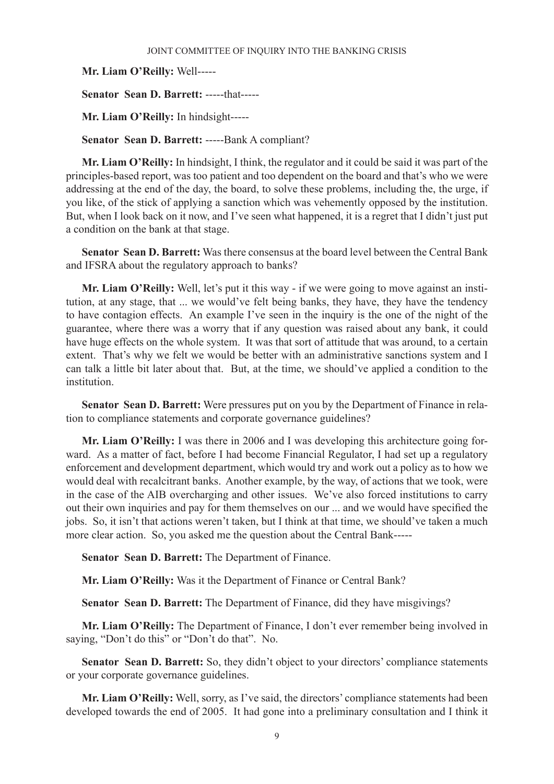**Mr. Liam O'Reilly:** Well-----

**Senator Sean D. Barrett:** -----that-----

**Mr. Liam O'Reilly:** In hindsight-----

**Senator Sean D. Barrett:** -----Bank A compliant?

**Mr. Liam O'Reilly:** In hindsight, I think, the regulator and it could be said it was part of the principles-based report, was too patient and too dependent on the board and that's who we were addressing at the end of the day, the board, to solve these problems, including the, the urge, if you like, of the stick of applying a sanction which was vehemently opposed by the institution. But, when I look back on it now, and I've seen what happened, it is a regret that I didn't just put a condition on the bank at that stage.

**Senator Sean D. Barrett:** Was there consensus at the board level between the Central Bank and IFSRA about the regulatory approach to banks?

**Mr. Liam O'Reilly:** Well, let's put it this way - if we were going to move against an institution, at any stage, that ... we would've felt being banks, they have, they have the tendency to have contagion effects. An example I've seen in the inquiry is the one of the night of the guarantee, where there was a worry that if any question was raised about any bank, it could have huge effects on the whole system. It was that sort of attitude that was around, to a certain extent. That's why we felt we would be better with an administrative sanctions system and I can talk a little bit later about that. But, at the time, we should've applied a condition to the institution.

**Senator Sean D. Barrett:** Were pressures put on you by the Department of Finance in relation to compliance statements and corporate governance guidelines?

**Mr. Liam O'Reilly:** I was there in 2006 and I was developing this architecture going forward. As a matter of fact, before I had become Financial Regulator, I had set up a regulatory enforcement and development department, which would try and work out a policy as to how we would deal with recalcitrant banks. Another example, by the way, of actions that we took, were in the case of the AIB overcharging and other issues. We've also forced institutions to carry out their own inquiries and pay for them themselves on our ... and we would have specified the jobs. So, it isn't that actions weren't taken, but I think at that time, we should've taken a much more clear action. So, you asked me the question about the Central Bank-----

**Senator Sean D. Barrett:** The Department of Finance.

**Mr. Liam O'Reilly:** Was it the Department of Finance or Central Bank?

**Senator Sean D. Barrett:** The Department of Finance, did they have misgivings?

**Mr. Liam O'Reilly:** The Department of Finance, I don't ever remember being involved in saying, "Don't do this" or "Don't do that". No.

Senator Sean D. Barrett: So, they didn't object to your directors' compliance statements or your corporate governance guidelines.

**Mr. Liam O'Reilly:** Well, sorry, as I've said, the directors' compliance statements had been developed towards the end of 2005. It had gone into a preliminary consultation and I think it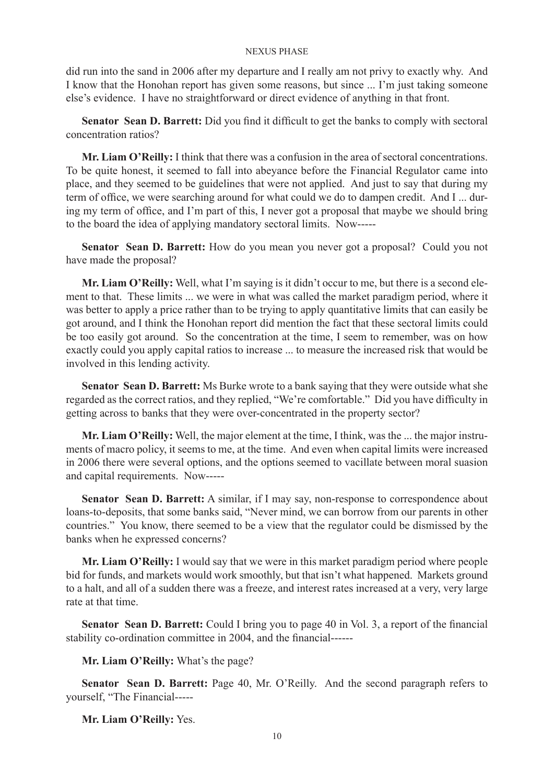did run into the sand in 2006 after my departure and I really am not privy to exactly why. And I know that the Honohan report has given some reasons, but since ... I'm just taking someone else's evidence. I have no straightforward or direct evidence of anything in that front.

**Senator Sean D. Barrett:** Did you find it difficult to get the banks to comply with sectoral concentration ratios?

**Mr. Liam O'Reilly:** I think that there was a confusion in the area of sectoral concentrations. To be quite honest, it seemed to fall into abeyance before the Financial Regulator came into place, and they seemed to be guidelines that were not applied. And just to say that during my term of office, we were searching around for what could we do to dampen credit. And I ... during my term of office, and I'm part of this, I never got a proposal that maybe we should bring to the board the idea of applying mandatory sectoral limits. Now-----

**Senator Sean D. Barrett:** How do you mean you never got a proposal? Could you not have made the proposal?

**Mr. Liam O'Reilly:** Well, what I'm saying is it didn't occur to me, but there is a second element to that. These limits ... we were in what was called the market paradigm period, where it was better to apply a price rather than to be trying to apply quantitative limits that can easily be got around, and I think the Honohan report did mention the fact that these sectoral limits could be too easily got around. So the concentration at the time, I seem to remember, was on how exactly could you apply capital ratios to increase ... to measure the increased risk that would be involved in this lending activity.

**Senator Sean D. Barrett:** Ms Burke wrote to a bank saying that they were outside what she regarded as the correct ratios, and they replied, "We're comfortable." Did you have difficulty in getting across to banks that they were over-concentrated in the property sector?

**Mr. Liam O'Reilly:** Well, the major element at the time, I think, was the ... the major instruments of macro policy, it seems to me, at the time. And even when capital limits were increased in 2006 there were several options, and the options seemed to vacillate between moral suasion and capital requirements. Now-----

**Senator Sean D. Barrett:** A similar, if I may say, non-response to correspondence about loans-to-deposits, that some banks said, "Never mind, we can borrow from our parents in other countries." You know, there seemed to be a view that the regulator could be dismissed by the banks when he expressed concerns?

**Mr. Liam O'Reilly:** I would say that we were in this market paradigm period where people bid for funds, and markets would work smoothly, but that isn't what happened. Markets ground to a halt, and all of a sudden there was a freeze, and interest rates increased at a very, very large rate at that time.

**Senator Sean D. Barrett:** Could I bring you to page 40 in Vol. 3, a report of the financial stability co-ordination committee in 2004, and the financial------

**Mr. Liam O'Reilly:** What's the page?

**Senator Sean D. Barrett:** Page 40, Mr. O'Reilly. And the second paragraph refers to yourself, "The Financial-----

**Mr. Liam O'Reilly:** Yes.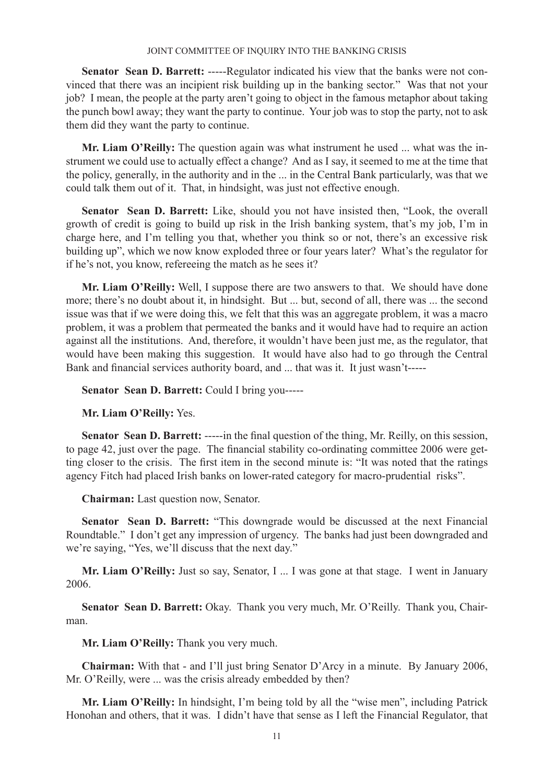**Senator Sean D. Barrett:** -----Regulator indicated his view that the banks were not convinced that there was an incipient risk building up in the banking sector." Was that not your job? I mean, the people at the party aren't going to object in the famous metaphor about taking the punch bowl away; they want the party to continue. Your job was to stop the party, not to ask them did they want the party to continue.

**Mr. Liam O'Reilly:** The question again was what instrument he used ... what was the instrument we could use to actually effect a change? And as I say, it seemed to me at the time that the policy, generally, in the authority and in the ... in the Central Bank particularly, was that we could talk them out of it. That, in hindsight, was just not effective enough.

**Senator Sean D. Barrett:** Like, should you not have insisted then, "Look, the overall growth of credit is going to build up risk in the Irish banking system, that's my job, I'm in charge here, and I'm telling you that, whether you think so or not, there's an excessive risk building up", which we now know exploded three or four years later? What's the regulator for if he's not, you know, refereeing the match as he sees it?

**Mr. Liam O'Reilly:** Well, I suppose there are two answers to that. We should have done more; there's no doubt about it, in hindsight. But ... but, second of all, there was ... the second issue was that if we were doing this, we felt that this was an aggregate problem, it was a macro problem, it was a problem that permeated the banks and it would have had to require an action against all the institutions. And, therefore, it wouldn't have been just me, as the regulator, that would have been making this suggestion. It would have also had to go through the Central Bank and financial services authority board, and ... that was it. It just wasn't-----

**Senator Sean D. Barrett:** Could I bring you-----

**Mr. Liam O'Reilly:** Yes.

**Senator Sean D. Barrett:** -----in the final question of the thing, Mr. Reilly, on this session, to page 42, just over the page. The financial stability co-ordinating committee 2006 were getting closer to the crisis. The first item in the second minute is: "It was noted that the ratings agency Fitch had placed Irish banks on lower-rated category for macro-prudential risks".

**Chairman:** Last question now, Senator.

**Senator Sean D. Barrett:** "This downgrade would be discussed at the next Financial Roundtable." I don't get any impression of urgency. The banks had just been downgraded and we're saying, "Yes, we'll discuss that the next day."

Mr. Liam O'Reilly: Just so say, Senator, I ... I was gone at that stage. I went in January 2006.

**Senator Sean D. Barrett:** Okay. Thank you very much, Mr. O'Reilly. Thank you, Chairman.

**Mr. Liam O'Reilly:** Thank you very much.

**Chairman:** With that - and I'll just bring Senator D'Arcy in a minute. By January 2006, Mr. O'Reilly, were ... was the crisis already embedded by then?

**Mr. Liam O'Reilly:** In hindsight, I'm being told by all the "wise men", including Patrick Honohan and others, that it was. I didn't have that sense as I left the Financial Regulator, that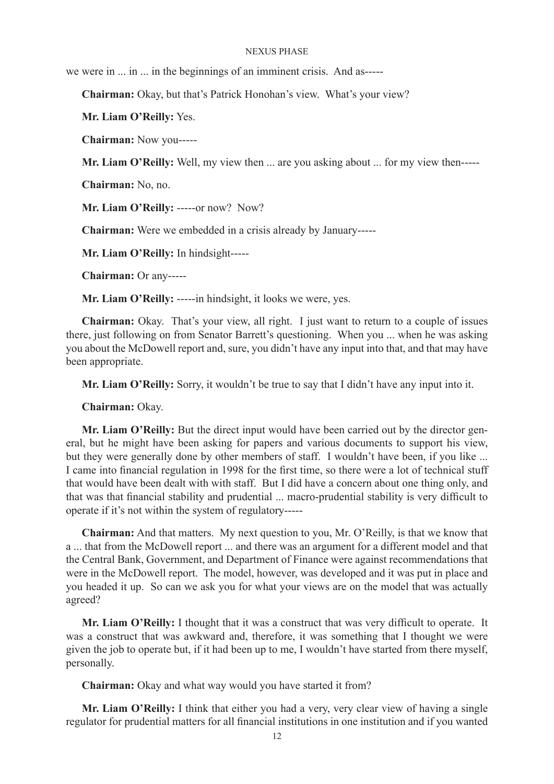we were in ... in ... in the beginnings of an imminent crisis. And as-----

**Chairman:** Okay, but that's Patrick Honohan's view. What's your view?

**Mr. Liam O'Reilly:** Yes.

**Chairman:** Now you-----

**Mr. Liam O'Reilly:** Well, my view then ... are you asking about ... for my view then-----

**Chairman:** No, no.

Mr. Liam O'Reilly: -----or now? Now?

**Chairman:** Were we embedded in a crisis already by January-----

**Mr. Liam O'Reilly:** In hindsight-----

**Chairman:** Or any-----

**Mr. Liam O'Reilly:** -----in hindsight, it looks we were, yes.

**Chairman:** Okay. That's your view, all right. I just want to return to a couple of issues there, just following on from Senator Barrett's questioning. When you ... when he was asking you about the McDowell report and, sure, you didn't have any input into that, and that may have been appropriate.

**Mr. Liam O'Reilly:** Sorry, it wouldn't be true to say that I didn't have any input into it.

**Chairman:** Okay.

**Mr. Liam O'Reilly:** But the direct input would have been carried out by the director general, but he might have been asking for papers and various documents to support his view, but they were generally done by other members of staff. I wouldn't have been, if you like ... I came into financial regulation in 1998 for the first time, so there were a lot of technical stuff that would have been dealt with with staff. But I did have a concern about one thing only, and that was that financial stability and prudential ... macro-prudential stability is very difficult to operate if it's not within the system of regulatory-----

**Chairman:** And that matters. My next question to you, Mr. O'Reilly, is that we know that a ... that from the McDowell report ... and there was an argument for a different model and that the Central Bank, Government, and Department of Finance were against recommendations that were in the McDowell report. The model, however, was developed and it was put in place and you headed it up. So can we ask you for what your views are on the model that was actually agreed?

**Mr. Liam O'Reilly:** I thought that it was a construct that was very difficult to operate. It was a construct that was awkward and, therefore, it was something that I thought we were given the job to operate but, if it had been up to me, I wouldn't have started from there myself, personally.

**Chairman:** Okay and what way would you have started it from?

**Mr. Liam O'Reilly:** I think that either you had a very, very clear view of having a single regulator for prudential matters for all financial institutions in one institution and if you wanted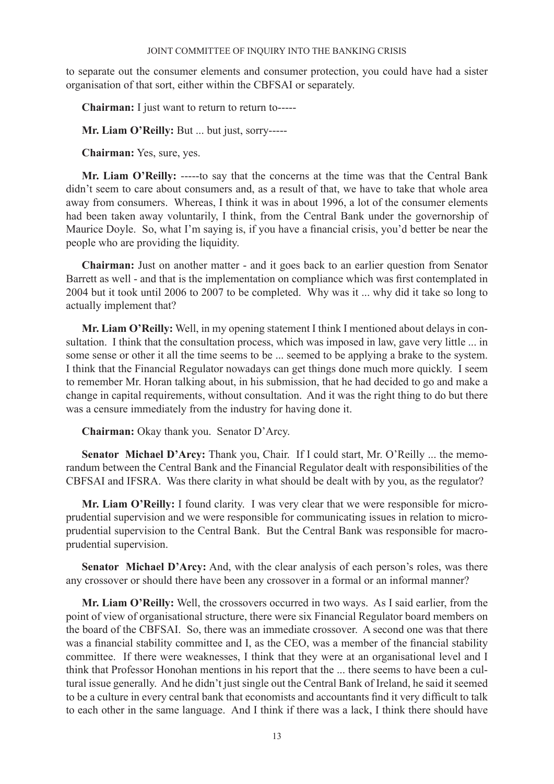to separate out the consumer elements and consumer protection, you could have had a sister organisation of that sort, either within the CBFSAI or separately.

**Chairman:** I just want to return to return to-----

**Mr. Liam O'Reilly:** But ... but just, sorry-----

**Chairman:** Yes, sure, yes.

**Mr. Liam O'Reilly:** -----to say that the concerns at the time was that the Central Bank didn't seem to care about consumers and, as a result of that, we have to take that whole area away from consumers. Whereas, I think it was in about 1996, a lot of the consumer elements had been taken away voluntarily, I think, from the Central Bank under the governorship of Maurice Doyle. So, what I'm saying is, if you have a financial crisis, you'd better be near the people who are providing the liquidity.

**Chairman:** Just on another matter - and it goes back to an earlier question from Senator Barrett as well - and that is the implementation on compliance which was first contemplated in 2004 but it took until 2006 to 2007 to be completed. Why was it ... why did it take so long to actually implement that?

**Mr. Liam O'Reilly:** Well, in my opening statement I think I mentioned about delays in consultation. I think that the consultation process, which was imposed in law, gave very little ... in some sense or other it all the time seems to be ... seemed to be applying a brake to the system. I think that the Financial Regulator nowadays can get things done much more quickly. I seem to remember Mr. Horan talking about, in his submission, that he had decided to go and make a change in capital requirements, without consultation. And it was the right thing to do but there was a censure immediately from the industry for having done it.

**Chairman:** Okay thank you. Senator D'Arcy.

**Senator Michael D'Arcy:** Thank you, Chair. If I could start, Mr. O'Reilly ... the memorandum between the Central Bank and the Financial Regulator dealt with responsibilities of the CBFSAI and IFSRA. Was there clarity in what should be dealt with by you, as the regulator?

**Mr. Liam O'Reilly:** I found clarity. I was very clear that we were responsible for microprudential supervision and we were responsible for communicating issues in relation to microprudential supervision to the Central Bank. But the Central Bank was responsible for macroprudential supervision.

**Senator Michael D'Arcy:** And, with the clear analysis of each person's roles, was there any crossover or should there have been any crossover in a formal or an informal manner?

**Mr. Liam O'Reilly:** Well, the crossovers occurred in two ways. As I said earlier, from the point of view of organisational structure, there were six Financial Regulator board members on the board of the CBFSAI. So, there was an immediate crossover. A second one was that there was a financial stability committee and I, as the CEO, was a member of the financial stability committee. If there were weaknesses, I think that they were at an organisational level and I think that Professor Honohan mentions in his report that the ... there seems to have been a cultural issue generally. And he didn't just single out the Central Bank of Ireland, he said it seemed to be a culture in every central bank that economists and accountants find it very difficult to talk to each other in the same language. And I think if there was a lack, I think there should have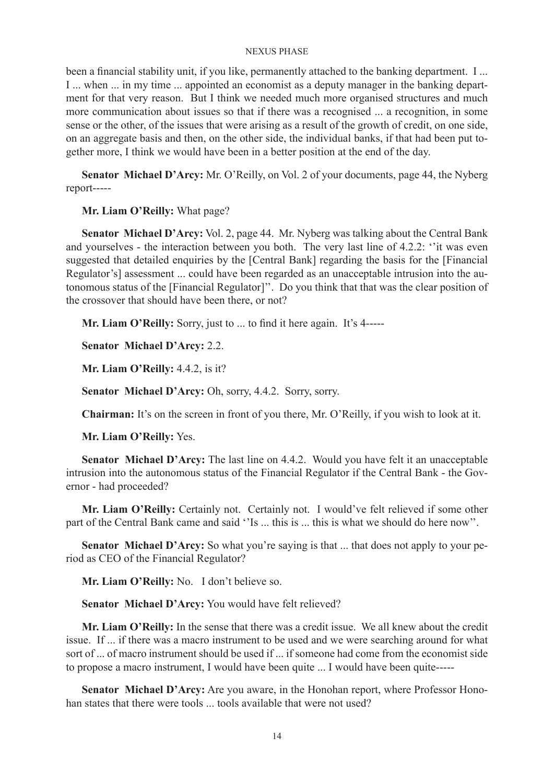been a financial stability unit, if you like, permanently attached to the banking department. I ... I ... when ... in my time ... appointed an economist as a deputy manager in the banking department for that very reason. But I think we needed much more organised structures and much more communication about issues so that if there was a recognised ... a recognition, in some sense or the other, of the issues that were arising as a result of the growth of credit, on one side, on an aggregate basis and then, on the other side, the individual banks, if that had been put together more, I think we would have been in a better position at the end of the day.

**Senator Michael D'Arcy:** Mr. O'Reilly, on Vol. 2 of your documents, page 44, the Nyberg report-----

**Mr. Liam O'Reilly:** What page?

**Senator Michael D'Arcy:** Vol. 2, page 44. Mr. Nyberg was talking about the Central Bank and yourselves - the interaction between you both. The very last line of 4.2.2: ''it was even suggested that detailed enquiries by the [Central Bank] regarding the basis for the [Financial Regulator's] assessment ... could have been regarded as an unacceptable intrusion into the autonomous status of the [Financial Regulator]''. Do you think that that was the clear position of the crossover that should have been there, or not?

**Mr. Liam O'Reilly:** Sorry, just to ... to find it here again. It's 4-----

**Senator Michael D'Arcy:** 2.2.

**Mr. Liam O'Reilly:** 4.4.2, is it?

**Senator Michael D'Arcy:** Oh, sorry, 4.4.2. Sorry, sorry.

**Chairman:** It's on the screen in front of you there, Mr. O'Reilly, if you wish to look at it.

**Mr. Liam O'Reilly:** Yes.

**Senator Michael D'Arcy:** The last line on 4.4.2. Would you have felt it an unacceptable intrusion into the autonomous status of the Financial Regulator if the Central Bank - the Governor - had proceeded?

**Mr. Liam O'Reilly:** Certainly not. Certainly not. I would've felt relieved if some other part of the Central Bank came and said ''Is ... this is ... this is what we should do here now".

**Senator Michael D'Arcy:** So what you're saying is that ... that does not apply to your period as CEO of the Financial Regulator?

**Mr. Liam O'Reilly:** No. I don't believe so.

**Senator Michael D'Arcy:** You would have felt relieved?

**Mr. Liam O'Reilly:** In the sense that there was a credit issue. We all knew about the credit issue. If ... if there was a macro instrument to be used and we were searching around for what sort of ... of macro instrument should be used if ... if someone had come from the economist side to propose a macro instrument, I would have been quite ... I would have been quite-----

**Senator Michael D'Arcy:** Are you aware, in the Honohan report, where Professor Honohan states that there were tools ... tools available that were not used?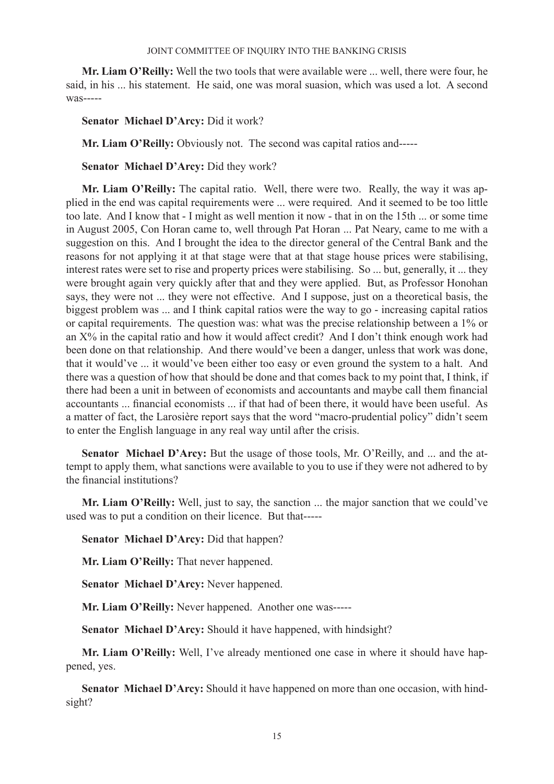**Mr. Liam O'Reilly:** Well the two tools that were available were ... well, there were four, he said, in his ... his statement. He said, one was moral suasion, which was used a lot. A second was-----

**Senator Michael D'Arcy:** Did it work?

**Mr. Liam O'Reilly:** Obviously not. The second was capital ratios and-----

**Senator Michael D'Arcy:** Did they work?

**Mr. Liam O'Reilly:** The capital ratio. Well, there were two. Really, the way it was applied in the end was capital requirements were ... were required. And it seemed to be too little too late. And I know that - I might as well mention it now - that in on the 15th ... or some time in August 2005, Con Horan came to, well through Pat Horan ... Pat Neary, came to me with a suggestion on this. And I brought the idea to the director general of the Central Bank and the reasons for not applying it at that stage were that at that stage house prices were stabilising, interest rates were set to rise and property prices were stabilising. So ... but, generally, it ... they were brought again very quickly after that and they were applied. But, as Professor Honohan says, they were not ... they were not effective. And I suppose, just on a theoretical basis, the biggest problem was ... and I think capital ratios were the way to go - increasing capital ratios or capital requirements. The question was: what was the precise relationship between a 1% or an X% in the capital ratio and how it would affect credit? And I don't think enough work had been done on that relationship. And there would've been a danger, unless that work was done, that it would've ... it would've been either too easy or even ground the system to a halt. And there was a question of how that should be done and that comes back to my point that, I think, if there had been a unit in between of economists and accountants and maybe call them financial accountants ... financial economists ... if that had of been there, it would have been useful. As a matter of fact, the Larosière report says that the word "macro-prudential policy" didn't seem to enter the English language in any real way until after the crisis.

**Senator Michael D'Arcy:** But the usage of those tools, Mr. O'Reilly, and ... and the attempt to apply them, what sanctions were available to you to use if they were not adhered to by the financial institutions?

**Mr. Liam O'Reilly:** Well, just to say, the sanction ... the major sanction that we could've used was to put a condition on their licence. But that-----

**Senator Michael D'Arcy:** Did that happen?

**Mr. Liam O'Reilly:** That never happened.

**Senator Michael D'Arcy:** Never happened.

**Mr. Liam O'Reilly:** Never happened. Another one was-----

**Senator Michael D'Arcy:** Should it have happened, with hindsight?

**Mr. Liam O'Reilly:** Well, I've already mentioned one case in where it should have happened, yes.

**Senator Michael D'Arcy:** Should it have happened on more than one occasion, with hindsight?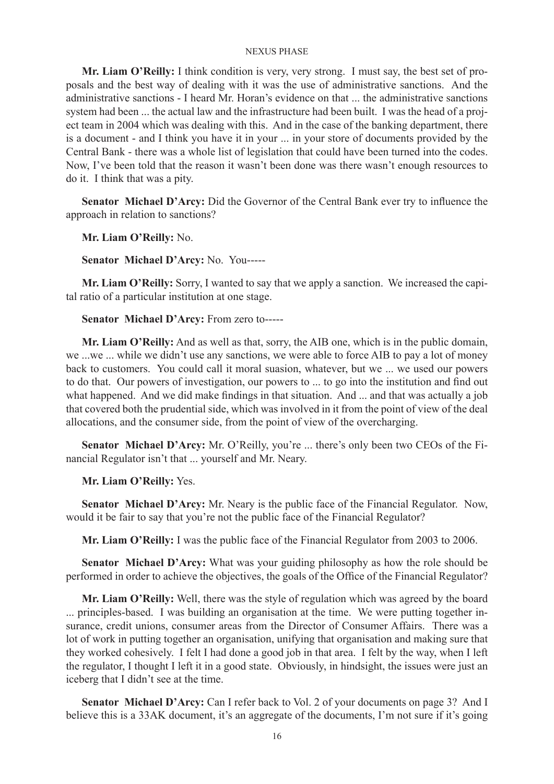**Mr. Liam O'Reilly:** I think condition is very, very strong. I must say, the best set of proposals and the best way of dealing with it was the use of administrative sanctions. And the administrative sanctions - I heard Mr. Horan's evidence on that ... the administrative sanctions system had been ... the actual law and the infrastructure had been built. I was the head of a project team in 2004 which was dealing with this. And in the case of the banking department, there is a document - and I think you have it in your ... in your store of documents provided by the Central Bank - there was a whole list of legislation that could have been turned into the codes. Now, I've been told that the reason it wasn't been done was there wasn't enough resources to do it. I think that was a pity.

**Senator Michael D'Arcy:** Did the Governor of the Central Bank ever try to influence the approach in relation to sanctions?

**Mr. Liam O'Reilly:** No.

**Senator Michael D'Arcy:** No. You-----

**Mr. Liam O'Reilly:** Sorry, I wanted to say that we apply a sanction. We increased the capital ratio of a particular institution at one stage.

### **Senator Michael D'Arcy:** From zero to-----

**Mr. Liam O'Reilly:** And as well as that, sorry, the AIB one, which is in the public domain, we ...we ... while we didn't use any sanctions, we were able to force AIB to pay a lot of money back to customers. You could call it moral suasion, whatever, but we ... we used our powers to do that. Our powers of investigation, our powers to ... to go into the institution and find out what happened. And we did make findings in that situation. And ... and that was actually a job that covered both the prudential side, which was involved in it from the point of view of the deal allocations, and the consumer side, from the point of view of the overcharging.

**Senator Michael D'Arcy:** Mr. O'Reilly, you're ... there's only been two CEOs of the Financial Regulator isn't that ... yourself and Mr. Neary.

### **Mr. Liam O'Reilly:** Yes.

**Senator Michael D'Arcy:** Mr. Neary is the public face of the Financial Regulator. Now, would it be fair to say that you're not the public face of the Financial Regulator?

**Mr. Liam O'Reilly:** I was the public face of the Financial Regulator from 2003 to 2006.

**Senator Michael D'Arcy:** What was your guiding philosophy as how the role should be performed in order to achieve the objectives, the goals of the Office of the Financial Regulator?

**Mr. Liam O'Reilly:** Well, there was the style of regulation which was agreed by the board ... principles-based. I was building an organisation at the time. We were putting together insurance, credit unions, consumer areas from the Director of Consumer Affairs. There was a lot of work in putting together an organisation, unifying that organisation and making sure that they worked cohesively. I felt I had done a good job in that area. I felt by the way, when I left the regulator, I thought I left it in a good state. Obviously, in hindsight, the issues were just an iceberg that I didn't see at the time.

**Senator Michael D'Arcy:** Can I refer back to Vol. 2 of your documents on page 3? And I believe this is a 33AK document, it's an aggregate of the documents, I'm not sure if it's going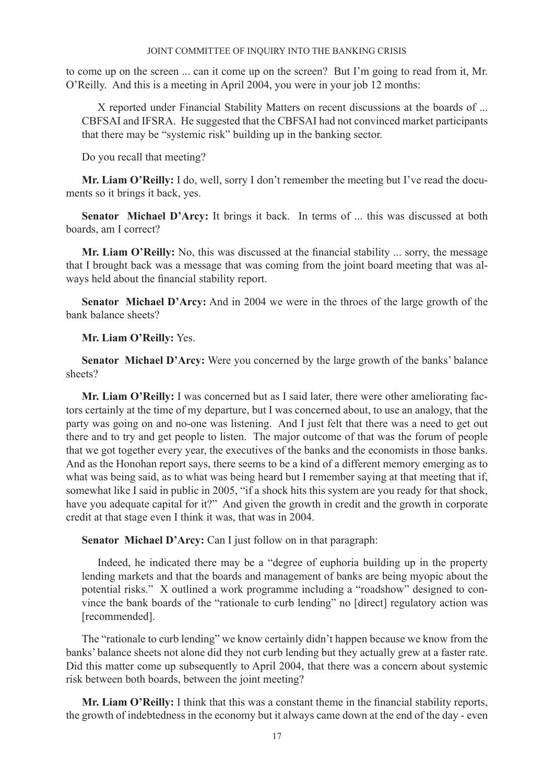to come up on the screen ... can it come up on the screen? But I'm going to read from it, Mr. O'Reilly. And this is a meeting in April 2004, you were in your job 12 months:

X reported under Financial Stability Matters on recent discussions at the boards of ... CBFSAI and IFSRA. He suggested that the CBFSAI had not convinced market participants that there may be "systemic risk" building up in the banking sector.

Do you recall that meeting?

**Mr. Liam O'Reilly:** I do, well, sorry I don't remember the meeting but I've read the documents so it brings it back, yes.

Senator Michael D'Arcy: It brings it back. In terms of ... this was discussed at both boards, am I correct?

**Mr. Liam O'Reilly:** No, this was discussed at the financial stability ... sorry, the message that I brought back was a message that was coming from the joint board meeting that was always held about the financial stability report.

**Senator Michael D'Arcy:** And in 2004 we were in the throes of the large growth of the bank balance sheets?

**Mr. Liam O'Reilly:** Yes.

**Senator Michael D'Arcy:** Were you concerned by the large growth of the banks' balance sheets?

**Mr. Liam O'Reilly:** I was concerned but as I said later, there were other ameliorating factors certainly at the time of my departure, but I was concerned about, to use an analogy, that the party was going on and no-one was listening. And I just felt that there was a need to get out there and to try and get people to listen. The major outcome of that was the forum of people that we got together every year, the executives of the banks and the economists in those banks. And as the Honohan report says, there seems to be a kind of a different memory emerging as to what was being said, as to what was being heard but I remember saying at that meeting that if, somewhat like I said in public in 2005, "if a shock hits this system are you ready for that shock, have you adequate capital for it?" And given the growth in credit and the growth in corporate credit at that stage even I think it was, that was in 2004.

**Senator Michael D'Arcy:** Can I just follow on in that paragraph:

Indeed, he indicated there may be a "degree of euphoria building up in the property lending markets and that the boards and management of banks are being myopic about the potential risks." X outlined a work programme including a "roadshow" designed to convince the bank boards of the "rationale to curb lending" no [direct] regulatory action was [recommended].

The "rationale to curb lending" we know certainly didn't happen because we know from the banks' balance sheets not alone did they not curb lending but they actually grew at a faster rate. Did this matter come up subsequently to April 2004, that there was a concern about systemic risk between both boards, between the joint meeting?

**Mr. Liam O'Reilly:** I think that this was a constant theme in the financial stability reports, the growth of indebtedness in the economy but it always came down at the end of the day - even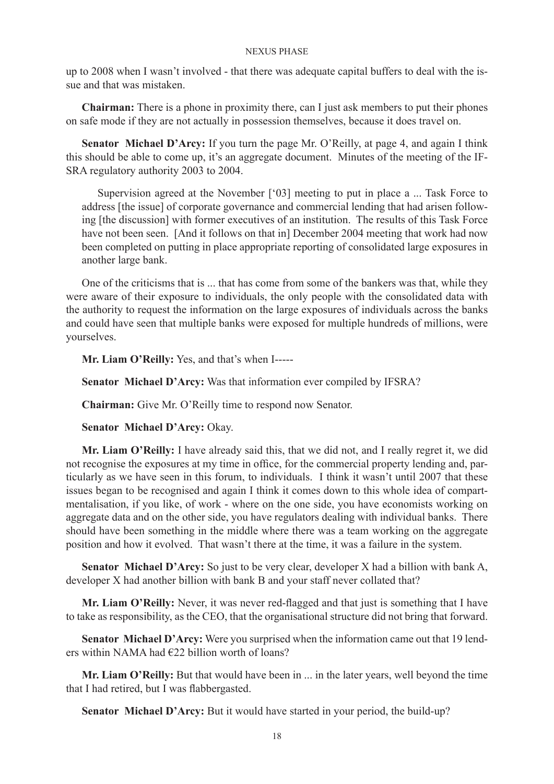up to 2008 when I wasn't involved - that there was adequate capital buffers to deal with the issue and that was mistaken.

**Chairman:** There is a phone in proximity there, can I just ask members to put their phones on safe mode if they are not actually in possession themselves, because it does travel on.

**Senator Michael D'Arcy:** If you turn the page Mr. O'Reilly, at page 4, and again I think this should be able to come up, it's an aggregate document. Minutes of the meeting of the IF-SRA regulatory authority 2003 to 2004.

Supervision agreed at the November ['03] meeting to put in place a ... Task Force to address [the issue] of corporate governance and commercial lending that had arisen following [the discussion] with former executives of an institution. The results of this Task Force have not been seen. [And it follows on that in] December 2004 meeting that work had now been completed on putting in place appropriate reporting of consolidated large exposures in another large bank.

One of the criticisms that is ... that has come from some of the bankers was that, while they were aware of their exposure to individuals, the only people with the consolidated data with the authority to request the information on the large exposures of individuals across the banks and could have seen that multiple banks were exposed for multiple hundreds of millions, were yourselves.

**Mr. Liam O'Reilly:** Yes, and that's when I-----

**Senator Michael D'Arcy:** Was that information ever compiled by IFSRA?

**Chairman:** Give Mr. O'Reilly time to respond now Senator.

**Senator Michael D'Arcy:** Okay.

**Mr. Liam O'Reilly:** I have already said this, that we did not, and I really regret it, we did not recognise the exposures at my time in office, for the commercial property lending and, particularly as we have seen in this forum, to individuals. I think it wasn't until 2007 that these issues began to be recognised and again I think it comes down to this whole idea of compartmentalisation, if you like, of work - where on the one side, you have economists working on aggregate data and on the other side, you have regulators dealing with individual banks. There should have been something in the middle where there was a team working on the aggregate position and how it evolved. That wasn't there at the time, it was a failure in the system.

**Senator Michael D'Arcy:** So just to be very clear, developer X had a billion with bank A, developer X had another billion with bank B and your staff never collated that?

**Mr. Liam O'Reilly:** Never, it was never red-flagged and that just is something that I have to take as responsibility, as the CEO, that the organisational structure did not bring that forward.

**Senator Michael D'Arcy:** Were you surprised when the information came out that 19 lenders within NAMA had €22 billion worth of loans?

**Mr. Liam O'Reilly:** But that would have been in ... in the later years, well beyond the time that I had retired, but I was flabbergasted.

**Senator Michael D'Arcy:** But it would have started in your period, the build-up?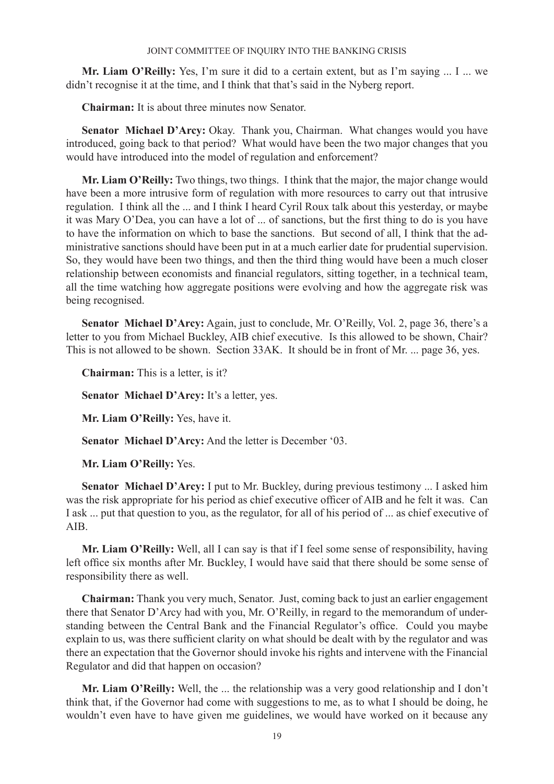**Mr. Liam O'Reilly:** Yes, I'm sure it did to a certain extent, but as I'm saying ... I ... we didn't recognise it at the time, and I think that that's said in the Nyberg report.

**Chairman:** It is about three minutes now Senator.

**Senator Michael D'Arcy:** Okay. Thank you, Chairman. What changes would you have introduced, going back to that period? What would have been the two major changes that you would have introduced into the model of regulation and enforcement?

**Mr. Liam O'Reilly:** Two things, two things. I think that the major, the major change would have been a more intrusive form of regulation with more resources to carry out that intrusive regulation. I think all the ... and I think I heard Cyril Roux talk about this yesterday, or maybe it was Mary O'Dea, you can have a lot of ... of sanctions, but the first thing to do is you have to have the information on which to base the sanctions. But second of all, I think that the administrative sanctions should have been put in at a much earlier date for prudential supervision. So, they would have been two things, and then the third thing would have been a much closer relationship between economists and financial regulators, sitting together, in a technical team, all the time watching how aggregate positions were evolving and how the aggregate risk was being recognised.

**Senator Michael D'Arcy:** Again, just to conclude, Mr. O'Reilly, Vol. 2, page 36, there's a letter to you from Michael Buckley, AIB chief executive. Is this allowed to be shown, Chair? This is not allowed to be shown. Section 33AK. It should be in front of Mr. ... page 36, yes.

**Chairman:** This is a letter, is it?

**Senator Michael D'Arcy:** It's a letter, yes.

**Mr. Liam O'Reilly:** Yes, have it.

**Senator Michael D'Arcy:** And the letter is December '03.

**Mr. Liam O'Reilly:** Yes.

**Senator Michael D'Arcy:** I put to Mr. Buckley, during previous testimony ... I asked him was the risk appropriate for his period as chief executive officer of AIB and he felt it was. Can I ask ... put that question to you, as the regulator, for all of his period of ... as chief executive of AIB.

**Mr. Liam O'Reilly:** Well, all I can say is that if I feel some sense of responsibility, having left office six months after Mr. Buckley, I would have said that there should be some sense of responsibility there as well.

**Chairman:** Thank you very much, Senator. Just, coming back to just an earlier engagement there that Senator D'Arcy had with you, Mr. O'Reilly, in regard to the memorandum of understanding between the Central Bank and the Financial Regulator's office. Could you maybe explain to us, was there sufficient clarity on what should be dealt with by the regulator and was there an expectation that the Governor should invoke his rights and intervene with the Financial Regulator and did that happen on occasion?

**Mr. Liam O'Reilly:** Well, the ... the relationship was a very good relationship and I don't think that, if the Governor had come with suggestions to me, as to what I should be doing, he wouldn't even have to have given me guidelines, we would have worked on it because any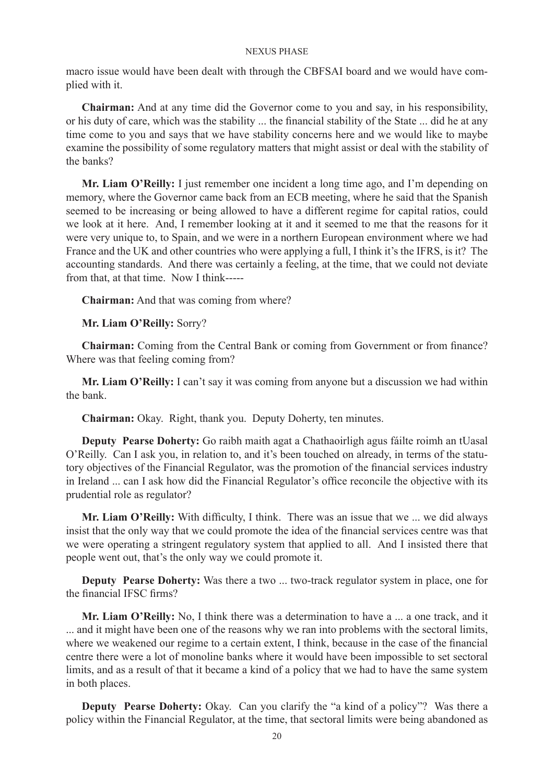macro issue would have been dealt with through the CBFSAI board and we would have complied with it.

**Chairman:** And at any time did the Governor come to you and say, in his responsibility, or his duty of care, which was the stability ... the financial stability of the State ... did he at any time come to you and says that we have stability concerns here and we would like to maybe examine the possibility of some regulatory matters that might assist or deal with the stability of the banks?

**Mr. Liam O'Reilly:** I just remember one incident a long time ago, and I'm depending on memory, where the Governor came back from an ECB meeting, where he said that the Spanish seemed to be increasing or being allowed to have a different regime for capital ratios, could we look at it here. And, I remember looking at it and it seemed to me that the reasons for it were very unique to, to Spain, and we were in a northern European environment where we had France and the UK and other countries who were applying a full, I think it's the IFRS, is it? The accounting standards. And there was certainly a feeling, at the time, that we could not deviate from that, at that time. Now I think-----

**Chairman:** And that was coming from where?

**Mr. Liam O'Reilly:** Sorry?

**Chairman:** Coming from the Central Bank or coming from Government or from finance? Where was that feeling coming from?

**Mr. Liam O'Reilly:** I can't say it was coming from anyone but a discussion we had within the bank.

**Chairman:** Okay. Right, thank you. Deputy Doherty, ten minutes.

**Deputy Pearse Doherty:** Go raibh maith agat a Chathaoirligh agus fáilte roimh an tUasal O'Reilly. Can I ask you, in relation to, and it's been touched on already, in terms of the statutory objectives of the Financial Regulator, was the promotion of the financial services industry in Ireland ... can I ask how did the Financial Regulator's office reconcile the objective with its prudential role as regulator?

**Mr. Liam O'Reilly:** With difficulty, I think. There was an issue that we ... we did always insist that the only way that we could promote the idea of the financial services centre was that we were operating a stringent regulatory system that applied to all. And I insisted there that people went out, that's the only way we could promote it.

**Deputy Pearse Doherty:** Was there a two ... two-track regulator system in place, one for the financial IFSC firms?

**Mr. Liam O'Reilly:** No, I think there was a determination to have a ... a one track, and it ... and it might have been one of the reasons why we ran into problems with the sectoral limits, where we weakened our regime to a certain extent, I think, because in the case of the financial centre there were a lot of monoline banks where it would have been impossible to set sectoral limits, and as a result of that it became a kind of a policy that we had to have the same system in both places.

**Deputy Pearse Doherty:** Okay. Can you clarify the "a kind of a policy"? Was there a policy within the Financial Regulator, at the time, that sectoral limits were being abandoned as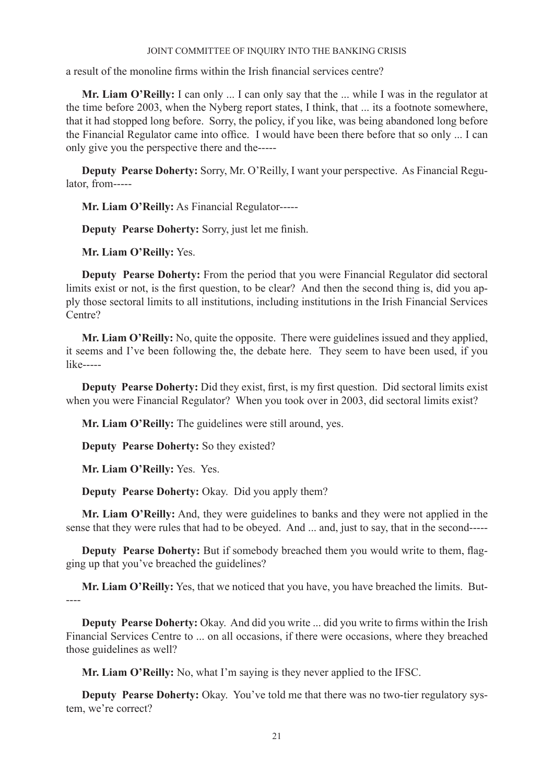a result of the monoline firms within the Irish financial services centre?

**Mr. Liam O'Reilly:** I can only ... I can only say that the ... while I was in the regulator at the time before 2003, when the Nyberg report states, I think, that ... its a footnote somewhere, that it had stopped long before. Sorry, the policy, if you like, was being abandoned long before the Financial Regulator came into office. I would have been there before that so only ... I can only give you the perspective there and the-----

**Deputy Pearse Doherty:** Sorry, Mr. O'Reilly, I want your perspective. As Financial Regulator, from-----

**Mr. Liam O'Reilly:** As Financial Regulator-----

**Deputy Pearse Doherty:** Sorry, just let me finish.

**Mr. Liam O'Reilly:** Yes.

**Deputy Pearse Doherty:** From the period that you were Financial Regulator did sectoral limits exist or not, is the first question, to be clear? And then the second thing is, did you apply those sectoral limits to all institutions, including institutions in the Irish Financial Services Centre?

**Mr. Liam O'Reilly:** No, quite the opposite. There were guidelines issued and they applied, it seems and I've been following the, the debate here. They seem to have been used, if you like-----

**Deputy Pearse Doherty:** Did they exist, first, is my first question. Did sectoral limits exist when you were Financial Regulator? When you took over in 2003, did sectoral limits exist?

**Mr. Liam O'Reilly:** The guidelines were still around, yes.

**Deputy Pearse Doherty:** So they existed?

**Mr. Liam O'Reilly:** Yes. Yes.

**Deputy Pearse Doherty:** Okay. Did you apply them?

**Mr. Liam O'Reilly:** And, they were guidelines to banks and they were not applied in the sense that they were rules that had to be obeyed. And ... and, just to say, that in the second-----

**Deputy Pearse Doherty:** But if somebody breached them you would write to them, flagging up that you've breached the guidelines?

**Mr. Liam O'Reilly:** Yes, that we noticed that you have, you have breached the limits. But- ----

**Deputy Pearse Doherty:** Okay. And did you write ... did you write to firms within the Irish Financial Services Centre to ... on all occasions, if there were occasions, where they breached those guidelines as well?

**Mr. Liam O'Reilly:** No, what I'm saying is they never applied to the IFSC.

**Deputy Pearse Doherty:** Okay. You've told me that there was no two-tier regulatory system, we're correct?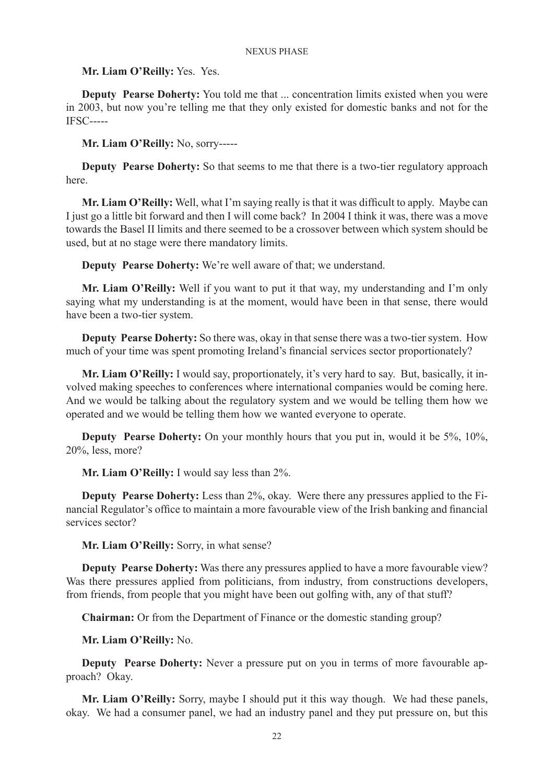**Mr. Liam O'Reilly:** Yes. Yes.

**Deputy Pearse Doherty:** You told me that ... concentration limits existed when you were in 2003, but now you're telling me that they only existed for domestic banks and not for the IFSC-----

**Mr. Liam O'Reilly:** No, sorry-----

**Deputy Pearse Doherty:** So that seems to me that there is a two-tier regulatory approach here.

**Mr. Liam O'Reilly:** Well, what I'm saying really is that it was difficult to apply. Maybe can I just go a little bit forward and then I will come back? In 2004 I think it was, there was a move towards the Basel II limits and there seemed to be a crossover between which system should be used, but at no stage were there mandatory limits.

**Deputy Pearse Doherty:** We're well aware of that; we understand.

**Mr. Liam O'Reilly:** Well if you want to put it that way, my understanding and I'm only saying what my understanding is at the moment, would have been in that sense, there would have been a two-tier system.

**Deputy Pearse Doherty:** So there was, okay in that sense there was a two-tier system. How much of your time was spent promoting Ireland's financial services sector proportionately?

**Mr. Liam O'Reilly:** I would say, proportionately, it's very hard to say. But, basically, it involved making speeches to conferences where international companies would be coming here. And we would be talking about the regulatory system and we would be telling them how we operated and we would be telling them how we wanted everyone to operate.

**Deputy Pearse Doherty:** On your monthly hours that you put in, would it be 5%, 10%, 20%, less, more?

**Mr. Liam O'Reilly:** I would say less than 2%.

**Deputy Pearse Doherty:** Less than 2%, okay. Were there any pressures applied to the Financial Regulator's office to maintain a more favourable view of the Irish banking and financial services sector?

**Mr. Liam O'Reilly:** Sorry, in what sense?

**Deputy Pearse Doherty:** Was there any pressures applied to have a more favourable view? Was there pressures applied from politicians, from industry, from constructions developers, from friends, from people that you might have been out golfing with, any of that stuff?

**Chairman:** Or from the Department of Finance or the domestic standing group?

**Mr. Liam O'Reilly:** No.

**Deputy Pearse Doherty:** Never a pressure put on you in terms of more favourable approach? Okay.

**Mr. Liam O'Reilly:** Sorry, maybe I should put it this way though. We had these panels, okay. We had a consumer panel, we had an industry panel and they put pressure on, but this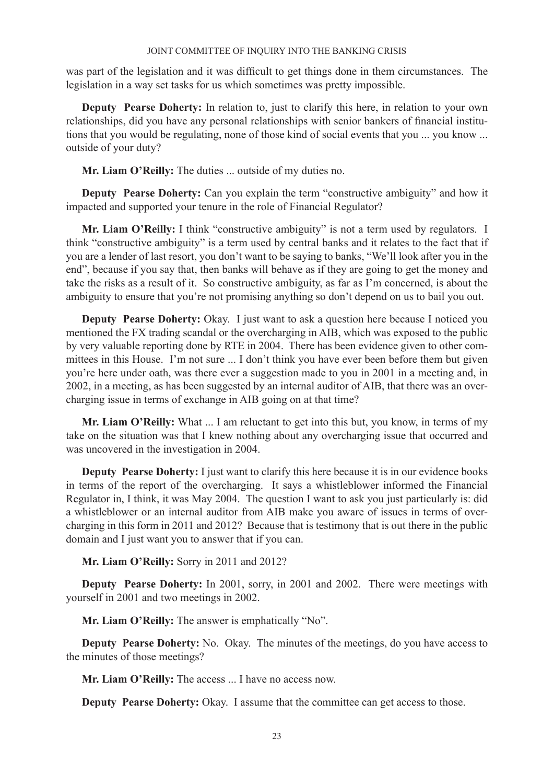was part of the legislation and it was difficult to get things done in them circumstances. The legislation in a way set tasks for us which sometimes was pretty impossible.

**Deputy Pearse Doherty:** In relation to, just to clarify this here, in relation to your own relationships, did you have any personal relationships with senior bankers of financial institutions that you would be regulating, none of those kind of social events that you ... you know ... outside of your duty?

**Mr. Liam O'Reilly:** The duties ... outside of my duties no.

**Deputy Pearse Doherty:** Can you explain the term "constructive ambiguity" and how it impacted and supported your tenure in the role of Financial Regulator?

Mr. Liam O'Reilly: I think "constructive ambiguity" is not a term used by regulators. I think "constructive ambiguity" is a term used by central banks and it relates to the fact that if you are a lender of last resort, you don't want to be saying to banks, "We'll look after you in the end", because if you say that, then banks will behave as if they are going to get the money and take the risks as a result of it. So constructive ambiguity, as far as I'm concerned, is about the ambiguity to ensure that you're not promising anything so don't depend on us to bail you out.

**Deputy Pearse Doherty:** Okay. I just want to ask a question here because I noticed you mentioned the FX trading scandal or the overcharging in AIB, which was exposed to the public by very valuable reporting done by RTE in 2004. There has been evidence given to other committees in this House. I'm not sure ... I don't think you have ever been before them but given you're here under oath, was there ever a suggestion made to you in 2001 in a meeting and, in 2002, in a meeting, as has been suggested by an internal auditor of AIB, that there was an overcharging issue in terms of exchange in AIB going on at that time?

**Mr. Liam O'Reilly:** What ... I am reluctant to get into this but, you know, in terms of my take on the situation was that I knew nothing about any overcharging issue that occurred and was uncovered in the investigation in 2004.

**Deputy Pearse Doherty:** I just want to clarify this here because it is in our evidence books in terms of the report of the overcharging. It says a whistleblower informed the Financial Regulator in, I think, it was May 2004. The question I want to ask you just particularly is: did a whistleblower or an internal auditor from AIB make you aware of issues in terms of overcharging in this form in 2011 and 2012? Because that is testimony that is out there in the public domain and I just want you to answer that if you can.

# **Mr. Liam O'Reilly:** Sorry in 2011 and 2012?

**Deputy Pearse Doherty:** In 2001, sorry, in 2001 and 2002. There were meetings with yourself in 2001 and two meetings in 2002.

**Mr. Liam O'Reilly:** The answer is emphatically "No".

**Deputy Pearse Doherty:** No. Okay. The minutes of the meetings, do you have access to the minutes of those meetings?

**Mr. Liam O'Reilly:** The access ... I have no access now.

**Deputy Pearse Doherty:** Okay. I assume that the committee can get access to those.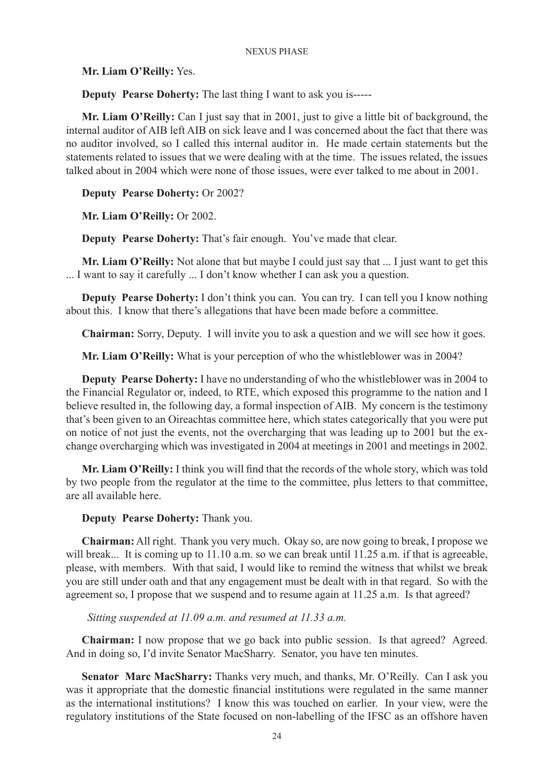**Mr. Liam O'Reilly:** Yes.

**Deputy Pearse Doherty:** The last thing I want to ask you is-----

**Mr. Liam O'Reilly:** Can I just say that in 2001, just to give a little bit of background, the internal auditor of AIB left AIB on sick leave and I was concerned about the fact that there was no auditor involved, so I called this internal auditor in. He made certain statements but the statements related to issues that we were dealing with at the time. The issues related, the issues talked about in 2004 which were none of those issues, were ever talked to me about in 2001.

# **Deputy Pearse Doherty:** Or 2002?

**Mr. Liam O'Reilly:** Or 2002.

**Deputy Pearse Doherty:** That's fair enough. You've made that clear.

**Mr. Liam O'Reilly:** Not alone that but maybe I could just say that ... I just want to get this ... I want to say it carefully ... I don't know whether I can ask you a question.

**Deputy Pearse Doherty:** I don't think you can. You can try. I can tell you I know nothing about this. I know that there's allegations that have been made before a committee.

**Chairman:** Sorry, Deputy. I will invite you to ask a question and we will see how it goes.

**Mr. Liam O'Reilly:** What is your perception of who the whistleblower was in 2004?

**Deputy Pearse Doherty:** I have no understanding of who the whistleblower was in 2004 to the Financial Regulator or, indeed, to RTE, which exposed this programme to the nation and I believe resulted in, the following day, a formal inspection of AIB. My concern is the testimony that's been given to an Oireachtas committee here, which states categorically that you were put on notice of not just the events, not the overcharging that was leading up to 2001 but the exchange overcharging which was investigated in 2004 at meetings in 2001 and meetings in 2002.

**Mr. Liam O'Reilly:** I think you will find that the records of the whole story, which was told by two people from the regulator at the time to the committee, plus letters to that committee, are all available here.

# **Deputy Pearse Doherty:** Thank you.

**Chairman:** All right. Thank you very much. Okay so, are now going to break, I propose we will break... It is coming up to 11.10 a.m. so we can break until 11.25 a.m. if that is agreeable, please, with members. With that said, I would like to remind the witness that whilst we break you are still under oath and that any engagement must be dealt with in that regard. So with the agreement so, I propose that we suspend and to resume again at 11.25 a.m. Is that agreed?

 *Sitting suspended at 11.09 a.m. and resumed at 11.33 a.m.*

**Chairman:** I now propose that we go back into public session. Is that agreed? Agreed. And in doing so, I'd invite Senator MacSharry. Senator, you have ten minutes.

**Senator Marc MacSharry:** Thanks very much, and thanks, Mr. O'Reilly. Can I ask you was it appropriate that the domestic financial institutions were regulated in the same manner as the international institutions? I know this was touched on earlier. In your view, were the regulatory institutions of the State focused on non-labelling of the IFSC as an offshore haven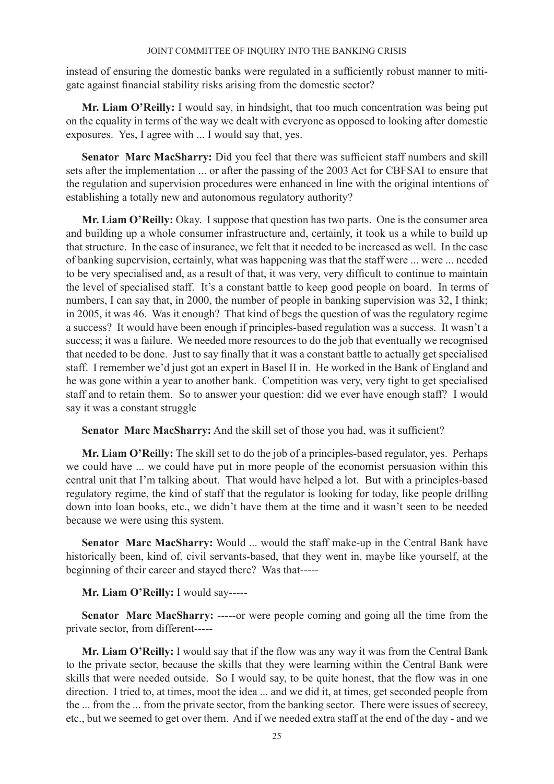instead of ensuring the domestic banks were regulated in a sufficiently robust manner to mitigate against financial stability risks arising from the domestic sector?

**Mr. Liam O'Reilly:** I would say, in hindsight, that too much concentration was being put on the equality in terms of the way we dealt with everyone as opposed to looking after domestic exposures. Yes, I agree with ... I would say that, yes.

**Senator Marc MacSharry:** Did you feel that there was sufficient staff numbers and skill sets after the implementation ... or after the passing of the 2003 Act for CBFSAI to ensure that the regulation and supervision procedures were enhanced in line with the original intentions of establishing a totally new and autonomous regulatory authority?

**Mr. Liam O'Reilly:** Okay. I suppose that question has two parts. One is the consumer area and building up a whole consumer infrastructure and, certainly, it took us a while to build up that structure. In the case of insurance, we felt that it needed to be increased as well. In the case of banking supervision, certainly, what was happening was that the staff were ... were ... needed to be very specialised and, as a result of that, it was very, very difficult to continue to maintain the level of specialised staff. It's a constant battle to keep good people on board. In terms of numbers, I can say that, in 2000, the number of people in banking supervision was 32, I think; in 2005, it was 46. Was it enough? That kind of begs the question of was the regulatory regime a success? It would have been enough if principles-based regulation was a success. It wasn't a success; it was a failure. We needed more resources to do the job that eventually we recognised that needed to be done. Just to say finally that it was a constant battle to actually get specialised staff. I remember we'd just got an expert in Basel II in. He worked in the Bank of England and he was gone within a year to another bank. Competition was very, very tight to get specialised staff and to retain them. So to answer your question: did we ever have enough staff? I would say it was a constant struggle

**Senator Marc MacSharry:** And the skill set of those you had, was it sufficient?

**Mr. Liam O'Reilly:** The skill set to do the job of a principles-based regulator, yes. Perhaps we could have ... we could have put in more people of the economist persuasion within this central unit that I'm talking about. That would have helped a lot. But with a principles-based regulatory regime, the kind of staff that the regulator is looking for today, like people drilling down into loan books, etc., we didn't have them at the time and it wasn't seen to be needed because we were using this system.

**Senator Marc MacSharry:** Would ... would the staff make-up in the Central Bank have historically been, kind of, civil servants-based, that they went in, maybe like yourself, at the beginning of their career and stayed there? Was that-----

**Mr. Liam O'Reilly:** I would say-----

**Senator Marc MacSharry:** -----or were people coming and going all the time from the private sector, from different-----

**Mr. Liam O'Reilly:** I would say that if the flow was any way it was from the Central Bank to the private sector, because the skills that they were learning within the Central Bank were skills that were needed outside. So I would say, to be quite honest, that the flow was in one direction. I tried to, at times, moot the idea ... and we did it, at times, get seconded people from the ... from the ... from the private sector, from the banking sector. There were issues of secrecy, etc., but we seemed to get over them. And if we needed extra staff at the end of the day - and we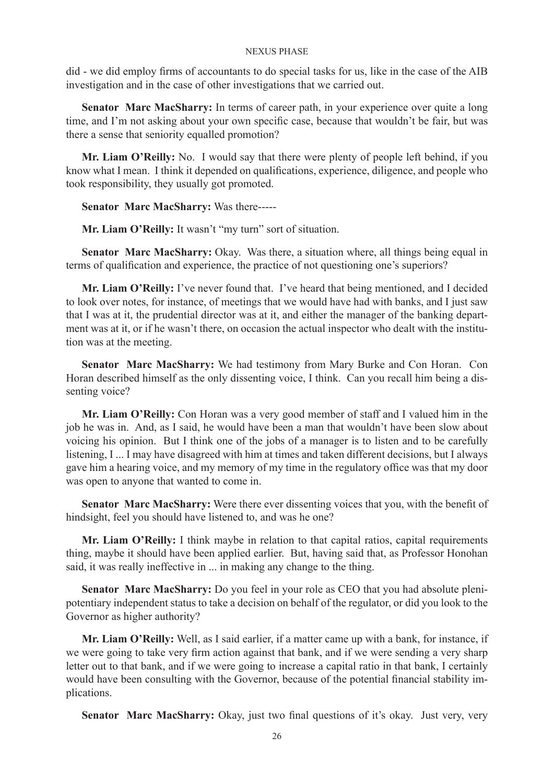did - we did employ firms of accountants to do special tasks for us, like in the case of the AIB investigation and in the case of other investigations that we carried out.

**Senator Marc MacSharry:** In terms of career path, in your experience over quite a long time, and I'm not asking about your own specific case, because that wouldn't be fair, but was there a sense that seniority equalled promotion?

**Mr. Liam O'Reilly:** No. I would say that there were plenty of people left behind, if you know what I mean. I think it depended on qualifications, experience, diligence, and people who took responsibility, they usually got promoted.

**Senator Marc MacSharry:** Was there-----

**Mr. Liam O'Reilly:** It wasn't "my turn" sort of situation.

**Senator Marc MacSharry:** Okay. Was there, a situation where, all things being equal in terms of qualification and experience, the practice of not questioning one's superiors?

**Mr. Liam O'Reilly:** I've never found that. I've heard that being mentioned, and I decided to look over notes, for instance, of meetings that we would have had with banks, and I just saw that I was at it, the prudential director was at it, and either the manager of the banking department was at it, or if he wasn't there, on occasion the actual inspector who dealt with the institution was at the meeting.

**Senator Marc MacSharry:** We had testimony from Mary Burke and Con Horan. Con Horan described himself as the only dissenting voice, I think. Can you recall him being a dissenting voice?

**Mr. Liam O'Reilly:** Con Horan was a very good member of staff and I valued him in the job he was in. And, as I said, he would have been a man that wouldn't have been slow about voicing his opinion. But I think one of the jobs of a manager is to listen and to be carefully listening, I ... I may have disagreed with him at times and taken different decisions, but I always gave him a hearing voice, and my memory of my time in the regulatory office was that my door was open to anyone that wanted to come in.

**Senator Marc MacSharry:** Were there ever dissenting voices that you, with the benefit of hindsight, feel you should have listened to, and was he one?

**Mr. Liam O'Reilly:** I think maybe in relation to that capital ratios, capital requirements thing, maybe it should have been applied earlier. But, having said that, as Professor Honohan said, it was really ineffective in ... in making any change to the thing.

**Senator Marc MacSharry:** Do you feel in your role as CEO that you had absolute plenipotentiary independent status to take a decision on behalf of the regulator, or did you look to the Governor as higher authority?

**Mr. Liam O'Reilly:** Well, as I said earlier, if a matter came up with a bank, for instance, if we were going to take very firm action against that bank, and if we were sending a very sharp letter out to that bank, and if we were going to increase a capital ratio in that bank, I certainly would have been consulting with the Governor, because of the potential financial stability implications.

**Senator Marc MacSharry:** Okay, just two final questions of it's okay. Just very, very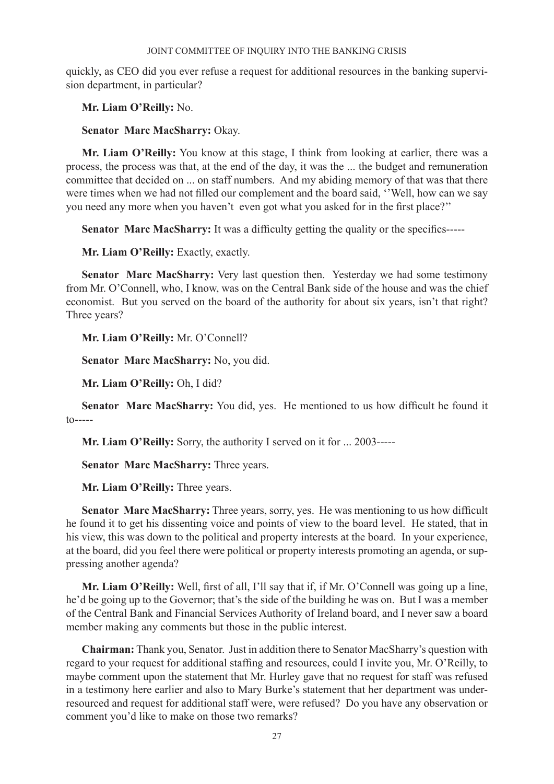quickly, as CEO did you ever refuse a request for additional resources in the banking supervision department, in particular?

**Mr. Liam O'Reilly:** No.

**Senator Marc MacSharry:** Okay.

**Mr. Liam O'Reilly:** You know at this stage, I think from looking at earlier, there was a process, the process was that, at the end of the day, it was the ... the budget and remuneration committee that decided on ... on staff numbers. And my abiding memory of that was that there were times when we had not filled our complement and the board said, ''Well, how can we say you need any more when you haven't even got what you asked for in the first place?''

**Senator Marc MacSharry:** It was a difficulty getting the quality or the specifics-----

**Mr. Liam O'Reilly:** Exactly, exactly.

**Senator Marc MacSharry:** Very last question then. Yesterday we had some testimony from Mr. O'Connell, who, I know, was on the Central Bank side of the house and was the chief economist. But you served on the board of the authority for about six years, isn't that right? Three years?

**Mr. Liam O'Reilly:** Mr. O'Connell?

**Senator Marc MacSharry:** No, you did.

**Mr. Liam O'Reilly:** Oh, I did?

**Senator Marc MacSharry:** You did, yes. He mentioned to us how difficult he found it to-----

**Mr. Liam O'Reilly:** Sorry, the authority I served on it for ... 2003-----

**Senator Marc MacSharry:** Three years.

**Mr. Liam O'Reilly:** Three years.

**Senator Marc MacSharry:** Three years, sorry, yes. He was mentioning to us how difficult he found it to get his dissenting voice and points of view to the board level. He stated, that in his view, this was down to the political and property interests at the board. In your experience, at the board, did you feel there were political or property interests promoting an agenda, or suppressing another agenda?

**Mr. Liam O'Reilly:** Well, first of all, I'll say that if, if Mr. O'Connell was going up a line, he'd be going up to the Governor; that's the side of the building he was on. But I was a member of the Central Bank and Financial Services Authority of Ireland board, and I never saw a board member making any comments but those in the public interest.

**Chairman:** Thank you, Senator. Just in addition there to Senator MacSharry's question with regard to your request for additional staffing and resources, could I invite you, Mr. O'Reilly, to maybe comment upon the statement that Mr. Hurley gave that no request for staff was refused in a testimony here earlier and also to Mary Burke's statement that her department was underresourced and request for additional staff were, were refused? Do you have any observation or comment you'd like to make on those two remarks?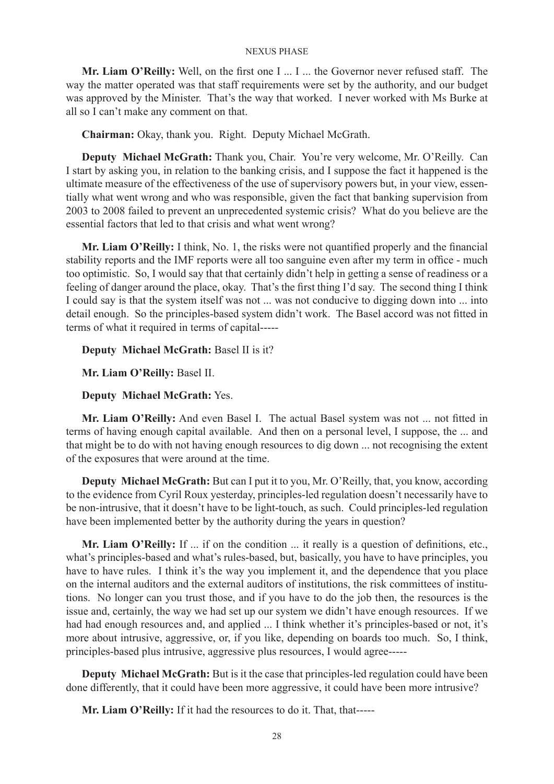**Mr. Liam O'Reilly:** Well, on the first one I ... I ... the Governor never refused staff. The way the matter operated was that staff requirements were set by the authority, and our budget was approved by the Minister. That's the way that worked. I never worked with Ms Burke at all so I can't make any comment on that.

**Chairman:** Okay, thank you. Right. Deputy Michael McGrath.

**Deputy Michael McGrath:** Thank you, Chair. You're very welcome, Mr. O'Reilly. Can I start by asking you, in relation to the banking crisis, and I suppose the fact it happened is the ultimate measure of the effectiveness of the use of supervisory powers but, in your view, essentially what went wrong and who was responsible, given the fact that banking supervision from 2003 to 2008 failed to prevent an unprecedented systemic crisis? What do you believe are the essential factors that led to that crisis and what went wrong?

**Mr. Liam O'Reilly:** I think, No. 1, the risks were not quantified properly and the financial stability reports and the IMF reports were all too sanguine even after my term in office - much too optimistic. So, I would say that that certainly didn't help in getting a sense of readiness or a feeling of danger around the place, okay. That's the first thing I'd say. The second thing I think I could say is that the system itself was not ... was not conducive to digging down into ... into detail enough. So the principles-based system didn't work. The Basel accord was not fitted in terms of what it required in terms of capital-----

**Deputy Michael McGrath:** Basel II is it?

**Mr. Liam O'Reilly:** Basel II.

**Deputy Michael McGrath:** Yes.

**Mr. Liam O'Reilly:** And even Basel I. The actual Basel system was not ... not fitted in terms of having enough capital available. And then on a personal level, I suppose, the ... and that might be to do with not having enough resources to dig down ... not recognising the extent of the exposures that were around at the time.

**Deputy Michael McGrath:** But can I put it to you, Mr. O'Reilly, that, you know, according to the evidence from Cyril Roux yesterday, principles-led regulation doesn't necessarily have to be non-intrusive, that it doesn't have to be light-touch, as such. Could principles-led regulation have been implemented better by the authority during the years in question?

**Mr. Liam O'Reilly:** If ... if on the condition ... it really is a question of definitions, etc., what's principles-based and what's rules-based, but, basically, you have to have principles, you have to have rules. I think it's the way you implement it, and the dependence that you place on the internal auditors and the external auditors of institutions, the risk committees of institutions. No longer can you trust those, and if you have to do the job then, the resources is the issue and, certainly, the way we had set up our system we didn't have enough resources. If we had had enough resources and, and applied ... I think whether it's principles-based or not, it's more about intrusive, aggressive, or, if you like, depending on boards too much. So, I think, principles-based plus intrusive, aggressive plus resources, I would agree-----

**Deputy Michael McGrath:** But is it the case that principles-led regulation could have been done differently, that it could have been more aggressive, it could have been more intrusive?

**Mr. Liam O'Reilly:** If it had the resources to do it. That, that-----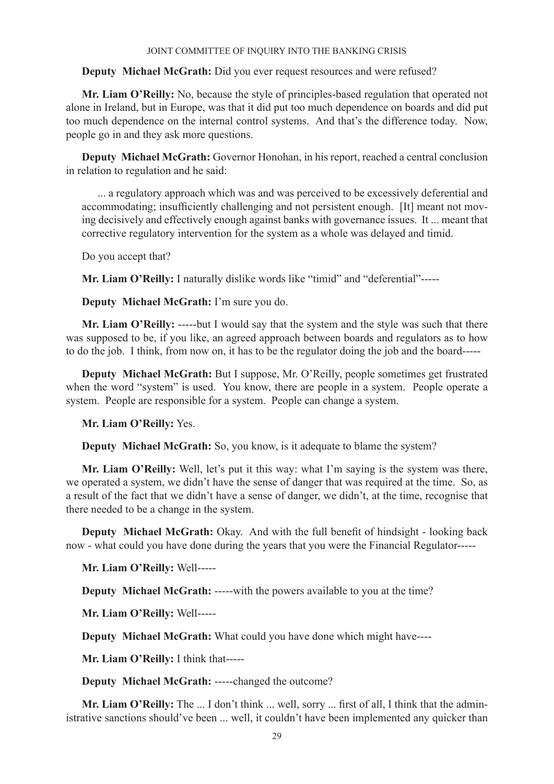# **Deputy Michael McGrath:** Did you ever request resources and were refused?

**Mr. Liam O'Reilly:** No, because the style of principles-based regulation that operated not alone in Ireland, but in Europe, was that it did put too much dependence on boards and did put too much dependence on the internal control systems. And that's the difference today. Now, people go in and they ask more questions.

**Deputy Michael McGrath:** Governor Honohan, in his report, reached a central conclusion in relation to regulation and he said:

... a regulatory approach which was and was perceived to be excessively deferential and accommodating; insufficiently challenging and not persistent enough. [It] meant not moving decisively and effectively enough against banks with governance issues. It ... meant that corrective regulatory intervention for the system as a whole was delayed and timid.

Do you accept that?

**Mr. Liam O'Reilly:** I naturally dislike words like "timid" and "deferential"-----

**Deputy Michael McGrath:** I'm sure you do.

**Mr. Liam O'Reilly:** -----but I would say that the system and the style was such that there was supposed to be, if you like, an agreed approach between boards and regulators as to how to do the job. I think, from now on, it has to be the regulator doing the job and the board-----

**Deputy Michael McGrath:** But I suppose, Mr. O'Reilly, people sometimes get frustrated when the word "system" is used. You know, there are people in a system. People operate a system. People are responsible for a system. People can change a system.

**Mr. Liam O'Reilly:** Yes.

**Deputy Michael McGrath:** So, you know, is it adequate to blame the system?

**Mr. Liam O'Reilly:** Well, let's put it this way: what I'm saying is the system was there, we operated a system, we didn't have the sense of danger that was required at the time. So, as a result of the fact that we didn't have a sense of danger, we didn't, at the time, recognise that there needed to be a change in the system.

**Deputy Michael McGrath:** Okay. And with the full benefit of hindsight - looking back now - what could you have done during the years that you were the Financial Regulator-----

**Mr. Liam O'Reilly:** Well-----

**Deputy Michael McGrath:** -----with the powers available to you at the time?

**Mr. Liam O'Reilly:** Well-----

**Deputy Michael McGrath:** What could you have done which might have----

**Mr. Liam O'Reilly:** I think that-----

**Deputy Michael McGrath:** -----changed the outcome?

**Mr. Liam O'Reilly:** The ... I don't think ... well, sorry ... first of all, I think that the administrative sanctions should've been ... well, it couldn't have been implemented any quicker than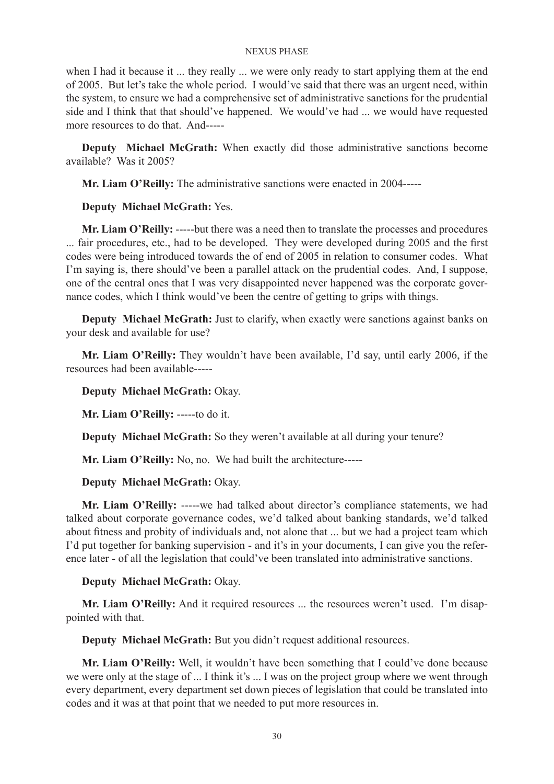when I had it because it ... they really ... we were only ready to start applying them at the end of 2005. But let's take the whole period. I would've said that there was an urgent need, within the system, to ensure we had a comprehensive set of administrative sanctions for the prudential side and I think that that should've happened. We would've had ... we would have requested more resources to do that. And-----

**Deputy Michael McGrath:** When exactly did those administrative sanctions become available? Was it 2005?

**Mr. Liam O'Reilly:** The administrative sanctions were enacted in 2004-----

# **Deputy Michael McGrath:** Yes.

**Mr. Liam O'Reilly:** -----but there was a need then to translate the processes and procedures ... fair procedures, etc., had to be developed. They were developed during 2005 and the first codes were being introduced towards the of end of 2005 in relation to consumer codes. What I'm saying is, there should've been a parallel attack on the prudential codes. And, I suppose, one of the central ones that I was very disappointed never happened was the corporate governance codes, which I think would've been the centre of getting to grips with things.

**Deputy Michael McGrath:** Just to clarify, when exactly were sanctions against banks on your desk and available for use?

**Mr. Liam O'Reilly:** They wouldn't have been available, I'd say, until early 2006, if the resources had been available-----

# **Deputy Michael McGrath:** Okay.

**Mr. Liam O'Reilly:** -----to do it.

**Deputy Michael McGrath:** So they weren't available at all during your tenure?

**Mr. Liam O'Reilly:** No, no. We had built the architecture-----

# **Deputy Michael McGrath:** Okay.

**Mr. Liam O'Reilly:** -----we had talked about director's compliance statements, we had talked about corporate governance codes, we'd talked about banking standards, we'd talked about fitness and probity of individuals and, not alone that ... but we had a project team which I'd put together for banking supervision - and it's in your documents, I can give you the reference later - of all the legislation that could've been translated into administrative sanctions.

# **Deputy Michael McGrath:** Okay.

**Mr. Liam O'Reilly:** And it required resources ... the resources weren't used. I'm disappointed with that.

**Deputy Michael McGrath:** But you didn't request additional resources.

**Mr. Liam O'Reilly:** Well, it wouldn't have been something that I could've done because we were only at the stage of ... I think it's ... I was on the project group where we went through every department, every department set down pieces of legislation that could be translated into codes and it was at that point that we needed to put more resources in.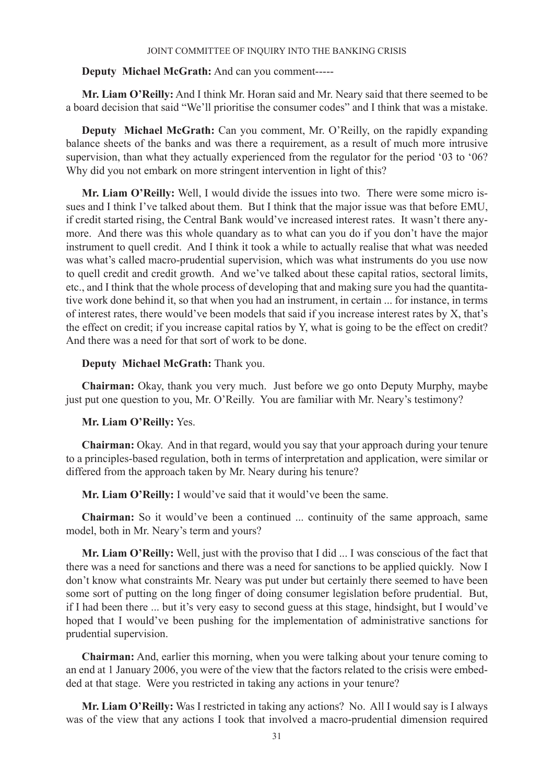# **Deputy Michael McGrath:** And can you comment-----

**Mr. Liam O'Reilly:** And I think Mr. Horan said and Mr. Neary said that there seemed to be a board decision that said "We'll prioritise the consumer codes" and I think that was a mistake.

**Deputy Michael McGrath:** Can you comment, Mr. O'Reilly, on the rapidly expanding balance sheets of the banks and was there a requirement, as a result of much more intrusive supervision, than what they actually experienced from the regulator for the period '03 to '06? Why did you not embark on more stringent intervention in light of this?

**Mr. Liam O'Reilly:** Well, I would divide the issues into two. There were some micro issues and I think I've talked about them. But I think that the major issue was that before EMU, if credit started rising, the Central Bank would've increased interest rates. It wasn't there anymore. And there was this whole quandary as to what can you do if you don't have the major instrument to quell credit. And I think it took a while to actually realise that what was needed was what's called macro-prudential supervision, which was what instruments do you use now to quell credit and credit growth. And we've talked about these capital ratios, sectoral limits, etc., and I think that the whole process of developing that and making sure you had the quantitative work done behind it, so that when you had an instrument, in certain ... for instance, in terms of interest rates, there would've been models that said if you increase interest rates by X, that's the effect on credit; if you increase capital ratios by Y, what is going to be the effect on credit? And there was a need for that sort of work to be done.

# **Deputy Michael McGrath:** Thank you.

**Chairman:** Okay, thank you very much. Just before we go onto Deputy Murphy, maybe just put one question to you, Mr. O'Reilly. You are familiar with Mr. Neary's testimony?

# **Mr. Liam O'Reilly:** Yes.

**Chairman:** Okay. And in that regard, would you say that your approach during your tenure to a principles-based regulation, both in terms of interpretation and application, were similar or differed from the approach taken by Mr. Neary during his tenure?

**Mr. Liam O'Reilly:** I would've said that it would've been the same.

**Chairman:** So it would've been a continued ... continuity of the same approach, same model, both in Mr. Neary's term and yours?

**Mr. Liam O'Reilly:** Well, just with the proviso that I did ... I was conscious of the fact that there was a need for sanctions and there was a need for sanctions to be applied quickly. Now I don't know what constraints Mr. Neary was put under but certainly there seemed to have been some sort of putting on the long finger of doing consumer legislation before prudential. But, if I had been there ... but it's very easy to second guess at this stage, hindsight, but I would've hoped that I would've been pushing for the implementation of administrative sanctions for prudential supervision.

**Chairman:** And, earlier this morning, when you were talking about your tenure coming to an end at 1 January 2006, you were of the view that the factors related to the crisis were embedded at that stage. Were you restricted in taking any actions in your tenure?

**Mr. Liam O'Reilly:** Was I restricted in taking any actions? No. All I would say is I always was of the view that any actions I took that involved a macro-prudential dimension required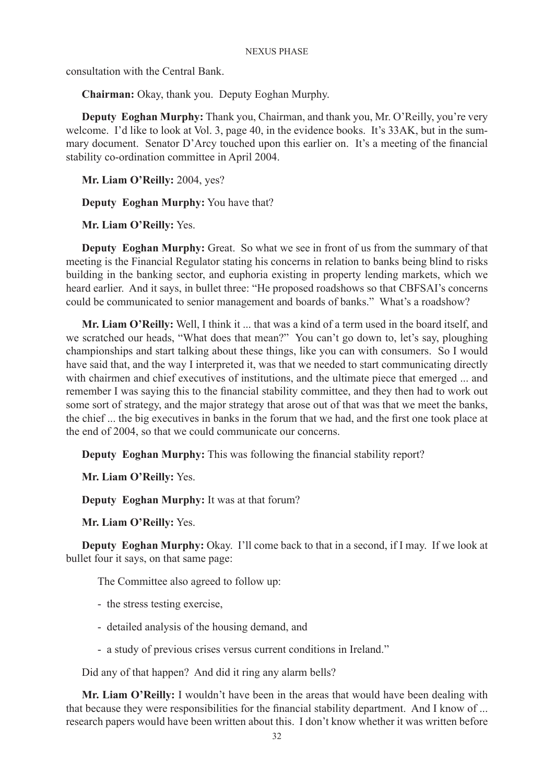consultation with the Central Bank.

**Chairman:** Okay, thank you. Deputy Eoghan Murphy.

**Deputy Eoghan Murphy:** Thank you, Chairman, and thank you, Mr. O'Reilly, you're very welcome. I'd like to look at Vol. 3, page 40, in the evidence books. It's 33AK, but in the summary document. Senator D'Arcy touched upon this earlier on. It's a meeting of the financial stability co-ordination committee in April 2004.

**Mr. Liam O'Reilly:** 2004, yes?

**Deputy Eoghan Murphy:** You have that?

**Mr. Liam O'Reilly:** Yes.

**Deputy Eoghan Murphy:** Great. So what we see in front of us from the summary of that meeting is the Financial Regulator stating his concerns in relation to banks being blind to risks building in the banking sector, and euphoria existing in property lending markets, which we heard earlier. And it says, in bullet three: "He proposed roadshows so that CBFSAI's concerns could be communicated to senior management and boards of banks." What's a roadshow?

**Mr. Liam O'Reilly:** Well, I think it ... that was a kind of a term used in the board itself, and we scratched our heads, "What does that mean?" You can't go down to, let's say, ploughing championships and start talking about these things, like you can with consumers. So I would have said that, and the way I interpreted it, was that we needed to start communicating directly with chairmen and chief executives of institutions, and the ultimate piece that emerged ... and remember I was saying this to the financial stability committee, and they then had to work out some sort of strategy, and the major strategy that arose out of that was that we meet the banks, the chief ... the big executives in banks in the forum that we had, and the first one took place at the end of 2004, so that we could communicate our concerns.

**Deputy Eoghan Murphy:** This was following the financial stability report?

**Mr. Liam O'Reilly:** Yes.

**Deputy Eoghan Murphy:** It was at that forum?

**Mr. Liam O'Reilly:** Yes.

**Deputy Eoghan Murphy:** Okay. I'll come back to that in a second, if I may. If we look at bullet four it says, on that same page:

The Committee also agreed to follow up:

- the stress testing exercise,
- detailed analysis of the housing demand, and
- a study of previous crises versus current conditions in Ireland."

Did any of that happen? And did it ring any alarm bells?

**Mr. Liam O'Reilly:** I wouldn't have been in the areas that would have been dealing with that because they were responsibilities for the financial stability department. And I know of ... research papers would have been written about this. I don't know whether it was written before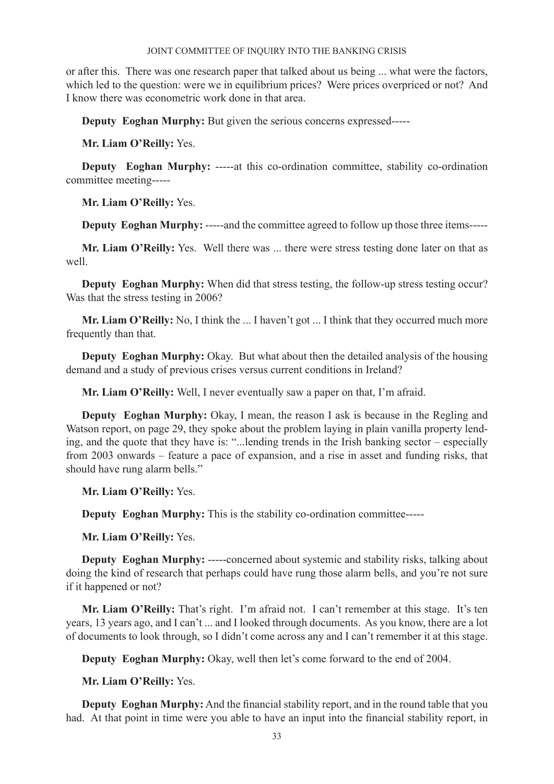or after this. There was one research paper that talked about us being ... what were the factors, which led to the question: were we in equilibrium prices? Were prices overpriced or not? And I know there was econometric work done in that area.

**Deputy Eoghan Murphy:** But given the serious concerns expressed-----

**Mr. Liam O'Reilly:** Yes.

**Deputy** Eoghan Murphy: -----at this co-ordination committee, stability co-ordination committee meeting-----

**Mr. Liam O'Reilly:** Yes.

**Deputy Eoghan Murphy:** -----and the committee agreed to follow up those three items-----

**Mr. Liam O'Reilly:** Yes. Well there was ... there were stress testing done later on that as well.

**Deputy Eoghan Murphy:** When did that stress testing, the follow-up stress testing occur? Was that the stress testing in 2006?

**Mr. Liam O'Reilly:** No, I think the ... I haven't got ... I think that they occurred much more frequently than that.

**Deputy Eoghan Murphy:** Okay. But what about then the detailed analysis of the housing demand and a study of previous crises versus current conditions in Ireland?

**Mr. Liam O'Reilly:** Well, I never eventually saw a paper on that, I'm afraid.

**Deputy Eoghan Murphy:** Okay, I mean, the reason I ask is because in the Regling and Watson report, on page 29, they spoke about the problem laying in plain vanilla property lending, and the quote that they have is: "...lending trends in the Irish banking sector – especially from 2003 onwards – feature a pace of expansion, and a rise in asset and funding risks, that should have rung alarm bells."

**Mr. Liam O'Reilly:** Yes.

**Deputy Eoghan Murphy:** This is the stability co-ordination committee-----

**Mr. Liam O'Reilly:** Yes.

**Deputy Eoghan Murphy:** -----concerned about systemic and stability risks, talking about doing the kind of research that perhaps could have rung those alarm bells, and you're not sure if it happened or not?

**Mr. Liam O'Reilly:** That's right. I'm afraid not. I can't remember at this stage. It's ten years, 13 years ago, and I can't ... and I looked through documents. As you know, there are a lot of documents to look through, so I didn't come across any and I can't remember it at this stage.

**Deputy Eoghan Murphy:** Okay, well then let's come forward to the end of 2004.

**Mr. Liam O'Reilly:** Yes.

**Deputy Eoghan Murphy:** And the financial stability report, and in the round table that you had. At that point in time were you able to have an input into the financial stability report, in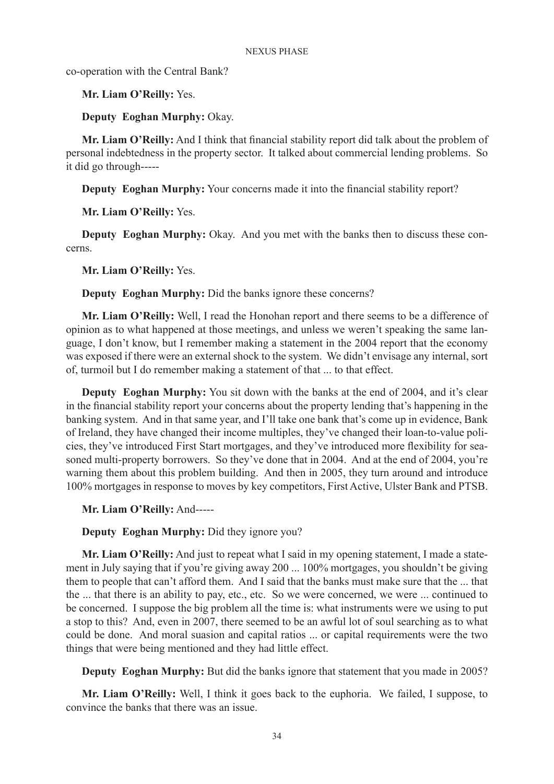co-operation with the Central Bank?

**Mr. Liam O'Reilly:** Yes.

**Deputy Eoghan Murphy:** Okay.

**Mr. Liam O'Reilly:** And I think that financial stability report did talk about the problem of personal indebtedness in the property sector. It talked about commercial lending problems. So it did go through-----

**Deputy Eoghan Murphy:** Your concerns made it into the financial stability report?

**Mr. Liam O'Reilly:** Yes.

**Deputy Eoghan Murphy:** Okay. And you met with the banks then to discuss these concerns.

**Mr. Liam O'Reilly:** Yes.

**Deputy Eoghan Murphy:** Did the banks ignore these concerns?

**Mr. Liam O'Reilly:** Well, I read the Honohan report and there seems to be a difference of opinion as to what happened at those meetings, and unless we weren't speaking the same language, I don't know, but I remember making a statement in the 2004 report that the economy was exposed if there were an external shock to the system. We didn't envisage any internal, sort of, turmoil but I do remember making a statement of that ... to that effect.

**Deputy Eoghan Murphy:** You sit down with the banks at the end of 2004, and it's clear in the financial stability report your concerns about the property lending that's happening in the banking system. And in that same year, and I'll take one bank that's come up in evidence, Bank of Ireland, they have changed their income multiples, they've changed their loan-to-value policies, they've introduced First Start mortgages, and they've introduced more flexibility for seasoned multi-property borrowers. So they've done that in 2004. And at the end of 2004, you're warning them about this problem building. And then in 2005, they turn around and introduce 100% mortgages in response to moves by key competitors, First Active, Ulster Bank and PTSB.

**Mr. Liam O'Reilly:** And-----

**Deputy Eoghan Murphy:** Did they ignore you?

**Mr. Liam O'Reilly:** And just to repeat what I said in my opening statement, I made a statement in July saying that if you're giving away 200 ... 100% mortgages, you shouldn't be giving them to people that can't afford them. And I said that the banks must make sure that the ... that the ... that there is an ability to pay, etc., etc. So we were concerned, we were ... continued to be concerned. I suppose the big problem all the time is: what instruments were we using to put a stop to this? And, even in 2007, there seemed to be an awful lot of soul searching as to what could be done. And moral suasion and capital ratios ... or capital requirements were the two things that were being mentioned and they had little effect.

**Deputy Eoghan Murphy:** But did the banks ignore that statement that you made in 2005?

**Mr. Liam O'Reilly:** Well, I think it goes back to the euphoria. We failed, I suppose, to convince the banks that there was an issue.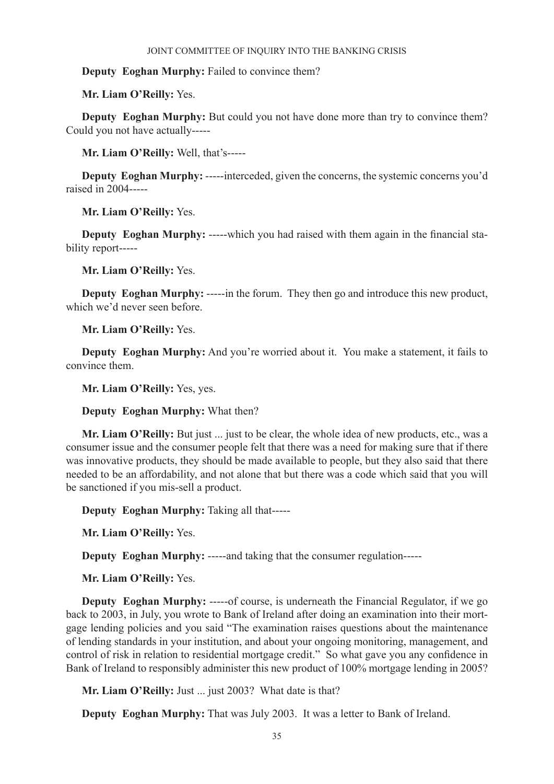# **Deputy Eoghan Murphy:** Failed to convince them?

**Mr. Liam O'Reilly:** Yes.

**Deputy Eoghan Murphy:** But could you not have done more than try to convince them? Could you not have actually-----

**Mr. Liam O'Reilly:** Well, that's-----

**Deputy Eoghan Murphy:** -----interceded, given the concerns, the systemic concerns you'd raised in 2004-----

**Mr. Liam O'Reilly:** Yes.

**Deputy Eoghan Murphy:** -----which you had raised with them again in the financial stability report-----

**Mr. Liam O'Reilly:** Yes.

**Deputy Eoghan Murphy:** -----in the forum. They then go and introduce this new product, which we'd never seen before.

**Mr. Liam O'Reilly:** Yes.

**Deputy Eoghan Murphy:** And you're worried about it. You make a statement, it fails to convince them.

**Mr. Liam O'Reilly:** Yes, yes.

**Deputy Eoghan Murphy:** What then?

**Mr. Liam O'Reilly:** But just ... just to be clear, the whole idea of new products, etc., was a consumer issue and the consumer people felt that there was a need for making sure that if there was innovative products, they should be made available to people, but they also said that there needed to be an affordability, and not alone that but there was a code which said that you will be sanctioned if you mis-sell a product.

**Deputy Eoghan Murphy:** Taking all that-----

**Mr. Liam O'Reilly:** Yes.

**Deputy Eoghan Murphy:** -----and taking that the consumer regulation-----

**Mr. Liam O'Reilly:** Yes.

**Deputy Eoghan Murphy:** -----of course, is underneath the Financial Regulator, if we go back to 2003, in July, you wrote to Bank of Ireland after doing an examination into their mortgage lending policies and you said "The examination raises questions about the maintenance of lending standards in your institution, and about your ongoing monitoring, management, and control of risk in relation to residential mortgage credit." So what gave you any confidence in Bank of Ireland to responsibly administer this new product of 100% mortgage lending in 2005?

**Mr. Liam O'Reilly:** Just ... just 2003? What date is that?

**Deputy Eoghan Murphy:** That was July 2003. It was a letter to Bank of Ireland.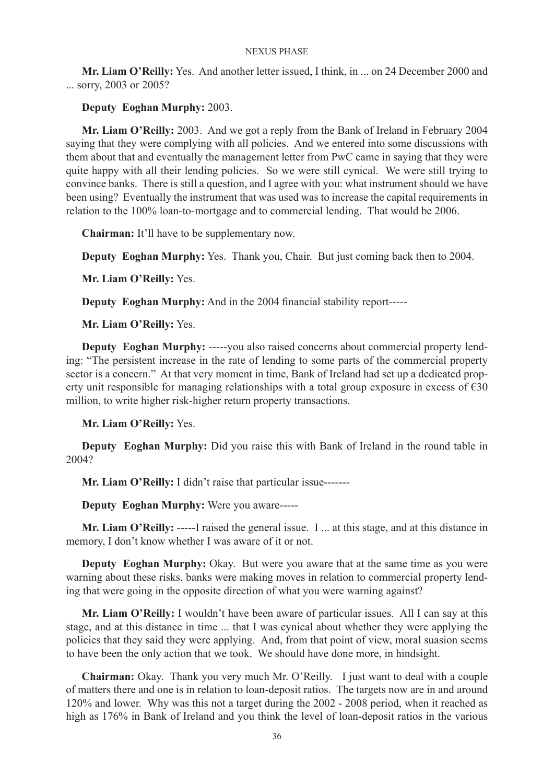**Mr. Liam O'Reilly:** Yes. And another letter issued, I think, in ... on 24 December 2000 and ... sorry, 2003 or 2005?

# **Deputy Eoghan Murphy:** 2003.

**Mr. Liam O'Reilly:** 2003. And we got a reply from the Bank of Ireland in February 2004 saying that they were complying with all policies. And we entered into some discussions with them about that and eventually the management letter from PwC came in saying that they were quite happy with all their lending policies. So we were still cynical. We were still trying to convince banks. There is still a question, and I agree with you: what instrument should we have been using? Eventually the instrument that was used was to increase the capital requirements in relation to the 100% loan-to-mortgage and to commercial lending. That would be 2006.

**Chairman:** It'll have to be supplementary now.

**Deputy Eoghan Murphy:** Yes. Thank you, Chair. But just coming back then to 2004.

**Mr. Liam O'Reilly:** Yes.

**Deputy Eoghan Murphy:** And in the 2004 financial stability report-----

**Mr. Liam O'Reilly:** Yes.

**Deputy Eoghan Murphy:** -----you also raised concerns about commercial property lending: "The persistent increase in the rate of lending to some parts of the commercial property sector is a concern." At that very moment in time, Bank of Ireland had set up a dedicated property unit responsible for managing relationships with a total group exposure in excess of  $\epsilon$ 30 million, to write higher risk-higher return property transactions.

**Mr. Liam O'Reilly:** Yes.

**Deputy Eoghan Murphy:** Did you raise this with Bank of Ireland in the round table in 2004?

**Mr. Liam O'Reilly:** I didn't raise that particular issue-------

**Deputy Eoghan Murphy:** Were you aware-----

**Mr. Liam O'Reilly:** -----I raised the general issue. I ... at this stage, and at this distance in memory, I don't know whether I was aware of it or not.

**Deputy Eoghan Murphy:** Okay. But were you aware that at the same time as you were warning about these risks, banks were making moves in relation to commercial property lending that were going in the opposite direction of what you were warning against?

**Mr. Liam O'Reilly:** I wouldn't have been aware of particular issues. All I can say at this stage, and at this distance in time ... that I was cynical about whether they were applying the policies that they said they were applying. And, from that point of view, moral suasion seems to have been the only action that we took. We should have done more, in hindsight.

**Chairman:** Okay. Thank you very much Mr. O'Reilly. I just want to deal with a couple of matters there and one is in relation to loan-deposit ratios. The targets now are in and around 120% and lower. Why was this not a target during the 2002 - 2008 period, when it reached as high as 176% in Bank of Ireland and you think the level of loan-deposit ratios in the various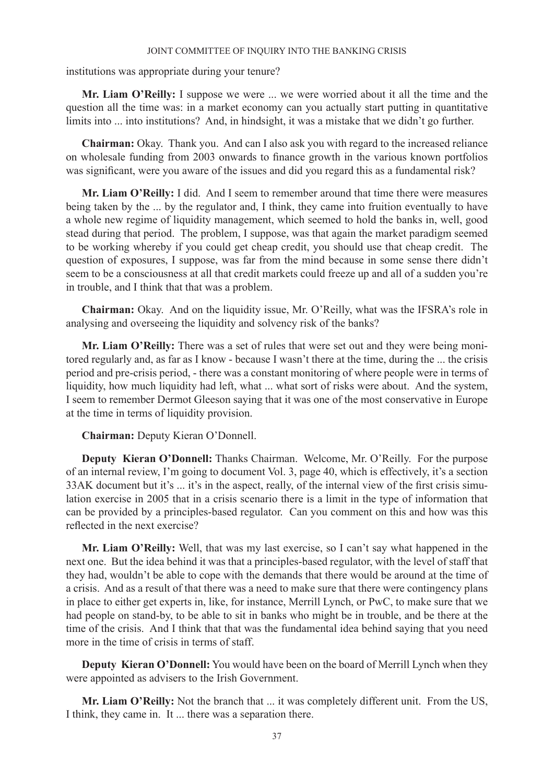institutions was appropriate during your tenure?

**Mr. Liam O'Reilly:** I suppose we were ... we were worried about it all the time and the question all the time was: in a market economy can you actually start putting in quantitative limits into ... into institutions? And, in hindsight, it was a mistake that we didn't go further.

**Chairman:** Okay. Thank you. And can I also ask you with regard to the increased reliance on wholesale funding from 2003 onwards to finance growth in the various known portfolios was significant, were you aware of the issues and did you regard this as a fundamental risk?

**Mr. Liam O'Reilly:** I did. And I seem to remember around that time there were measures being taken by the ... by the regulator and, I think, they came into fruition eventually to have a whole new regime of liquidity management, which seemed to hold the banks in, well, good stead during that period. The problem, I suppose, was that again the market paradigm seemed to be working whereby if you could get cheap credit, you should use that cheap credit. The question of exposures, I suppose, was far from the mind because in some sense there didn't seem to be a consciousness at all that credit markets could freeze up and all of a sudden you're in trouble, and I think that that was a problem.

**Chairman:** Okay. And on the liquidity issue, Mr. O'Reilly, what was the IFSRA's role in analysing and overseeing the liquidity and solvency risk of the banks?

**Mr. Liam O'Reilly:** There was a set of rules that were set out and they were being monitored regularly and, as far as I know - because I wasn't there at the time, during the ... the crisis period and pre-crisis period, - there was a constant monitoring of where people were in terms of liquidity, how much liquidity had left, what ... what sort of risks were about. And the system, I seem to remember Dermot Gleeson saying that it was one of the most conservative in Europe at the time in terms of liquidity provision.

**Chairman:** Deputy Kieran O'Donnell.

**Deputy Kieran O'Donnell:** Thanks Chairman. Welcome, Mr. O'Reilly. For the purpose of an internal review, I'm going to document Vol. 3, page 40, which is effectively, it's a section 33AK document but it's ... it's in the aspect, really, of the internal view of the first crisis simulation exercise in 2005 that in a crisis scenario there is a limit in the type of information that can be provided by a principles-based regulator. Can you comment on this and how was this reflected in the next exercise?

**Mr. Liam O'Reilly:** Well, that was my last exercise, so I can't say what happened in the next one. But the idea behind it was that a principles-based regulator, with the level of staff that they had, wouldn't be able to cope with the demands that there would be around at the time of a crisis. And as a result of that there was a need to make sure that there were contingency plans in place to either get experts in, like, for instance, Merrill Lynch, or PwC, to make sure that we had people on stand-by, to be able to sit in banks who might be in trouble, and be there at the time of the crisis. And I think that that was the fundamental idea behind saying that you need more in the time of crisis in terms of staff.

**Deputy Kieran O'Donnell:** You would have been on the board of Merrill Lynch when they were appointed as advisers to the Irish Government.

**Mr. Liam O'Reilly:** Not the branch that ... it was completely different unit. From the US, I think, they came in. It ... there was a separation there.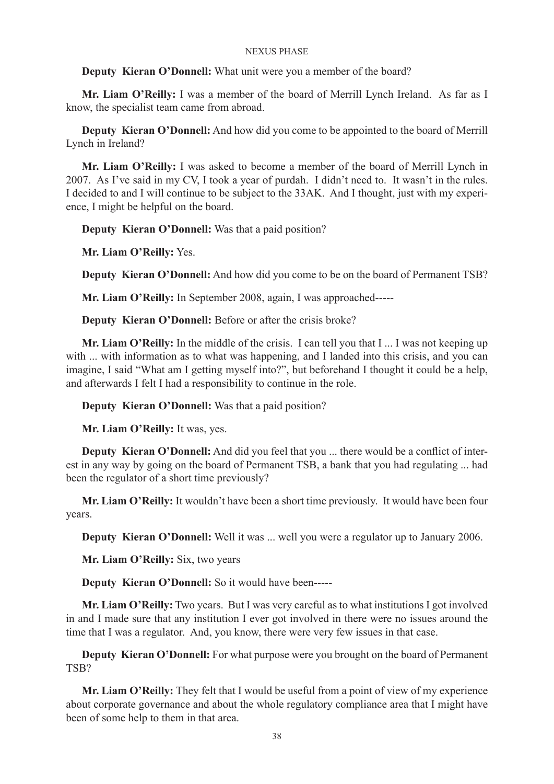# **Deputy Kieran O'Donnell:** What unit were you a member of the board?

**Mr. Liam O'Reilly:** I was a member of the board of Merrill Lynch Ireland. As far as I know, the specialist team came from abroad.

**Deputy Kieran O'Donnell:** And how did you come to be appointed to the board of Merrill Lynch in Ireland?

**Mr. Liam O'Reilly:** I was asked to become a member of the board of Merrill Lynch in 2007. As I've said in my CV, I took a year of purdah. I didn't need to. It wasn't in the rules. I decided to and I will continue to be subject to the 33AK. And I thought, just with my experience, I might be helpful on the board.

**Deputy Kieran O'Donnell:** Was that a paid position?

**Mr. Liam O'Reilly:** Yes.

**Deputy Kieran O'Donnell:** And how did you come to be on the board of Permanent TSB?

**Mr. Liam O'Reilly:** In September 2008, again, I was approached-----

**Deputy Kieran O'Donnell:** Before or after the crisis broke?

**Mr. Liam O'Reilly:** In the middle of the crisis. I can tell you that I ... I was not keeping up with ... with information as to what was happening, and I landed into this crisis, and you can imagine, I said "What am I getting myself into?", but beforehand I thought it could be a help, and afterwards I felt I had a responsibility to continue in the role.

**Deputy Kieran O'Donnell:** Was that a paid position?

**Mr. Liam O'Reilly:** It was, yes.

**Deputy Kieran O'Donnell:** And did you feel that you ... there would be a conflict of interest in any way by going on the board of Permanent TSB, a bank that you had regulating ... had been the regulator of a short time previously?

**Mr. Liam O'Reilly:** It wouldn't have been a short time previously. It would have been four years.

**Deputy Kieran O'Donnell:** Well it was ... well you were a regulator up to January 2006.

**Mr. Liam O'Reilly:** Six, two years

**Deputy Kieran O'Donnell:** So it would have been-----

**Mr. Liam O'Reilly:** Two years. But I was very careful as to what institutions I got involved in and I made sure that any institution I ever got involved in there were no issues around the time that I was a regulator. And, you know, there were very few issues in that case.

**Deputy Kieran O'Donnell:** For what purpose were you brought on the board of Permanent TSB?

**Mr. Liam O'Reilly:** They felt that I would be useful from a point of view of my experience about corporate governance and about the whole regulatory compliance area that I might have been of some help to them in that area.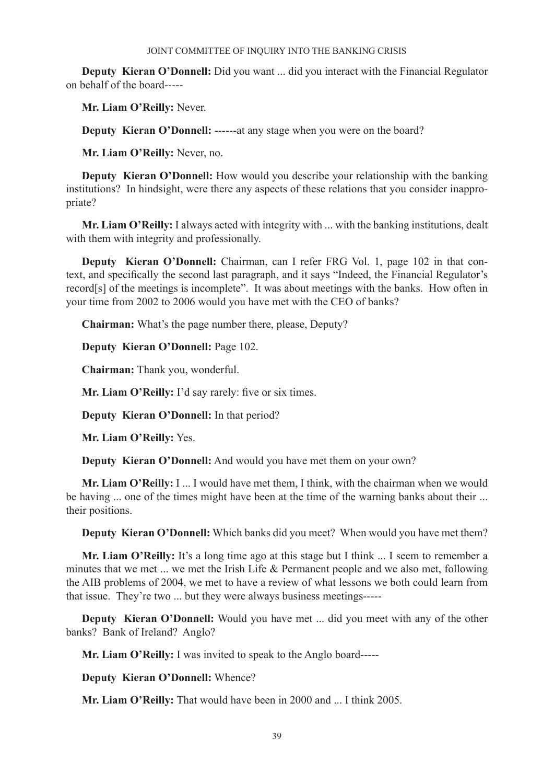**Deputy Kieran O'Donnell:** Did you want ... did you interact with the Financial Regulator on behalf of the board-----

**Mr. Liam O'Reilly:** Never.

**Deputy Kieran O'Donnell:** ------at any stage when you were on the board?

**Mr. Liam O'Reilly:** Never, no.

**Deputy Kieran O'Donnell:** How would you describe your relationship with the banking institutions? In hindsight, were there any aspects of these relations that you consider inappropriate?

**Mr. Liam O'Reilly:** I always acted with integrity with ... with the banking institutions, dealt with them with integrity and professionally.

**Deputy Kieran O'Donnell:** Chairman, can I refer FRG Vol. 1, page 102 in that context, and specifically the second last paragraph, and it says "Indeed, the Financial Regulator's record[s] of the meetings is incomplete". It was about meetings with the banks. How often in your time from 2002 to 2006 would you have met with the CEO of banks?

**Chairman:** What's the page number there, please, Deputy?

**Deputy Kieran O'Donnell:** Page 102.

**Chairman:** Thank you, wonderful.

Mr. Liam O'Reilly: I'd say rarely: five or six times.

**Deputy Kieran O'Donnell:** In that period?

**Mr. Liam O'Reilly:** Yes.

**Deputy Kieran O'Donnell:** And would you have met them on your own?

**Mr. Liam O'Reilly:** I ... I would have met them, I think, with the chairman when we would be having ... one of the times might have been at the time of the warning banks about their ... their positions.

**Deputy Kieran O'Donnell:** Which banks did you meet? When would you have met them?

Mr. Liam O'Reilly: It's a long time ago at this stage but I think ... I seem to remember a minutes that we met ... we met the Irish Life & Permanent people and we also met, following the AIB problems of 2004, we met to have a review of what lessons we both could learn from that issue. They're two ... but they were always business meetings-----

**Deputy Kieran O'Donnell:** Would you have met ... did you meet with any of the other banks? Bank of Ireland? Anglo?

**Mr. Liam O'Reilly:** I was invited to speak to the Anglo board-----

**Deputy Kieran O'Donnell:** Whence?

**Mr. Liam O'Reilly:** That would have been in 2000 and ... I think 2005.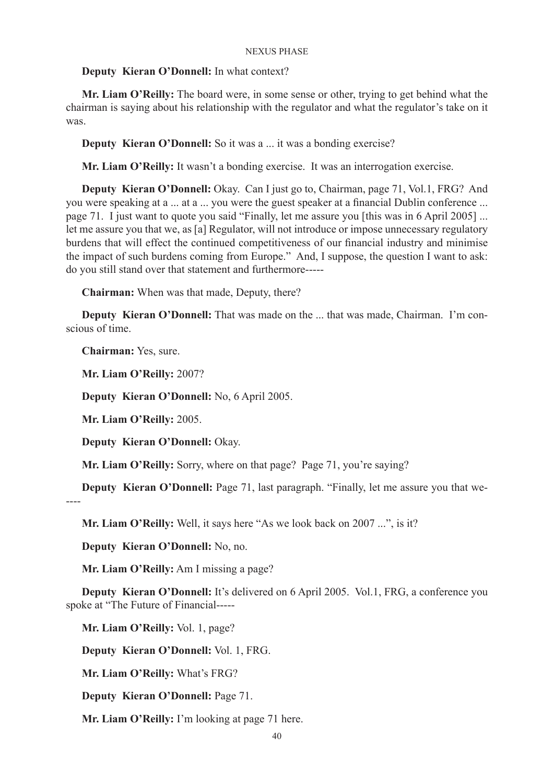# **Deputy Kieran O'Donnell:** In what context?

**Mr. Liam O'Reilly:** The board were, in some sense or other, trying to get behind what the chairman is saying about his relationship with the regulator and what the regulator's take on it was.

**Deputy Kieran O'Donnell:** So it was a ... it was a bonding exercise?

**Mr. Liam O'Reilly:** It wasn't a bonding exercise. It was an interrogation exercise.

**Deputy Kieran O'Donnell:** Okay. Can I just go to, Chairman, page 71, Vol.1, FRG? And you were speaking at a ... at a ... you were the guest speaker at a financial Dublin conference ... page 71. I just want to quote you said "Finally, let me assure you [this was in 6 April 2005] ... let me assure you that we, as [a] Regulator, will not introduce or impose unnecessary regulatory burdens that will effect the continued competitiveness of our financial industry and minimise the impact of such burdens coming from Europe." And, I suppose, the question I want to ask: do you still stand over that statement and furthermore-----

**Chairman:** When was that made, Deputy, there?

**Deputy Kieran O'Donnell:** That was made on the ... that was made, Chairman. I'm conscious of time.

**Chairman:** Yes, sure.

**Mr. Liam O'Reilly:** 2007?

**Deputy Kieran O'Donnell:** No, 6 April 2005.

**Mr. Liam O'Reilly:** 2005.

**Deputy Kieran O'Donnell:** Okay.

**Mr. Liam O'Reilly:** Sorry, where on that page? Page 71, you're saying?

**Deputy Kieran O'Donnell:** Page 71, last paragraph. "Finally, let me assure you that we-

----

**Mr. Liam O'Reilly:** Well, it says here "As we look back on 2007 ...", is it?

**Deputy Kieran O'Donnell:** No, no.

**Mr. Liam O'Reilly:** Am I missing a page?

**Deputy Kieran O'Donnell:** It's delivered on 6 April 2005. Vol.1, FRG, a conference you spoke at "The Future of Financial-----

**Mr. Liam O'Reilly:** Vol. 1, page?

**Deputy Kieran O'Donnell:** Vol. 1, FRG.

**Mr. Liam O'Reilly:** What's FRG?

**Deputy Kieran O'Donnell:** Page 71.

**Mr. Liam O'Reilly:** I'm looking at page 71 here.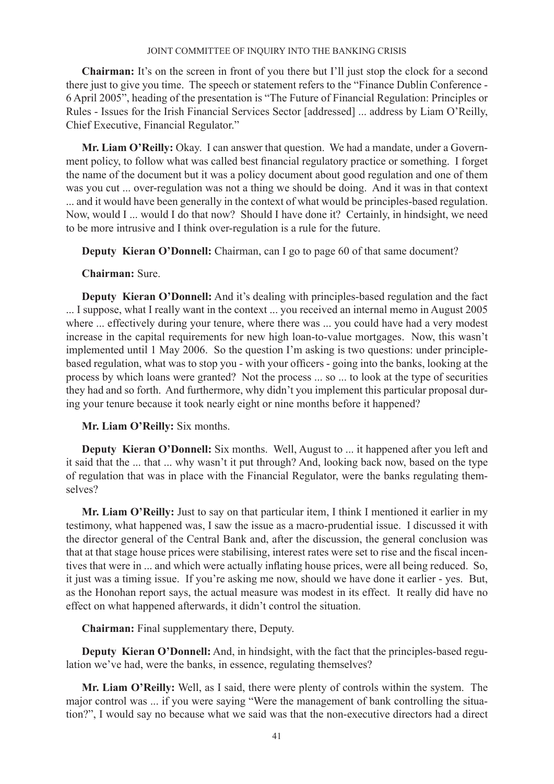**Chairman:** It's on the screen in front of you there but I'll just stop the clock for a second there just to give you time. The speech or statement refers to the "Finance Dublin Conference - 6 April 2005", heading of the presentation is "The Future of Financial Regulation: Principles or Rules - Issues for the Irish Financial Services Sector [addressed] ... address by Liam O'Reilly, Chief Executive, Financial Regulator."

**Mr. Liam O'Reilly:** Okay. I can answer that question. We had a mandate, under a Government policy, to follow what was called best financial regulatory practice or something. I forget the name of the document but it was a policy document about good regulation and one of them was you cut ... over-regulation was not a thing we should be doing. And it was in that context ... and it would have been generally in the context of what would be principles-based regulation. Now, would I ... would I do that now? Should I have done it? Certainly, in hindsight, we need to be more intrusive and I think over-regulation is a rule for the future.

**Deputy Kieran O'Donnell:** Chairman, can I go to page 60 of that same document?

# **Chairman:** Sure.

**Deputy Kieran O'Donnell:** And it's dealing with principles-based regulation and the fact ... I suppose, what I really want in the context ... you received an internal memo in August 2005 where ... effectively during your tenure, where there was ... you could have had a very modest increase in the capital requirements for new high loan-to-value mortgages. Now, this wasn't implemented until 1 May 2006. So the question I'm asking is two questions: under principlebased regulation, what was to stop you - with your officers - going into the banks, looking at the process by which loans were granted? Not the process ... so ... to look at the type of securities they had and so forth. And furthermore, why didn't you implement this particular proposal during your tenure because it took nearly eight or nine months before it happened?

# **Mr. Liam O'Reilly:** Six months.

**Deputy Kieran O'Donnell:** Six months. Well, August to ... it happened after you left and it said that the ... that ... why wasn't it put through? And, looking back now, based on the type of regulation that was in place with the Financial Regulator, were the banks regulating themselves?

**Mr. Liam O'Reilly:** Just to say on that particular item, I think I mentioned it earlier in my testimony, what happened was, I saw the issue as a macro-prudential issue. I discussed it with the director general of the Central Bank and, after the discussion, the general conclusion was that at that stage house prices were stabilising, interest rates were set to rise and the fiscal incentives that were in ... and which were actually inflating house prices, were all being reduced. So, it just was a timing issue. If you're asking me now, should we have done it earlier - yes. But, as the Honohan report says, the actual measure was modest in its effect. It really did have no effect on what happened afterwards, it didn't control the situation.

**Chairman:** Final supplementary there, Deputy.

**Deputy Kieran O'Donnell:** And, in hindsight, with the fact that the principles-based regulation we've had, were the banks, in essence, regulating themselves?

**Mr. Liam O'Reilly:** Well, as I said, there were plenty of controls within the system. The major control was ... if you were saying "Were the management of bank controlling the situation?", I would say no because what we said was that the non-executive directors had a direct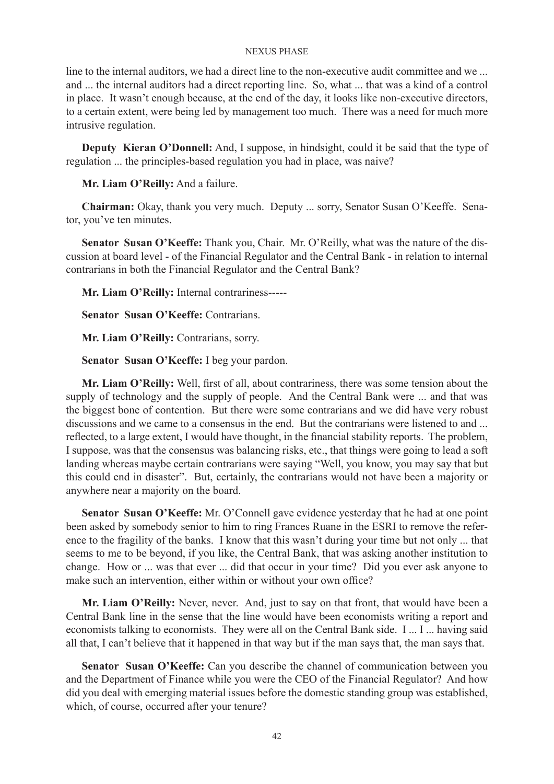line to the internal auditors, we had a direct line to the non-executive audit committee and we ... and ... the internal auditors had a direct reporting line. So, what ... that was a kind of a control in place. It wasn't enough because, at the end of the day, it looks like non-executive directors, to a certain extent, were being led by management too much. There was a need for much more intrusive regulation.

**Deputy Kieran O'Donnell:** And, I suppose, in hindsight, could it be said that the type of regulation ... the principles-based regulation you had in place, was naive?

**Mr. Liam O'Reilly:** And a failure.

**Chairman:** Okay, thank you very much. Deputy ... sorry, Senator Susan O'Keeffe. Senator, you've ten minutes.

**Senator Susan O'Keeffe:** Thank you, Chair. Mr. O'Reilly, what was the nature of the discussion at board level - of the Financial Regulator and the Central Bank - in relation to internal contrarians in both the Financial Regulator and the Central Bank?

**Mr. Liam O'Reilly:** Internal contrariness-----

**Senator Susan O'Keeffe:** Contrarians.

**Mr. Liam O'Reilly:** Contrarians, sorry.

**Senator Susan O'Keeffe:** I beg your pardon.

**Mr. Liam O'Reilly:** Well, first of all, about contrariness, there was some tension about the supply of technology and the supply of people. And the Central Bank were ... and that was the biggest bone of contention. But there were some contrarians and we did have very robust discussions and we came to a consensus in the end. But the contrarians were listened to and ... reflected, to a large extent, I would have thought, in the financial stability reports. The problem, I suppose, was that the consensus was balancing risks, etc., that things were going to lead a soft landing whereas maybe certain contrarians were saying "Well, you know, you may say that but this could end in disaster". But, certainly, the contrarians would not have been a majority or anywhere near a majority on the board.

**Senator Susan O'Keeffe:** Mr. O'Connell gave evidence yesterday that he had at one point been asked by somebody senior to him to ring Frances Ruane in the ESRI to remove the reference to the fragility of the banks. I know that this wasn't during your time but not only ... that seems to me to be beyond, if you like, the Central Bank, that was asking another institution to change. How or ... was that ever ... did that occur in your time? Did you ever ask anyone to make such an intervention, either within or without your own office?

**Mr. Liam O'Reilly:** Never, never. And, just to say on that front, that would have been a Central Bank line in the sense that the line would have been economists writing a report and economists talking to economists. They were all on the Central Bank side. I ... I ... having said all that, I can't believe that it happened in that way but if the man says that, the man says that.

**Senator Susan O'Keeffe:** Can you describe the channel of communication between you and the Department of Finance while you were the CEO of the Financial Regulator? And how did you deal with emerging material issues before the domestic standing group was established, which, of course, occurred after your tenure?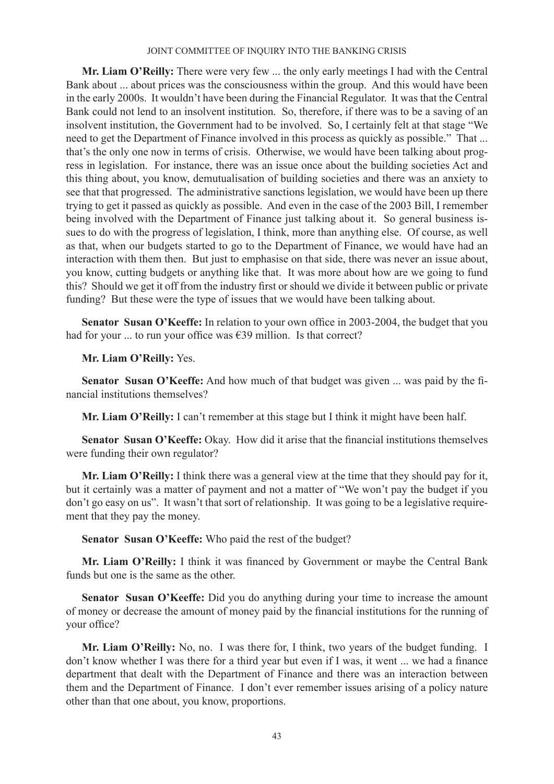**Mr. Liam O'Reilly:** There were very few ... the only early meetings I had with the Central Bank about ... about prices was the consciousness within the group. And this would have been in the early 2000s. It wouldn't have been during the Financial Regulator. It was that the Central Bank could not lend to an insolvent institution. So, therefore, if there was to be a saving of an insolvent institution, the Government had to be involved. So, I certainly felt at that stage "We need to get the Department of Finance involved in this process as quickly as possible." That ... that's the only one now in terms of crisis. Otherwise, we would have been talking about progress in legislation. For instance, there was an issue once about the building societies Act and this thing about, you know, demutualisation of building societies and there was an anxiety to see that that progressed. The administrative sanctions legislation, we would have been up there trying to get it passed as quickly as possible. And even in the case of the 2003 Bill, I remember being involved with the Department of Finance just talking about it. So general business issues to do with the progress of legislation, I think, more than anything else. Of course, as well as that, when our budgets started to go to the Department of Finance, we would have had an interaction with them then. But just to emphasise on that side, there was never an issue about, you know, cutting budgets or anything like that. It was more about how are we going to fund this? Should we get it off from the industry first or should we divide it between public or private funding? But these were the type of issues that we would have been talking about.

**Senator Susan O'Keeffe:** In relation to your own office in 2003-2004, the budget that you had for your ... to run your office was  $639$  million. Is that correct?

**Mr. Liam O'Reilly:** Yes.

**Senator Susan O'Keeffe:** And how much of that budget was given ... was paid by the financial institutions themselves?

**Mr. Liam O'Reilly:** I can't remember at this stage but I think it might have been half.

**Senator Susan O'Keeffe:** Okay. How did it arise that the financial institutions themselves were funding their own regulator?

**Mr. Liam O'Reilly:** I think there was a general view at the time that they should pay for it, but it certainly was a matter of payment and not a matter of "We won't pay the budget if you don't go easy on us". It wasn't that sort of relationship. It was going to be a legislative requirement that they pay the money.

**Senator Susan O'Keeffe:** Who paid the rest of the budget?

**Mr. Liam O'Reilly:** I think it was financed by Government or maybe the Central Bank funds but one is the same as the other.

**Senator Susan O'Keeffe:** Did you do anything during your time to increase the amount of money or decrease the amount of money paid by the financial institutions for the running of your office?

**Mr. Liam O'Reilly:** No, no. I was there for, I think, two years of the budget funding. I don't know whether I was there for a third year but even if I was, it went ... we had a finance department that dealt with the Department of Finance and there was an interaction between them and the Department of Finance. I don't ever remember issues arising of a policy nature other than that one about, you know, proportions.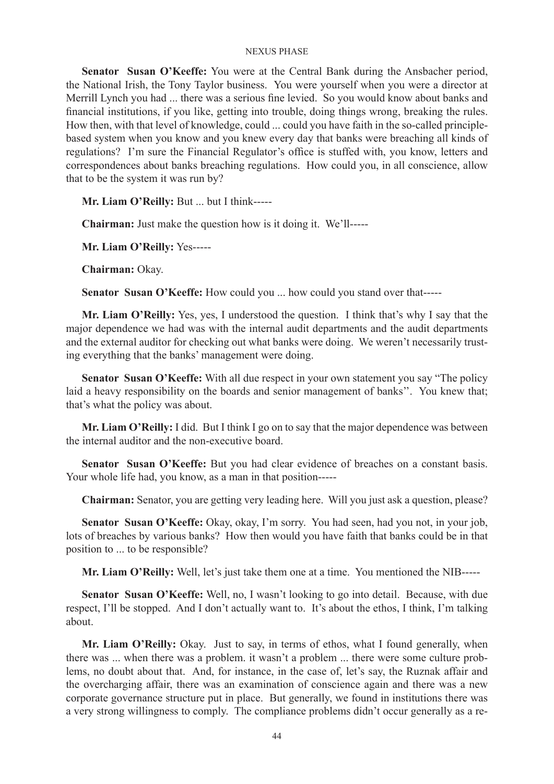**Senator Susan O'Keeffe:** You were at the Central Bank during the Ansbacher period, the National Irish, the Tony Taylor business. You were yourself when you were a director at Merrill Lynch you had ... there was a serious fine levied. So you would know about banks and financial institutions, if you like, getting into trouble, doing things wrong, breaking the rules. How then, with that level of knowledge, could ... could you have faith in the so-called principlebased system when you know and you knew every day that banks were breaching all kinds of regulations? I'm sure the Financial Regulator's office is stuffed with, you know, letters and correspondences about banks breaching regulations. How could you, in all conscience, allow that to be the system it was run by?

**Mr. Liam O'Reilly:** But ... but I think-----

**Chairman:** Just make the question how is it doing it. We'll-----

**Mr. Liam O'Reilly:** Yes-----

**Chairman:** Okay.

**Senator Susan O'Keeffe:** How could you ... how could you stand over that-----

**Mr. Liam O'Reilly:** Yes, yes, I understood the question. I think that's why I say that the major dependence we had was with the internal audit departments and the audit departments and the external auditor for checking out what banks were doing. We weren't necessarily trusting everything that the banks' management were doing.

**Senator Susan O'Keeffe:** With all due respect in your own statement you say "The policy laid a heavy responsibility on the boards and senior management of banks''. You knew that; that's what the policy was about.

**Mr. Liam O'Reilly:** I did. But I think I go on to say that the major dependence was between the internal auditor and the non-executive board.

**Senator Susan O'Keeffe:** But you had clear evidence of breaches on a constant basis. Your whole life had, you know, as a man in that position-----

**Chairman:** Senator, you are getting very leading here. Will you just ask a question, please?

**Senator Susan O'Keeffe:** Okay, okay, I'm sorry. You had seen, had you not, in your job, lots of breaches by various banks? How then would you have faith that banks could be in that position to ... to be responsible?

**Mr. Liam O'Reilly:** Well, let's just take them one at a time. You mentioned the NIB-----

**Senator Susan O'Keeffe:** Well, no, I wasn't looking to go into detail. Because, with due respect, I'll be stopped. And I don't actually want to. It's about the ethos, I think, I'm talking about.

**Mr. Liam O'Reilly:** Okay. Just to say, in terms of ethos, what I found generally, when there was ... when there was a problem. it wasn't a problem ... there were some culture problems, no doubt about that. And, for instance, in the case of, let's say, the Ruznak affair and the overcharging affair, there was an examination of conscience again and there was a new corporate governance structure put in place. But generally, we found in institutions there was a very strong willingness to comply. The compliance problems didn't occur generally as a re-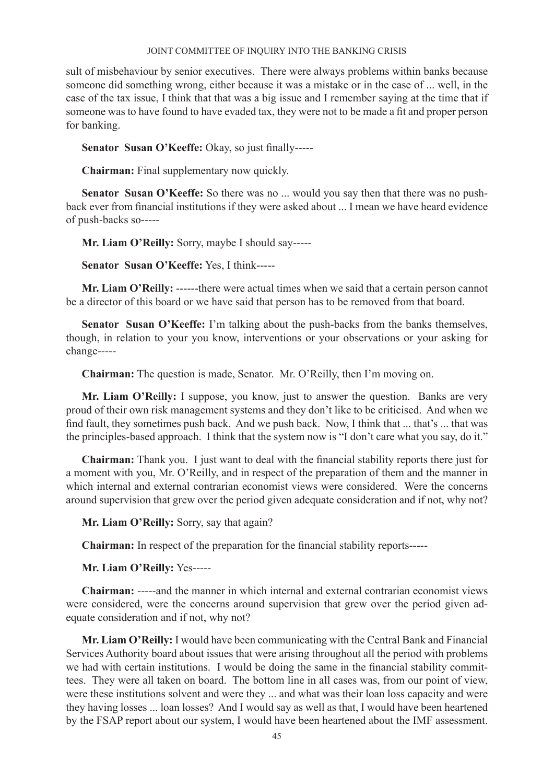sult of misbehaviour by senior executives. There were always problems within banks because someone did something wrong, either because it was a mistake or in the case of ... well, in the case of the tax issue, I think that that was a big issue and I remember saying at the time that if someone was to have found to have evaded tax, they were not to be made a fit and proper person for banking.

**Senator Susan O'Keeffe:** Okay, so just finally-----

**Chairman:** Final supplementary now quickly.

**Senator Susan O'Keeffe:** So there was no ... would you say then that there was no pushback ever from financial institutions if they were asked about ... I mean we have heard evidence of push-backs so-----

**Mr. Liam O'Reilly:** Sorry, maybe I should say-----

**Senator Susan O'Keeffe:** Yes, I think-----

**Mr. Liam O'Reilly:** ------there were actual times when we said that a certain person cannot be a director of this board or we have said that person has to be removed from that board.

**Senator Susan O'Keeffe:** I'm talking about the push-backs from the banks themselves, though, in relation to your you know, interventions or your observations or your asking for change-----

**Chairman:** The question is made, Senator. Mr. O'Reilly, then I'm moving on.

**Mr. Liam O'Reilly:** I suppose, you know, just to answer the question. Banks are very proud of their own risk management systems and they don't like to be criticised. And when we find fault, they sometimes push back. And we push back. Now, I think that ... that's ... that was the principles-based approach. I think that the system now is "I don't care what you say, do it."

**Chairman:** Thank you. I just want to deal with the financial stability reports there just for a moment with you, Mr. O'Reilly, and in respect of the preparation of them and the manner in which internal and external contrarian economist views were considered. Were the concerns around supervision that grew over the period given adequate consideration and if not, why not?

**Mr. Liam O'Reilly:** Sorry, say that again?

**Chairman:** In respect of the preparation for the financial stability reports-----

**Mr. Liam O'Reilly:** Yes-----

**Chairman:** -----and the manner in which internal and external contrarian economist views were considered, were the concerns around supervision that grew over the period given adequate consideration and if not, why not?

**Mr. Liam O'Reilly:** I would have been communicating with the Central Bank and Financial Services Authority board about issues that were arising throughout all the period with problems we had with certain institutions. I would be doing the same in the financial stability committees. They were all taken on board. The bottom line in all cases was, from our point of view, were these institutions solvent and were they ... and what was their loan loss capacity and were they having losses ... loan losses? And I would say as well as that, I would have been heartened by the FSAP report about our system, I would have been heartened about the IMF assessment.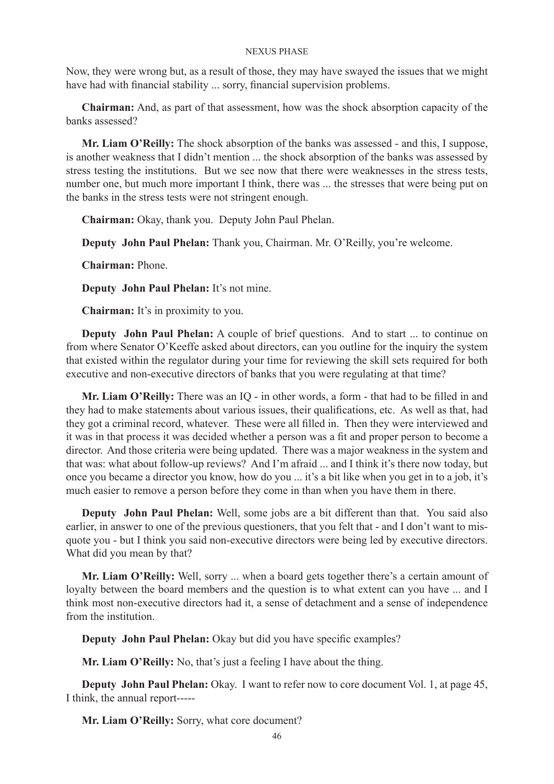Now, they were wrong but, as a result of those, they may have swayed the issues that we might have had with financial stability ... sorry, financial supervision problems.

**Chairman:** And, as part of that assessment, how was the shock absorption capacity of the banks assessed?

**Mr. Liam O'Reilly:** The shock absorption of the banks was assessed - and this, I suppose, is another weakness that I didn't mention ... the shock absorption of the banks was assessed by stress testing the institutions. But we see now that there were weaknesses in the stress tests, number one, but much more important I think, there was ... the stresses that were being put on the banks in the stress tests were not stringent enough.

**Chairman:** Okay, thank you. Deputy John Paul Phelan.

**Deputy John Paul Phelan:** Thank you, Chairman. Mr. O'Reilly, you're welcome.

**Chairman:** Phone.

**Deputy John Paul Phelan:** It's not mine.

**Chairman:** It's in proximity to you.

**Deputy John Paul Phelan:** A couple of brief questions. And to start ... to continue on from where Senator O'Keeffe asked about directors, can you outline for the inquiry the system that existed within the regulator during your time for reviewing the skill sets required for both executive and non-executive directors of banks that you were regulating at that time?

**Mr. Liam O'Reilly:** There was an IQ - in other words, a form - that had to be filled in and they had to make statements about various issues, their qualifications, etc. As well as that, had they got a criminal record, whatever. These were all filled in. Then they were interviewed and it was in that process it was decided whether a person was a fit and proper person to become a director. And those criteria were being updated. There was a major weakness in the system and that was: what about follow-up reviews? And I'm afraid ... and I think it's there now today, but once you became a director you know, how do you ... it's a bit like when you get in to a job, it's much easier to remove a person before they come in than when you have them in there.

**Deputy John Paul Phelan:** Well, some jobs are a bit different than that. You said also earlier, in answer to one of the previous questioners, that you felt that - and I don't want to misquote you - but I think you said non-executive directors were being led by executive directors. What did you mean by that?

**Mr. Liam O'Reilly:** Well, sorry ... when a board gets together there's a certain amount of loyalty between the board members and the question is to what extent can you have ... and I think most non-executive directors had it, a sense of detachment and a sense of independence from the institution.

**Deputy John Paul Phelan:** Okay but did you have specific examples?

**Mr. Liam O'Reilly:** No, that's just a feeling I have about the thing.

**Deputy John Paul Phelan:** Okay. I want to refer now to core document Vol. 1, at page 45, I think, the annual report-----

**Mr. Liam O'Reilly:** Sorry, what core document?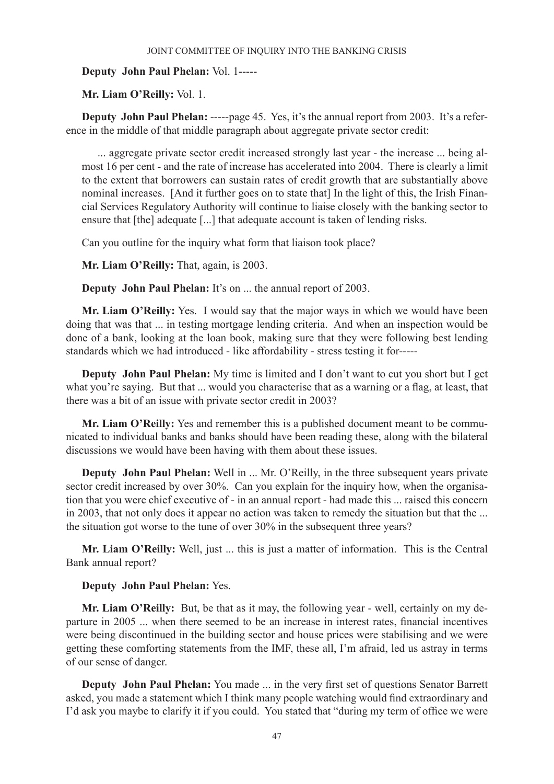# **Deputy John Paul Phelan:** Vol. 1-----

**Mr. Liam O'Reilly:** Vol. 1.

**Deputy John Paul Phelan:** -----page 45. Yes, it's the annual report from 2003. It's a reference in the middle of that middle paragraph about aggregate private sector credit:

... aggregate private sector credit increased strongly last year - the increase ... being almost 16 per cent - and the rate of increase has accelerated into 2004. There is clearly a limit to the extent that borrowers can sustain rates of credit growth that are substantially above nominal increases. [And it further goes on to state that] In the light of this, the Irish Financial Services Regulatory Authority will continue to liaise closely with the banking sector to ensure that [the] adequate [...] that adequate account is taken of lending risks.

Can you outline for the inquiry what form that liaison took place?

**Mr. Liam O'Reilly:** That, again, is 2003.

**Deputy John Paul Phelan:** It's on ... the annual report of 2003.

**Mr. Liam O'Reilly:** Yes. I would say that the major ways in which we would have been doing that was that ... in testing mortgage lending criteria. And when an inspection would be done of a bank, looking at the loan book, making sure that they were following best lending standards which we had introduced - like affordability - stress testing it for-----

**Deputy John Paul Phelan:** My time is limited and I don't want to cut you short but I get what you're saying. But that ... would you characterise that as a warning or a flag, at least, that there was a bit of an issue with private sector credit in 2003?

**Mr. Liam O'Reilly:** Yes and remember this is a published document meant to be communicated to individual banks and banks should have been reading these, along with the bilateral discussions we would have been having with them about these issues.

**Deputy John Paul Phelan:** Well in ... Mr. O'Reilly, in the three subsequent years private sector credit increased by over 30%. Can you explain for the inquiry how, when the organisation that you were chief executive of - in an annual report - had made this ... raised this concern in 2003, that not only does it appear no action was taken to remedy the situation but that the ... the situation got worse to the tune of over 30% in the subsequent three years?

**Mr. Liam O'Reilly:** Well, just ... this is just a matter of information. This is the Central Bank annual report?

# **Deputy John Paul Phelan:** Yes.

**Mr. Liam O'Reilly:** But, be that as it may, the following year - well, certainly on my departure in 2005 ... when there seemed to be an increase in interest rates, financial incentives were being discontinued in the building sector and house prices were stabilising and we were getting these comforting statements from the IMF, these all, I'm afraid, led us astray in terms of our sense of danger.

**Deputy John Paul Phelan:** You made ... in the very first set of questions Senator Barrett asked, you made a statement which I think many people watching would find extraordinary and I'd ask you maybe to clarify it if you could. You stated that "during my term of office we were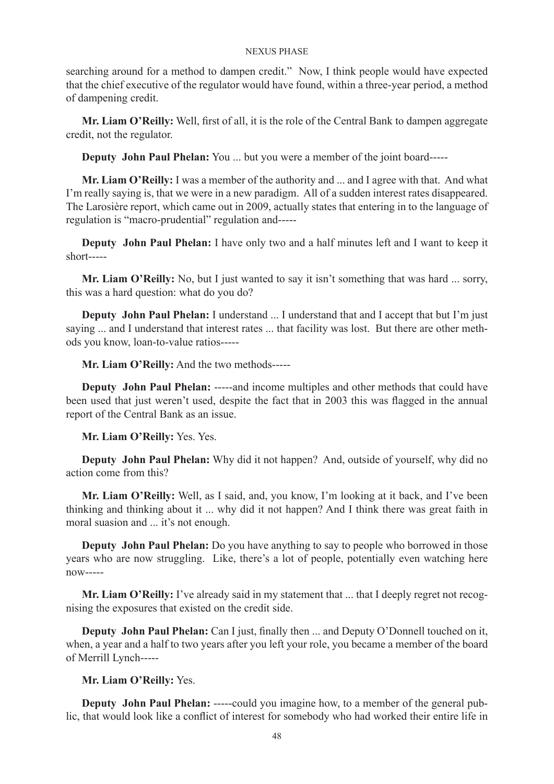searching around for a method to dampen credit." Now, I think people would have expected that the chief executive of the regulator would have found, within a three-year period, a method of dampening credit.

**Mr. Liam O'Reilly:** Well, first of all, it is the role of the Central Bank to dampen aggregate credit, not the regulator.

**Deputy John Paul Phelan:** You ... but you were a member of the joint board-----

**Mr. Liam O'Reilly:** I was a member of the authority and ... and I agree with that. And what I'm really saying is, that we were in a new paradigm. All of a sudden interest rates disappeared. The Larosière report, which came out in 2009, actually states that entering in to the language of regulation is "macro-prudential" regulation and-----

**Deputy John Paul Phelan:** I have only two and a half minutes left and I want to keep it short-----

**Mr. Liam O'Reilly:** No, but I just wanted to say it isn't something that was hard ... sorry, this was a hard question: what do you do?

**Deputy John Paul Phelan:** I understand ... I understand that and I accept that but I'm just saying ... and I understand that interest rates ... that facility was lost. But there are other methods you know, loan-to-value ratios-----

**Mr. Liam O'Reilly:** And the two methods-----

**Deputy John Paul Phelan:** -----and income multiples and other methods that could have been used that just weren't used, despite the fact that in 2003 this was flagged in the annual report of the Central Bank as an issue.

**Mr. Liam O'Reilly:** Yes. Yes.

**Deputy John Paul Phelan:** Why did it not happen? And, outside of yourself, why did no action come from this?

**Mr. Liam O'Reilly:** Well, as I said, and, you know, I'm looking at it back, and I've been thinking and thinking about it ... why did it not happen? And I think there was great faith in moral suasion and ... it's not enough.

**Deputy John Paul Phelan:** Do you have anything to say to people who borrowed in those years who are now struggling. Like, there's a lot of people, potentially even watching here now-----

**Mr. Liam O'Reilly:** I've already said in my statement that ... that I deeply regret not recognising the exposures that existed on the credit side.

**Deputy John Paul Phelan:** Can I just, finally then ... and Deputy O'Donnell touched on it, when, a year and a half to two years after you left your role, you became a member of the board of Merrill Lynch-----

# **Mr. Liam O'Reilly:** Yes.

**Deputy John Paul Phelan:** -----could you imagine how, to a member of the general public, that would look like a conflict of interest for somebody who had worked their entire life in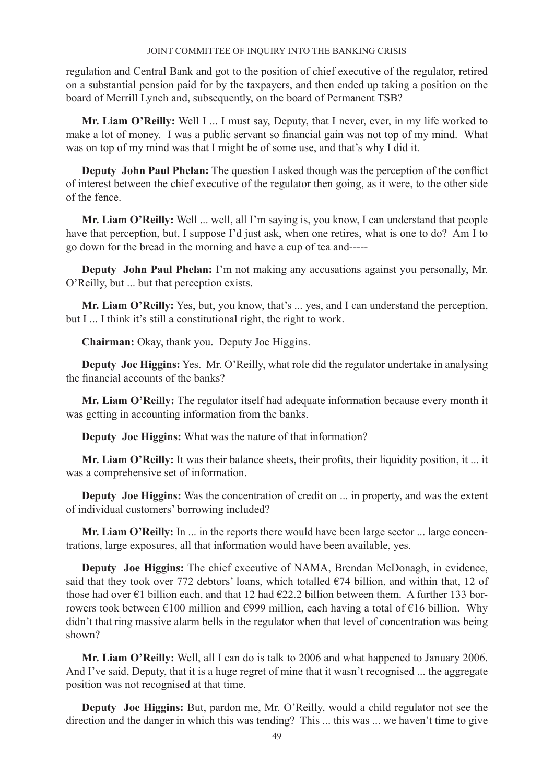regulation and Central Bank and got to the position of chief executive of the regulator, retired on a substantial pension paid for by the taxpayers, and then ended up taking a position on the board of Merrill Lynch and, subsequently, on the board of Permanent TSB?

**Mr. Liam O'Reilly:** Well I ... I must say, Deputy, that I never, ever, in my life worked to make a lot of money. I was a public servant so financial gain was not top of my mind. What was on top of my mind was that I might be of some use, and that's why I did it.

**Deputy John Paul Phelan:** The question I asked though was the perception of the conflict of interest between the chief executive of the regulator then going, as it were, to the other side of the fence.

**Mr. Liam O'Reilly:** Well ... well, all I'm saying is, you know, I can understand that people have that perception, but, I suppose I'd just ask, when one retires, what is one to do? Am I to go down for the bread in the morning and have a cup of tea and-----

**Deputy John Paul Phelan:** I'm not making any accusations against you personally, Mr. O'Reilly, but ... but that perception exists.

**Mr. Liam O'Reilly:** Yes, but, you know, that's ... yes, and I can understand the perception, but I ... I think it's still a constitutional right, the right to work.

**Chairman:** Okay, thank you. Deputy Joe Higgins.

**Deputy Joe Higgins:** Yes. Mr. O'Reilly, what role did the regulator undertake in analysing the financial accounts of the banks?

**Mr. Liam O'Reilly:** The regulator itself had adequate information because every month it was getting in accounting information from the banks.

**Deputy Joe Higgins:** What was the nature of that information?

**Mr. Liam O'Reilly:** It was their balance sheets, their profits, their liquidity position, it ... it was a comprehensive set of information.

**Deputy Joe Higgins:** Was the concentration of credit on ... in property, and was the extent of individual customers' borrowing included?

**Mr. Liam O'Reilly:** In ... in the reports there would have been large sector ... large concentrations, large exposures, all that information would have been available, yes.

**Deputy Joe Higgins:** The chief executive of NAMA, Brendan McDonagh, in evidence, said that they took over 772 debtors' loans, which totalled  $\epsilon$ 74 billion, and within that, 12 of those had over  $\epsilon$ 1 billion each, and that 12 had  $\epsilon$ 22.2 billion between them. A further 133 borrowers took between  $\epsilon$ 100 million and  $\epsilon$ 999 million, each having a total of  $\epsilon$ 16 billion. Why didn't that ring massive alarm bells in the regulator when that level of concentration was being shown?

**Mr. Liam O'Reilly:** Well, all I can do is talk to 2006 and what happened to January 2006. And I've said, Deputy, that it is a huge regret of mine that it wasn't recognised ... the aggregate position was not recognised at that time.

**Deputy Joe Higgins:** But, pardon me, Mr. O'Reilly, would a child regulator not see the direction and the danger in which this was tending? This ... this was ... we haven't time to give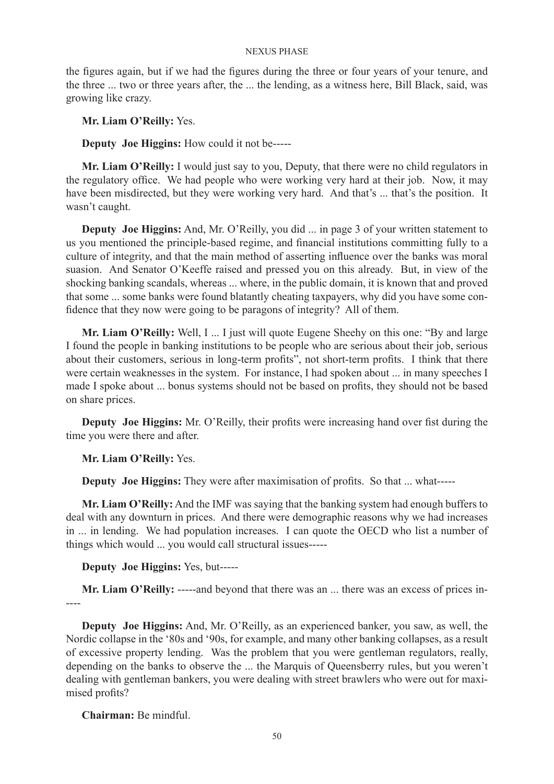the figures again, but if we had the figures during the three or four years of your tenure, and the three ... two or three years after, the ... the lending, as a witness here, Bill Black, said, was growing like crazy.

**Mr. Liam O'Reilly:** Yes.

**Deputy Joe Higgins:** How could it not be-----

**Mr. Liam O'Reilly:** I would just say to you, Deputy, that there were no child regulators in the regulatory office. We had people who were working very hard at their job. Now, it may have been misdirected, but they were working very hard. And that's ... that's the position. It wasn't caught.

**Deputy Joe Higgins:** And, Mr. O'Reilly, you did ... in page 3 of your written statement to us you mentioned the principle-based regime, and financial institutions committing fully to a culture of integrity, and that the main method of asserting influence over the banks was moral suasion. And Senator O'Keeffe raised and pressed you on this already. But, in view of the shocking banking scandals, whereas ... where, in the public domain, it is known that and proved that some ... some banks were found blatantly cheating taxpayers, why did you have some confidence that they now were going to be paragons of integrity? All of them.

**Mr. Liam O'Reilly:** Well, I ... I just will quote Eugene Sheehy on this one: "By and large I found the people in banking institutions to be people who are serious about their job, serious about their customers, serious in long-term profits", not short-term profits. I think that there were certain weaknesses in the system. For instance, I had spoken about ... in many speeches I made I spoke about ... bonus systems should not be based on profits, they should not be based on share prices.

**Deputy Joe Higgins:** Mr. O'Reilly, their profits were increasing hand over fist during the time you were there and after.

**Mr. Liam O'Reilly:** Yes.

**Deputy Joe Higgins:** They were after maximisation of profits. So that ... what-----

**Mr. Liam O'Reilly:** And the IMF was saying that the banking system had enough buffers to deal with any downturn in prices. And there were demographic reasons why we had increases in ... in lending. We had population increases. I can quote the OECD who list a number of things which would ... you would call structural issues-----

**Deputy Joe Higgins:** Yes, but-----

**Mr. Liam O'Reilly:** -----and beyond that there was an ... there was an excess of prices in-----

**Deputy Joe Higgins:** And, Mr. O'Reilly, as an experienced banker, you saw, as well, the Nordic collapse in the '80s and '90s, for example, and many other banking collapses, as a result of excessive property lending. Was the problem that you were gentleman regulators, really, depending on the banks to observe the ... the Marquis of Queensberry rules, but you weren't dealing with gentleman bankers, you were dealing with street brawlers who were out for maximised profits?

**Chairman:** Be mindful.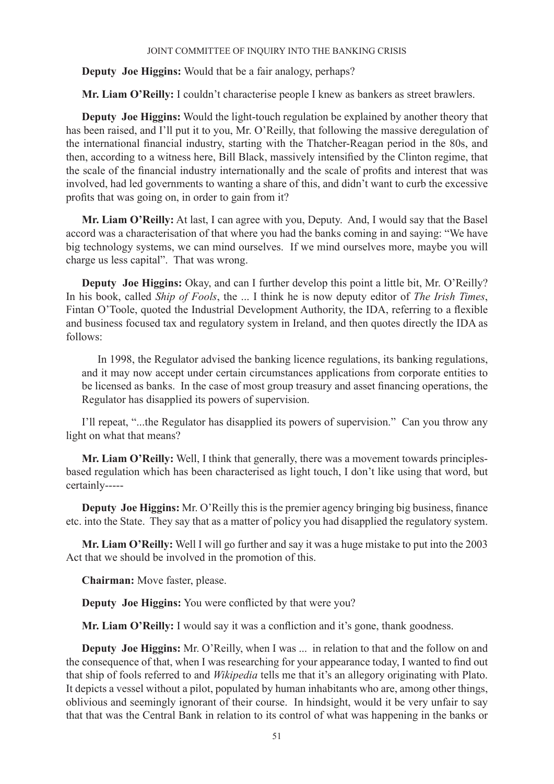**Deputy Joe Higgins:** Would that be a fair analogy, perhaps?

**Mr. Liam O'Reilly:** I couldn't characterise people I knew as bankers as street brawlers.

**Deputy Joe Higgins:** Would the light-touch regulation be explained by another theory that has been raised, and I'll put it to you, Mr. O'Reilly, that following the massive deregulation of the international financial industry, starting with the Thatcher-Reagan period in the 80s, and then, according to a witness here, Bill Black, massively intensified by the Clinton regime, that the scale of the financial industry internationally and the scale of profits and interest that was involved, had led governments to wanting a share of this, and didn't want to curb the excessive profits that was going on, in order to gain from it?

**Mr. Liam O'Reilly:** At last, I can agree with you, Deputy. And, I would say that the Basel accord was a characterisation of that where you had the banks coming in and saying: "We have big technology systems, we can mind ourselves. If we mind ourselves more, maybe you will charge us less capital". That was wrong.

**Deputy Joe Higgins:** Okay, and can I further develop this point a little bit, Mr. O'Reilly? In his book, called *Ship of Fools*, the ... I think he is now deputy editor of *The Irish Times*, Fintan O'Toole, quoted the Industrial Development Authority, the IDA, referring to a flexible and business focused tax and regulatory system in Ireland, and then quotes directly the IDA as follows:

In 1998, the Regulator advised the banking licence regulations, its banking regulations, and it may now accept under certain circumstances applications from corporate entities to be licensed as banks. In the case of most group treasury and asset financing operations, the Regulator has disapplied its powers of supervision.

I'll repeat, "...the Regulator has disapplied its powers of supervision." Can you throw any light on what that means?

**Mr. Liam O'Reilly:** Well, I think that generally, there was a movement towards principlesbased regulation which has been characterised as light touch, I don't like using that word, but certainly-----

**Deputy Joe Higgins:** Mr. O'Reilly this is the premier agency bringing big business, finance etc. into the State. They say that as a matter of policy you had disapplied the regulatory system.

**Mr. Liam O'Reilly:** Well I will go further and say it was a huge mistake to put into the 2003 Act that we should be involved in the promotion of this.

**Chairman:** Move faster, please.

**Deputy Joe Higgins:** You were conflicted by that were you?

**Mr. Liam O'Reilly:** I would say it was a confliction and it's gone, thank goodness.

**Deputy Joe Higgins:** Mr. O'Reilly, when I was ... in relation to that and the follow on and the consequence of that, when I was researching for your appearance today, I wanted to find out that ship of fools referred to and *Wikipedia* tells me that it's an allegory originating with Plato. It depicts a vessel without a pilot, populated by human inhabitants who are, among other things, oblivious and seemingly ignorant of their course. In hindsight, would it be very unfair to say that that was the Central Bank in relation to its control of what was happening in the banks or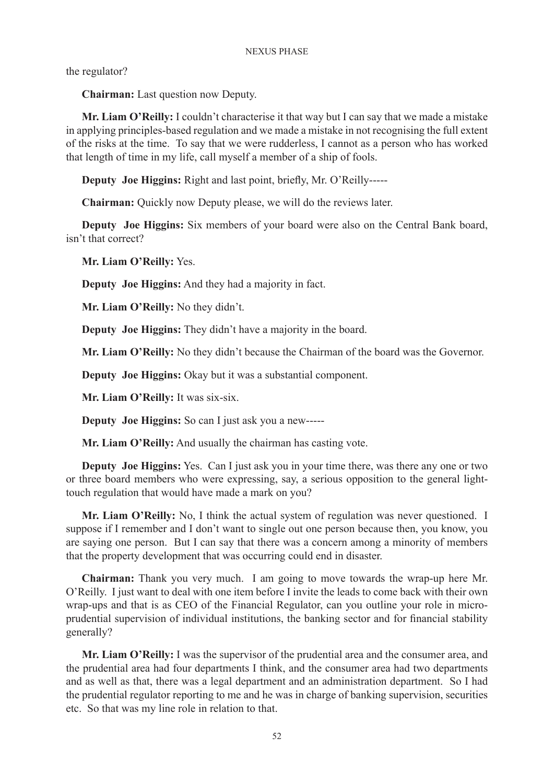the regulator?

**Chairman:** Last question now Deputy.

**Mr. Liam O'Reilly:** I couldn't characterise it that way but I can say that we made a mistake in applying principles-based regulation and we made a mistake in not recognising the full extent of the risks at the time. To say that we were rudderless, I cannot as a person who has worked that length of time in my life, call myself a member of a ship of fools.

**Deputy Joe Higgins:** Right and last point, briefly, Mr. O'Reilly-----

**Chairman:** Quickly now Deputy please, we will do the reviews later.

**Deputy Joe Higgins:** Six members of your board were also on the Central Bank board, isn't that correct?

**Mr. Liam O'Reilly:** Yes.

**Deputy Joe Higgins:** And they had a majority in fact.

**Mr. Liam O'Reilly:** No they didn't.

**Deputy Joe Higgins:** They didn't have a majority in the board.

**Mr. Liam O'Reilly:** No they didn't because the Chairman of the board was the Governor.

**Deputy Joe Higgins:** Okay but it was a substantial component.

**Mr. Liam O'Reilly:** It was six-six.

**Deputy Joe Higgins:** So can I just ask you a new-----

**Mr. Liam O'Reilly:** And usually the chairman has casting vote.

**Deputy Joe Higgins:** Yes. Can I just ask you in your time there, was there any one or two or three board members who were expressing, say, a serious opposition to the general lighttouch regulation that would have made a mark on you?

**Mr. Liam O'Reilly:** No, I think the actual system of regulation was never questioned. I suppose if I remember and I don't want to single out one person because then, you know, you are saying one person. But I can say that there was a concern among a minority of members that the property development that was occurring could end in disaster.

**Chairman:** Thank you very much. I am going to move towards the wrap-up here Mr. O'Reilly. I just want to deal with one item before I invite the leads to come back with their own wrap-ups and that is as CEO of the Financial Regulator, can you outline your role in microprudential supervision of individual institutions, the banking sector and for financial stability generally?

**Mr. Liam O'Reilly:** I was the supervisor of the prudential area and the consumer area, and the prudential area had four departments I think, and the consumer area had two departments and as well as that, there was a legal department and an administration department. So I had the prudential regulator reporting to me and he was in charge of banking supervision, securities etc. So that was my line role in relation to that.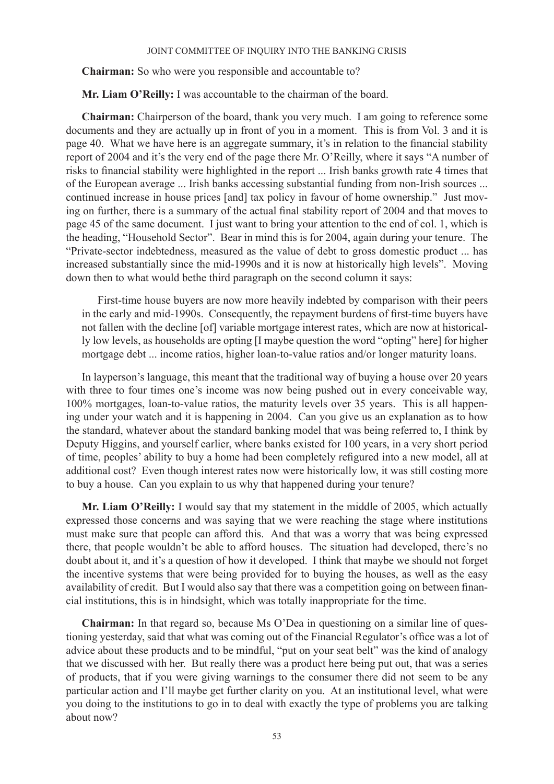**Chairman:** So who were you responsible and accountable to?

**Mr. Liam O'Reilly:** I was accountable to the chairman of the board.

**Chairman:** Chairperson of the board, thank you very much. I am going to reference some documents and they are actually up in front of you in a moment. This is from Vol. 3 and it is page 40. What we have here is an aggregate summary, it's in relation to the financial stability report of 2004 and it's the very end of the page there Mr. O'Reilly, where it says "A number of risks to financial stability were highlighted in the report ... Irish banks growth rate 4 times that of the European average ... Irish banks accessing substantial funding from non-Irish sources ... continued increase in house prices [and] tax policy in favour of home ownership." Just moving on further, there is a summary of the actual final stability report of 2004 and that moves to page 45 of the same document. I just want to bring your attention to the end of col. 1, which is the heading, "Household Sector". Bear in mind this is for 2004, again during your tenure. The "Private-sector indebtedness, measured as the value of debt to gross domestic product ... has increased substantially since the mid-1990s and it is now at historically high levels". Moving down then to what would bethe third paragraph on the second column it says:

First-time house buyers are now more heavily indebted by comparison with their peers in the early and mid-1990s. Consequently, the repayment burdens of first-time buyers have not fallen with the decline [of] variable mortgage interest rates, which are now at historically low levels, as households are opting [I maybe question the word "opting" here] for higher mortgage debt ... income ratios, higher loan-to-value ratios and/or longer maturity loans.

In layperson's language, this meant that the traditional way of buying a house over 20 years with three to four times one's income was now being pushed out in every conceivable way, 100% mortgages, loan-to-value ratios, the maturity levels over 35 years. This is all happening under your watch and it is happening in 2004. Can you give us an explanation as to how the standard, whatever about the standard banking model that was being referred to, I think by Deputy Higgins, and yourself earlier, where banks existed for 100 years, in a very short period of time, peoples' ability to buy a home had been completely refigured into a new model, all at additional cost? Even though interest rates now were historically low, it was still costing more to buy a house. Can you explain to us why that happened during your tenure?

**Mr. Liam O'Reilly:** I would say that my statement in the middle of 2005, which actually expressed those concerns and was saying that we were reaching the stage where institutions must make sure that people can afford this. And that was a worry that was being expressed there, that people wouldn't be able to afford houses. The situation had developed, there's no doubt about it, and it's a question of how it developed. I think that maybe we should not forget the incentive systems that were being provided for to buying the houses, as well as the easy availability of credit. But I would also say that there was a competition going on between financial institutions, this is in hindsight, which was totally inappropriate for the time.

**Chairman:** In that regard so, because Ms O'Dea in questioning on a similar line of questioning yesterday, said that what was coming out of the Financial Regulator's office was a lot of advice about these products and to be mindful, "put on your seat belt" was the kind of analogy that we discussed with her. But really there was a product here being put out, that was a series of products, that if you were giving warnings to the consumer there did not seem to be any particular action and I'll maybe get further clarity on you. At an institutional level, what were you doing to the institutions to go in to deal with exactly the type of problems you are talking about now?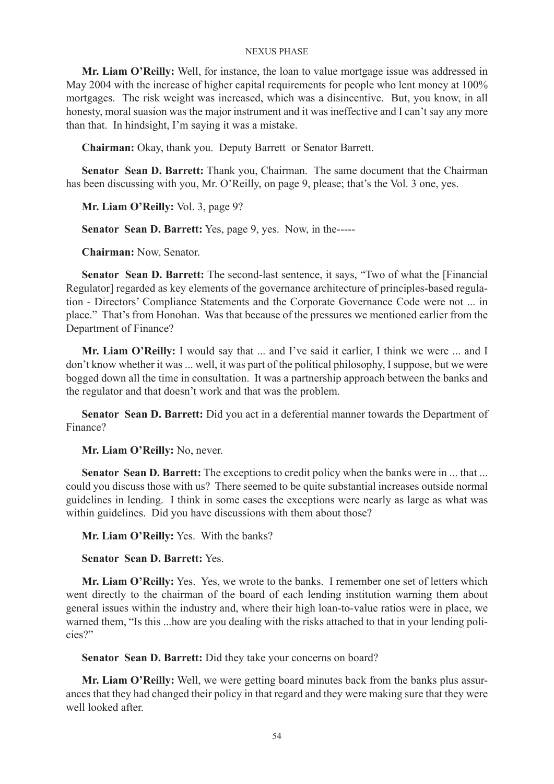**Mr. Liam O'Reilly:** Well, for instance, the loan to value mortgage issue was addressed in May 2004 with the increase of higher capital requirements for people who lent money at 100% mortgages. The risk weight was increased, which was a disincentive. But, you know, in all honesty, moral suasion was the major instrument and it was ineffective and I can't say any more than that. In hindsight, I'm saying it was a mistake.

**Chairman:** Okay, thank you. Deputy Barrett or Senator Barrett.

**Senator Sean D. Barrett:** Thank you, Chairman. The same document that the Chairman has been discussing with you, Mr. O'Reilly, on page 9, please; that's the Vol. 3 one, yes.

**Mr. Liam O'Reilly:** Vol. 3, page 9?

**Senator Sean D. Barrett:** Yes, page 9, yes. Now, in the-----

**Chairman:** Now, Senator.

**Senator Sean D. Barrett:** The second-last sentence, it says, "Two of what the [Financial Regulator] regarded as key elements of the governance architecture of principles-based regulation - Directors' Compliance Statements and the Corporate Governance Code were not ... in place." That's from Honohan. Was that because of the pressures we mentioned earlier from the Department of Finance?

**Mr. Liam O'Reilly:** I would say that ... and I've said it earlier, I think we were ... and I don't know whether it was ... well, it was part of the political philosophy, I suppose, but we were bogged down all the time in consultation. It was a partnership approach between the banks and the regulator and that doesn't work and that was the problem.

**Senator Sean D. Barrett:** Did you act in a deferential manner towards the Department of Finance?

**Mr. Liam O'Reilly:** No, never.

**Senator Sean D. Barrett:** The exceptions to credit policy when the banks were in ... that ... could you discuss those with us? There seemed to be quite substantial increases outside normal guidelines in lending. I think in some cases the exceptions were nearly as large as what was within guidelines. Did you have discussions with them about those?

**Mr. Liam O'Reilly:** Yes. With the banks?

**Senator Sean D. Barrett:** Yes.

**Mr. Liam O'Reilly:** Yes. Yes, we wrote to the banks. I remember one set of letters which went directly to the chairman of the board of each lending institution warning them about general issues within the industry and, where their high loan-to-value ratios were in place, we warned them, "Is this ...how are you dealing with the risks attached to that in your lending policies?"

**Senator Sean D. Barrett:** Did they take your concerns on board?

**Mr. Liam O'Reilly:** Well, we were getting board minutes back from the banks plus assurances that they had changed their policy in that regard and they were making sure that they were well looked after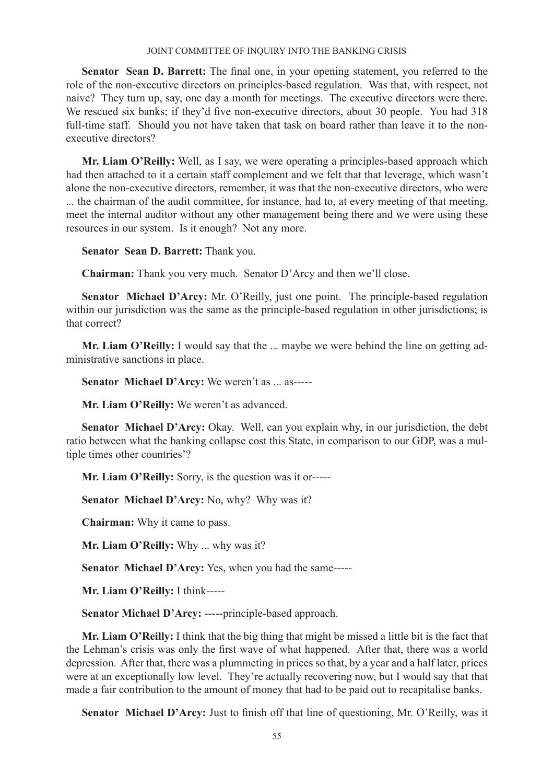**Senator Sean D. Barrett:** The final one, in your opening statement, you referred to the role of the non-executive directors on principles-based regulation. Was that, with respect, not naive? They turn up, say, one day a month for meetings. The executive directors were there. We rescued six banks; if they'd five non-executive directors, about 30 people. You had 318 full-time staff. Should you not have taken that task on board rather than leave it to the nonexecutive directors?

**Mr. Liam O'Reilly:** Well, as I say, we were operating a principles-based approach which had then attached to it a certain staff complement and we felt that that leverage, which wasn't alone the non-executive directors, remember, it was that the non-executive directors, who were ... the chairman of the audit committee, for instance, had to, at every meeting of that meeting, meet the internal auditor without any other management being there and we were using these resources in our system. Is it enough? Not any more.

**Senator Sean D. Barrett:** Thank you.

**Chairman:** Thank you very much. Senator D'Arcy and then we'll close.

**Senator Michael D'Arcy:** Mr. O'Reilly, just one point. The principle-based regulation within our jurisdiction was the same as the principle-based regulation in other jurisdictions; is that correct?

**Mr. Liam O'Reilly:** I would say that the ... maybe we were behind the line on getting administrative sanctions in place.

**Senator Michael D'Arcy:** We weren't as ... as-----

**Mr. Liam O'Reilly:** We weren't as advanced.

**Senator Michael D'Arcy:** Okay. Well, can you explain why, in our jurisdiction, the debt ratio between what the banking collapse cost this State, in comparison to our GDP, was a multiple times other countries'?

**Mr. Liam O'Reilly:** Sorry, is the question was it or-----

**Senator Michael D'Arcy:** No, why? Why was it?

**Chairman:** Why it came to pass.

**Mr. Liam O'Reilly:** Why ... why was it?

**Senator Michael D'Arcy:** Yes, when you had the same-----

**Mr. Liam O'Reilly:** I think-----

**Senator Michael D'Arcy:** -----principle-based approach.

**Mr. Liam O'Reilly:** I think that the big thing that might be missed a little bit is the fact that the Lehman's crisis was only the first wave of what happened. After that, there was a world depression. After that, there was a plummeting in prices so that, by a year and a half later, prices were at an exceptionally low level. They're actually recovering now, but I would say that that made a fair contribution to the amount of money that had to be paid out to recapitalise banks.

**Senator Michael D'Arcy:** Just to finish off that line of questioning, Mr. O'Reilly, was it